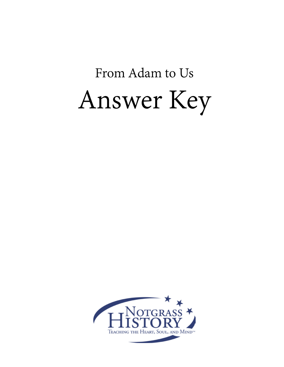# From Adam to Us Answer Key

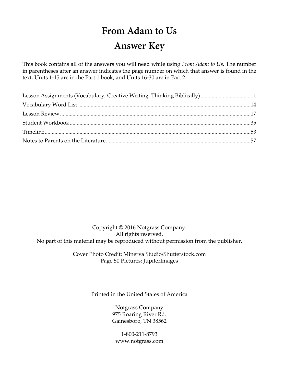## **From Adam to Us Answer Key**

This book contains all of the answers you will need while using *From Adam to Us.* The number in parentheses after an answer indicates the page number on which that answer is found in the text. Units 1-15 are in the Part 1 book, and Units 16-30 are in Part 2.

Copyright © 2016 Notgrass Company. All rights reserved. No part of this material may be reproduced without permission from the publisher.

> Cover Photo Credit: Minerva Studio/Shutterstock.com Page 50 Pictures: JupiterImages

> > Printed in the United States of America

Notgrass Company 975 Roaring River Rd. Gainesboro, TN 38562

1-800-211-8793 www.notgrass.com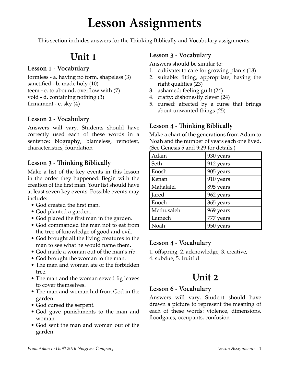# **Lesson Assignments**

This section includes answers for the Thinking Biblically and Vocabulary assignments.

## **Unit 1**

### **Lesson 1 - Vocabulary**

formless - a. having no form, shapeless (3) sanctified - b. made holy (10) teem - c. to abound, overflow with (7) void - d. containing nothing (3) firmament - e. sky (4)

## **Lesson 2 - Vocabulary**

Answers will vary. Students should have correctly used each of these words in a sentence: biography, blameless, remotest, characteristics, foundation

## **Lesson 3 - Thinking Biblically**

Make a list of the key events in this lesson in the order they happened. Begin with the creation of the first man. Your list should have at least seven key events. Possible events may include:

- God created the first man.
- God planted a garden.
- God placed the first man in the garden.
- God commanded the man not to eat from the tree of knowledge of good and evil.
- God brought all the living creatures to the man to see what he would name them.
- God made a woman out of the man's rib.
- God brought the woman to the man.
- The man and woman ate of the forbidden tree.
- The man and the woman sewed fig leaves to cover themselves.
- The man and woman hid from God in the garden.
- God cursed the serpent.
- God gave punishments to the man and woman.
- God sent the man and woman out of the garden.

## **Lesson 3 - Vocabulary**

Answers should be similar to:

- 1. cultivate: to care for growing plants (18)
- 2. suitable: fitting, appropriate, having the right qualities (23)
- 3. ashamed: feeling guilt (24)
- 4. crafty: dishonestly clever (24)
- 5. cursed: affected by a curse that brings about unwanted things (25)

## **Lesson 4 - Thinking Biblically**

Make a chart of the generations from Adam to Noah and the number of years each one lived. (See Genesis 5 and 9:29 for details.)

| Adam       | 930 years                 |
|------------|---------------------------|
| Seth       | 912 years                 |
| Enosh      | 905 years                 |
| Kenan      | 910 years                 |
| Mahalalel  | 895 years                 |
| Jared      | 962 years                 |
| Enoch      | 365 years                 |
| Methusaleh | 969 years                 |
| Lamech     | 777 years                 |
| Noah       | 950 <sub>1</sub><br>years |

## **Lesson 4 - Vocabulary**

1. offspring, 2. acknowledge, 3. creative, 4. subdue, 5. fruitful

## **Unit 2**

## **Lesson 6 - Vocabulary**

Answers will vary. Student should have drawn a picture to represent the meaning of each of these words: violence, dimensions, floodgates, occupants, confusion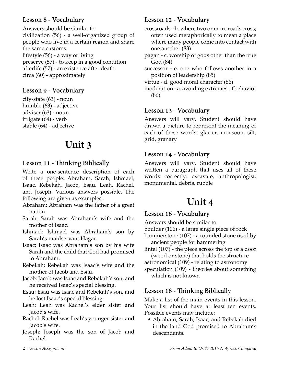## **Lesson 8 - Vocabulary**

Answers should be similar to: civilization (56) - a well-organized group of people who live in a certain region and share the same customs lifestyle (56) - a way of living preserve (57) - to keep in a good condition afterlife (57) - an existence after death circa (60) - approximately

## **Lesson 9 - Vocabulary**

city-state (63) - noun humble (63) - adjective adviser (63) - noun irrigate (64) - verb stable (64) - adjective

## **Unit 3**

## **Lesson 11 - Thinking Biblically**

Write a one-sentence description of each of these people: Abraham, Sarah, Ishmael, Isaac, Rebekah, Jacob, Esau, Leah, Rachel, and Joseph. Various answers possible. The following are given as examples:

- Abraham: Abraham was the father of a great nation.
- Sarah: Sarah was Abraham's wife and the mother of Isaac.
- Ishmael: Ishmael was Abraham's son by Sarah's maidservant Hagar.
- Isaac: Isaac was Abraham's son by his wife Sarah and the child that God had promised to Abraham.
- Rebekah: Rebekah was Isaac's wife and the mother of Jacob and Esau.
- Jacob: Jacob was Isaac and Rebekah's son, and he received Isaac's special blessing.
- Esau: Esau was Isaac and Rebekah's son, and he lost Isaac's special blessing.
- Leah: Leah was Rachel's elder sister and Jacob's wife.
- Rachel: Rachel was Leah's younger sister and Jacob's wife.
- Joseph: Joseph was the son of Jacob and Rachel.

## **Lesson 12 - Vocabulary**

crossroads - b. where two or more roads cross; often used metaphorically to mean a place where many people come into contact with one another (83)

pagan - c. worship of gods other than the true God (84)

successor - e. one who follows another in a position of leadership (85)

virtue - d. good moral character (86)

moderation - a. avoiding extremes of behavior (86)

### **Lesson 13 - Vocabulary**

Answers will vary. Student should have drawn a picture to represent the meaning of each of these words: glacier, monsoon, silt, grid, granary

### **Lesson 14 - Vocabulary**

Answers will vary. Student should have written a paragraph that uses all of these words correctly: excavate, anthropologist, monumental, debris, rubble

## **Unit 4**

## **Lesson 16 - Vocabulary**

Answers should be similar to:

boulder (106) - a large single piece of rock

hammerstone (107) - a rounded stone used by ancient people for hammering

lintel (107) - the piece across the top of a door (wood or stone) that holds the structure

astronomical (109) - relating to astronomy

speculation (109) - theories about something which is not known

## **Lesson 18 - Thinking Biblically**

Make a list of the main events in this lesson. Your list should have at least ten events. Possible events may include:

• Abraham, Sarah, Isaac, and Rebekah died in the land God promised to Abraham's descendants.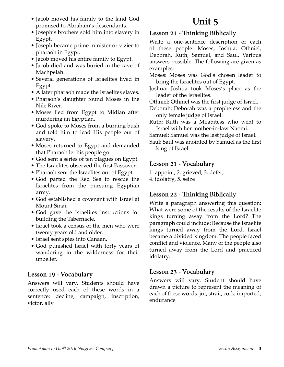- Jacob moved his family to the land God promised to Abraham's descendants.
- Joseph's brothers sold him into slavery in Egypt.
- Joseph became prime minister or vizier to pharaoh in Egypt.
- Jacob moved his entire family to Egypt.
- Jacob died and was buried in the cave of Machpelah.
- Several generations of Israelites lived in Egypt.
- A later pharaoh made the Israelites slaves.
- Pharaoh's daughter found Moses in the Nile River.
- Moses fled from Egypt to Midian after murdering an Egyptian.
- God spoke to Moses from a burning bush and told him to lead His people out of slavery.
- Moses returned to Egypt and demanded that Pharaoh let his people go.
- God sent a series of ten plagues on Egypt.
- The Israelites observed the first Passover.
- Pharaoh sent the Israelites out of Egypt.
- God parted the Red Sea to rescue the Israelites from the pursuing Egyptian army.
- God established a covenant with Israel at Mount Sinai.
- God gave the Israelites instructions for building the Tabernacle.
- Israel took a census of the men who were twenty years old and older.
- Israel sent spies into Canaan.
- God punished Israel with forty years of wandering in the wilderness for their unbelief.

## **Lesson 19 - Vocabulary**

Answers will vary. Students should have correctly used each of these words in a sentence: decline, campaign, inscription, victor, ally

## **Unit 5**

## **Lesson 21 - Thinking Biblically**

Write a one-sentence description of each of these people: Moses, Joshua, Othniel, Deborah, Ruth, Samuel, and Saul. Various answers possible. The following are given as examples:

- Moses: Moses was God's chosen leader to bring the Israelites out of Egypt.
- Joshua: Joshua took Moses's place as the leader of the Israelites.
- Othniel: Othniel was the first judge of Israel.
- Deborah: Deborah was a prophetess and the only female judge of Israel.
- Ruth: Ruth was a Moabitess who went to Israel with her mother-in-law Naomi.

Samuel: Samuel was the last judge of Israel.

Saul: Saul was anointed by Samuel as the first king of Israel.

## **Lesson 21 - Vocabulary**

1. appoint, 2. grieved, 3. defer,

4. idolatry, 5. seize

## **Lesson 22 - Thinking Biblically**

Write a paragraph answering this question: What were some of the results of the Israelite kings turning away from the Lord? The paragraph could include: Because the Israelite kings turned away from the Lord, Israel became a divided kingdom. The people faced conflict and violence. Many of the people also turned away from the Lord and practiced idolatry.

## **Lesson 23 - Vocabulary**

Answers will vary. Student should have drawn a picture to represent the meaning of each of these words: jut, strait, cork, imported, endurance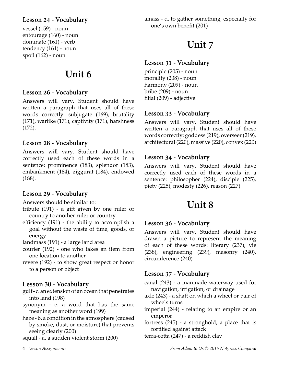## **Lesson 24 - Vocabulary**

vessel (159) - noun entourage (160) - noun dominate (161) - verb tendency (161) - noun spoil (162) - noun

## **Unit 6**

### **Lesson 26 - Vocabulary**

Answers will vary. Student should have written a paragraph that uses all of these words correctly: subjugate (169), brutality (171), warlike (171), captivity (171), harshness (172).

### **Lesson 28 - Vocabulary**

Answers will vary. Student should have correctly used each of these words in a sentence: prominence (183), splendor (183), embankment (184), ziggurat (184), endowed (188).

## **Lesson 29 - Vocabulary**

Answers should be similar to:

- tribute (191) a gift given by one ruler or country to another ruler or country
- efficiency (191) the ability to accomplish a goal without the waste of time, goods, or energy
- landmass (191) a large land area
- courier (192) one who takes an item from one location to another
- revere (192) to show great respect or honor to a person or object

### **Lesson 30 - Vocabulary**

- gulf c. an extension of an ocean that penetrates into land (198)
- synonym e. a word that has the same meaning as another word (199)
- haze b. a condition in the atmosphere (caused by smoke, dust, or moisture) that prevents seeing clearly (200)

squall - a. a sudden violent storm (200)

amass - d. to gather something, especially for one's own benefit (201)

## **Unit 7**

### **Lesson 31 - Vocabulary**

principle (205) - noun morality (208) - noun harmony (209) - noun bribe (209) - noun filial (209) - adjective

### **Lesson 33 - Vocabulary**

Answers will vary. Student should have written a paragraph that uses all of these words correctly: goddess (219), overseer (219), architectural (220), massive (220), convex (220)

## **Lesson 34 - Vocabulary**

Answers will vary. Student should have correctly used each of these words in a sentence: philosopher (224), disciple (225), piety (225), modesty (226), reason (227)

## **Unit 8**

## **Lesson 36 - Vocabulary**

Answers will vary. Student should have drawn a picture to represent the meaning of each of these words: literary (237), vie (238), engineering (239), masonry (240), circumference (240)

### **Lesson 37 - Vocabulary**

canal (243) - a manmade waterway used for navigation, irrigation, or drainage

axle (243) - a shaft on which a wheel or pair of wheels turns

imperial (244) - relating to an empire or an emperor

- fortress (245) a stronghold, a place that is fortified against attack
- terra-cotta (247) a reddish clay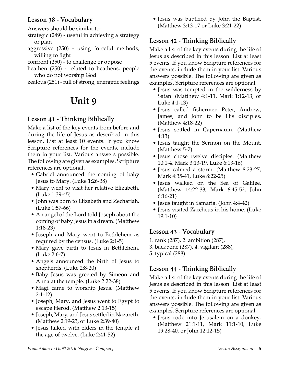## **Lesson 38 - Vocabulary**

Answers should be similar to:

strategic (249) - useful in achieving a strategy or plan

- aggressive (250) using forceful methods, willing to fight
- confront (250) to challenge or oppose
- heathen (250) related to heathens, people who do not worship God

zealous (251) - full of strong, energetic feelings

## **Unit 9**

## **Lesson 41 - Thinking Biblically**

Make a list of the key events from before and during the life of Jesus as described in this lesson. List at least 10 events. If you know Scripture references for the events, include them in your list. Various answers possible. The following are given as examples. Scripture references are optional.

- Gabriel announced the coming of baby Jesus to Mary. (Luke 1:26-38)
- Mary went to visit her relative Elizabeth. (Luke 1:39-45)
- John was born to Elizabeth and Zechariah. (Luke 1:57-66)
- An angel of the Lord told Joseph about the coming of baby Jesus in a dream. (Matthew 1:18-23)
- Joseph and Mary went to Bethlehem as required by the census. (Luke 2:1-5)
- Mary gave birth to Jesus in Bethlehem. (Luke 2:6-7)
- Angels announced the birth of Jesus to shepherds. (Luke 2:8-20)
- Baby Jesus was greeted by Simeon and Anna at the temple. (Luke 2:22-38)
- Magi came to worship Jesus. (Matthew 2:1-12)
- Joseph, Mary, and Jesus went to Egypt to escape Herod. (Matthew 2:13-15)
- Joseph, Mary, and Jesus settled in Nazareth. (Matthew 2:19-23, or Luke 2:39-40)
- Jesus talked with elders in the temple at the age of twelve. (Luke 2:41-52)

• Jesus was baptized by John the Baptist. (Matthew 3:13-17 or Luke 3:21-22)

## **Lesson 42 - Thinking Biblically**

Make a list of the key events during the life of Jesus as described in this lesson. List at least 5 events. If you know Scripture references for the events, include them in your list. Various answers possible. The following are given as examples. Scripture references are optional.

- Jesus was tempted in the wilderness by Satan. (Matthew 4:1-11, Mark 1:12-13, or Luke 4:1-13)
- Jesus called fishermen Peter, Andrew, James, and John to be His disciples. (Matthew 4:18-22)
- Jesus settled in Capernaum. (Matthew 4:13)
- Jesus taught the Sermon on the Mount. (Matthew 5-7)
- Jesus chose twelve disciples. (Matthew 10:1-4, Mark 3:13-19, Luke 6:13-16)
- Jesus calmed a storm. (Matthew 8:23-27, Mark 4:35-41, Luke 8:22-25)
- Jesus walked on the Sea of Galilee. (Matthew 14:22-33, Mark 6:45-52, John 6:16-21)
- Jesus taught in Samaria. (John 4:4-42)
- Jesus visited Zaccheus in his home. (Luke 19:1-10)

## **Lesson 43 - Vocabulary**

- 1. rank (287), 2. ambition (287),
- 3. backbone (287), 4. vigilant (288),
- 5. typical (288)

## **Lesson 44 - Thinking Biblically**

Make a list of the key events during the life of Jesus as described in this lesson. List at least 5 events. If you know Scripture references for the events, include them in your list. Various answers possible. The following are given as examples. Scripture references are optional.

• Jesus rode into Jerusalem on a donkey. (Matthew 21:1-11, Mark 11:1-10, Luke 19:28-40, or John 12:12-15)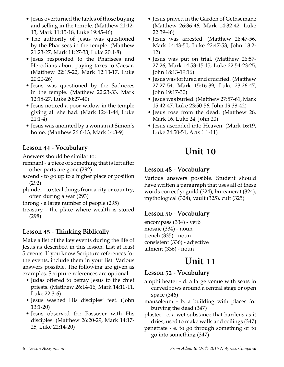- Jesus overturned the tables of those buying and selling in the temple. (Matthew 21:12- 13, Mark 11:15-18, Luke 19:45-46)
- The authority of Jesus was questioned by the Pharisees in the temple. (Matthew 21:23-27, Mark 11:27-33, Luke 20:1-8)
- Jesus responded to the Pharisees and Herodians about paying taxes to Caesar. (Matthew 22:15-22, Mark 12:13-17, Luke 20:20-26)
- Jesus was questioned by the Saducees in the temple. (Matthew 22:23-33, Mark 12:18-27, Luke 20:27-40)
- Jesus noticed a poor widow in the temple giving all she had. (Mark 12:41-44, Luke 21:1-4)
- Jesus was anointed by a woman at Simon's home. (Matthew 26:6-13, Mark 14:3-9)

## **Lesson 44 - Vocabulary**

Answers should be similar to:

- remnant a piece of something that is left after other parts are gone (292)
- ascend to go up to a higher place or position (292)
- plunder to steal things from a city or country, often during a war (293)
- throng a large number of people (295)
- treasury the place where wealth is stored (298)

## **Lesson 45 - Thinking Biblically**

Make a list of the key events during the life of Jesus as described in this lesson. List at least 5 events. If you know Scripture references for the events, include them in your list. Various answers possible. The following are given as examples. Scripture references are optional.

- Judas offered to betray Jesus to the chief priests. (Matthew 26:14-16, Mark 14:10-11, Luke 22:3-6)
- Jesus washed His disciples' feet. (John 13:1-20)
- Jesus observed the Passover with His disciples. (Matthew 26:20-29, Mark 14:17- 25, Luke 22:14-20)
- Jesus prayed in the Garden of Gethsemane (Matthew 26:36-46, Mark 14:32-42, Luke 22:39-46)
- Jesus was arrested. (Matthew 26:47-56, Mark 14:43-50, Luke 22:47-53, John 18:2- 12)
- Jesus was put on trial. (Matthew 26:57- 27:26, Mark 14:53-15:15, Luke 22:54-23:25, John 18:13-19:16)
- Jesus was tortured and crucified. (Matthew 27:27-54, Mark 15:16-39, Luke 23:26-47, John 19:17-30)
- Jesus was buried. (Matthew 27:57-61, Mark 15:42-47, Luke 23:50-56, John 19:38-42)
- Jesus rose from the dead. (Matthew 28, Mark 16, Luke 24, John 20)
- Jesus ascended into Heaven. (Mark 16:19, Luke 24:50-51, Acts 1:1-11)

## **Unit 10**

### **Lesson 48 - Vocabulary**

Various answers possible. Student should have written a paragraph that uses all of these words correctly: guild (324), bureaucrat (324), mythological (324), vault (325), cult (325)

## **Lesson 50 - Vocabulary**

encompass (334) - verb mosaic (334) - noun trench (335) - noun consistent (336) - adjective ailment (336) - noun

## **Unit 11**

### **Lesson 52 - Vocabulary**

- amphitheater d. a large venue with seats in curved rows around a central stage or open space (346)
- mausoleum b. a building with places for burying the dead (347)

plaster - c. a wet substance that hardens as it dries, used to make walls and ceilings (347)

penetrate - e. to go through something or to go into something (347)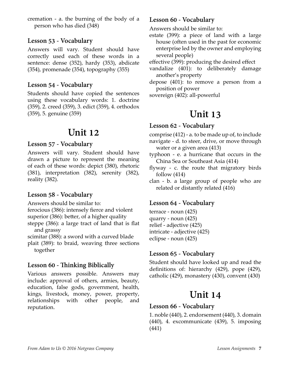cremation - a. the burning of the body of a person who has died (348)

## **Lesson 53 - Vocabulary**

Answers will vary. Student should have correctly used each of these words in a sentence: dense (352), hardy (353), abdicate (354), promenade (354), topography (355)

### **Lesson 54 - Vocabulary**

Students should have copied the sentences using these vocabulary words: 1. doctrine (359), 2. creed (359), 3. edict (359), 4. orthodox (359), 5. genuine (359)

## **Unit 12**

### **Lesson 57 - Vocabulary**

Answers will vary. Student should have drawn a picture to represent the meaning of each of these words: depict (380), rhetoric (381), interpretation (382), serenity (382), reality (382).

## **Lesson 58 - Vocabulary**

Answers should be similar to:

- ferocious (386): intensely fierce and violent
- superior (386): better, of a higher quality
- steppe (386): a large tract of land that is flat and grassy

scimitar (388): a sword with a curved blade

plait (389): to braid, weaving three sections together

## **Lesson 60 - Thinking Biblically**

Various answers possible. Answers may include: approval of others, armies, beauty, education, false gods, government, health, kings, livestock, money, power, property, relationships with other people, and reputation.

## **Lesson 60 - Vocabulary**

Answers should be similar to:

estate (399): a piece of land with a large house (often used in the past for economic enterprise led by the owner and employing several people)

effective (399): producing the desired effect

- vandalize (401): to deliberately damage another's property
- depose (401): to remove a person from a position of power

sovereign (402): all-powerful

## **Unit 13**

### **Lesson 62 - Vocabulary**

comprise (412) - a. to be made up of, to include

navigate - d. to steer, drive, or move through water or a given area (413)

- typhoon e. a hurricane that occurs in the China Sea or Southeast Asia (414)
- flyway c. the route that migratory birds follow (414)
- clan b. a large group of people who are related or distantly related (416)

## **Lesson 64 - Vocabulary**

terrace - noun (425) quarry - noun (425) relief - adjective (425) intricate - adjective (425) eclipse - noun (425)

## **Lesson 65 - Vocabulary**

Student should have looked up and read the definitions of: hierarchy (429), pope (429), catholic (429), monastery (430), convent (430)

## **Unit 14**

## **Lesson 66 - Vocabulary**

1. noble (440), 2. endorsement (440), 3. domain (440), 4. excommunicate (439), 5. imposing (441)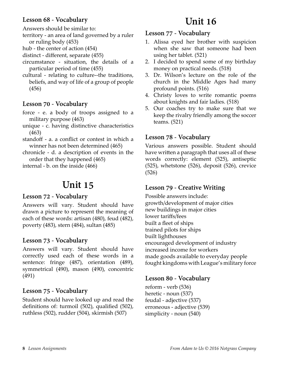## **Lesson 68 - Vocabulary**

Answers should be similar to:

- territory an area of land governed by a ruler or ruling body (453)
- hub the center of action (454)
- distinct different, separate (455)
- circumstance situation, the details of a particular period of time (455)
- cultural relating to culture--the traditions, beliefs, and way of life of a group of people (456)

## **Lesson 70 - Vocabulary**

- force e. a body of troops assigned to a military purpose (463)
- unique c. having distinctive characteristics (463)
- standoff a. a conflict or contest in which a winner has not been determined (465)
- chronicle d. a description of events in the order that they happened (465)

internal - b. on the inside (466)

## **Unit 15**

## **Lesson 72 - Vocabulary**

Answers will vary. Student should have drawn a picture to represent the meaning of each of these words: artisan (480), feud (482), poverty (483), stern (484), sultan (485)

## **Lesson 73 - Vocabulary**

Answers will vary. Student should have correctly used each of these words in a sentence: fringe (487), orientation (489), symmetrical (490), mason (490), concentric (491)

## **Lesson 75 - Vocabulary**

Student should have looked up and read the definitions of: turmoil (502), qualified (502), ruthless (502), rudder (504), skirmish (507)

## **Unit 16**

### **Lesson 77 - Vocabulary**

- 1. Alissa eyed her brother with suspicion when she saw that someone had been using her tablet. (521)
- 2. I decided to spend some of my birthday money on practical needs. (518)
- 3. Dr. Wilson's lecture on the role of the church in the Middle Ages had many profound points. (516)
- 4. Christy loves to write romantic poems about knights and fair ladies. (518)
- 5. Our coaches try to make sure that we keep the rivalry friendly among the soccer teams. (521)

## **Lesson 78 - Vocabulary**

Various answers possible. Student should have written a paragraph that uses all of these words correctly: element (525), antiseptic (525), whetstone (526), deposit (526), crevice (526)

## **Lesson 79 - Creative Writing**

Possible answers include: growth/development of major cities new buildings in major cities lower tariffs/fees built a fleet of ships trained pilots for ships built lighthouses encouraged development of industry increased income for workers made goods available to everyday people fought kingdoms with League's military force

## **Lesson 80 - Vocabulary**

reform - verb (536) heretic - noun (537) feudal - adjective (537) erroneous - adjective (539) simplicity - noun (540)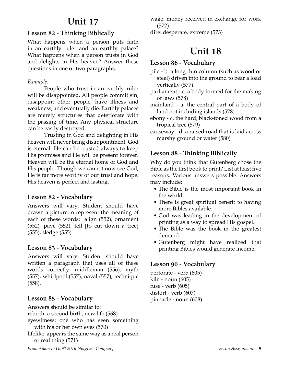## **Unit 17**

## **Lesson 82 - Thinking Biblically**

What happens when a person puts faith in an earthly ruler and an earthly palace? What happens when a person trusts in God and delights in His heaven? Answer these questions in one or two paragraphs.

### *Example:*

People who trust in an earthly ruler will be disappointed. All people commit sin, disappoint other people, have illness and weakness, and eventually die. Earthly palaces are merely structures that deteriorate with the passing of time. Any physical structure can be easily destroyed.

Trusting in God and delighting in His heaven will never bring disappointment. God is eternal. He can be trusted always to keep His promises and He will be present forever. Heaven will be the eternal home of God and His people. Though we cannot now see God, He is far more worthy of our trust and hope. His heaven is perfect and lasting.

## **Lesson 82 - Vocabulary**

Answers will vary. Student should have drawn a picture to represent the meaning of each of these words: align (552), ornament  $(552)$ , pave  $(552)$ , fell [to cut down a tree] (555), sledge (555)

## **Lesson 83 - Vocabulary**

Answers will vary. Student should have written a paragraph that uses all of these words correctly: middleman (556), myth (557), whirlpool (557), naval (557), technique (558).

## **Lesson 85 - Vocabulary**

Answers should be similar to: rebirth: a second birth, new life (568) eyewitness: one who has seen something with his or her own eyes (570) lifelike: appears the same way as a real person or real thing (571)

wage: money received in exchange for work (572)

dire: desperate, extreme (573)

## **Unit 18**

### **Lesson 86 - Vocabulary**

- pile b. a long thin column (such as wood or steel) driven into the ground to bear a load vertically (577)
- parliament e. a body formed for the making of laws (578)
- mainland a. the central part of a body of land not including islands (578)
- ebony c. the hard, black-toned wood from a tropical tree (579)
- causeway d. a raised road that is laid across marshy ground or water (580)

## **Lesson 88 - Thinking Biblically**

Why do you think that Gutenberg chose the Bible as the first book to print? List at least five reasons. Various answers possible. Answers may include:

- The Bible is the most important book in the world.
- There is great spiritual benefit to having more Bibles available.
- God was leading in the development of printing as a way to spread His gospel.
- The Bible was the book in the greatest demand.
- Gutenberg might have realized that printing Bibles would generate income.

## **Lesson 90 - Vocabulary**

perforate - verb (605) kiln - noun (605) fuse - verb (605) distort - verb (607) pinnacle - noun (608)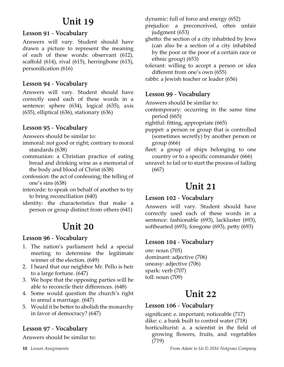## **Unit 19**

## **Lesson 91 - Vocabulary**

Answers will vary. Student should have drawn a picture to represent the meaning of each of these words: observant (612), scaffold (614), rival (615), herringbone (615), personification (616)

## **Lesson 94 - Vocabulary**

Answers will vary. Student should have correctly used each of these words in a sentence: sphere (634), logical (635), axis (635), elliptical (636), stationary (636)

## **Lesson 95 - Vocabulary**

Answers should be similar to:

- immoral: not good or right; contrary to moral standards (638)
- communion: a Christian practice of eating bread and drinking wine as a memorial of the body and blood of Christ (638)
- confession: the act of confessing; the telling of one's sins (638)
- intercede: to speak on behalf of another to try to bring reconciliation (640)
- identity: the characteristics that make a person or group distinct from others (641)

## **Unit 20**

## **Lesson 96 - Vocabulary**

- 1. The nation's parliament held a special meeting to determine the legitimate winner of the election. (649)
- 2. I heard that our neighbor Mr. Pello is heir to a large fortune. (647)
- 3. We hope that the opposing parties will be able to reconcile their differences. (648)
- 4. Some would question the church's right to annul a marriage. (647)
- 5. Would it be better to abolish the monarchy in favor of democracy? (647)

## **Lesson 97 - Vocabulary**

Answers should be similar to:

dynamic: full of force and energy (652)

- prejudice: a preconceived, often unfair judgment (653)
- ghetto: the section of a city inhabited by Jews (can also be a section of a city inhabited by the poor or the poor of a certain race or ethnic group) (653)

tolerant: willing to accept a person or idea different from one's own (655)

rabbi: a Jewish teacher or leader (656)

## **Lesson 99 - Vocabulary**

Answers should be similar to:

- contemporary: occurring in the same time period (665)
- rightful: fitting, appropriate (665)
- puppet: a person or group that is controlled (sometimes secretly) by another person or group (666)
- fleet: a group of ships belonging to one country or to a specific commander (666)
- unravel: to fail or to start the process of failing (667)

## **Unit 21**

## **Lesson 102 - Vocabulary**

Answers will vary. Student should have correctly used each of these words in a sentence: fashionable (693), lackluster (693), softhearted (693), foregone (693), petty (693)

## **Lesson 104 - Vocabulary**

ore: noun (705) dominant: adjective (706) uneasy: adjective (706) spark: verb (707) toll: noun (709)

## **Unit 22**

## **Lesson 106 - Vocabulary**

significant: e. important; noticeable (717) dike: c. a bank built to control water (718) horticulturist: a. a scientist in the field of growing flowers, fruits, and vegetables (719)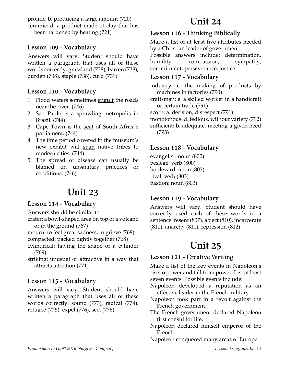prolific: b. producing a large amount (720) ceramic: d. a product made of clay that has

been hardened by heating (721)

## **Lesson 109 - Vocabulary**

Answers will vary. Student should have written a paragraph that uses all of these words correctly: grassland (738), barren (738), burden (738), staple (738), curd (739).

## **Lesson 110 - Vocabulary**

- 1. Flood waters sometimes engulf the roads near the river. (746)
- 2. Sao Paulo is a sprawling metropolis in Brazil. (744)
- 3. Cape Town is the seat of South Africa's parliament. (744)
- 4. The time period covered in the museum's new exhibit will span native tribes to modern cities. (744)
- 5. The spread of disease can usually be blamed on unsanitary practices or conditions. (746)

## **Unit 23**

## **Lesson 114 - Vocabulary**

Answers should be similar to:

crater: a bowl-shaped area on top of a volcano or in the ground (767)

mourn: to feel great sadness, to grieve (768)

compacted: packed tightly together (768)

- cylindrical: having the shape of a cylinder (769)
- striking: unusual or attractive in a way that attracts attention (771)

## **Lesson 115 - Vocabulary**

Answers will vary. Student should have written a paragraph that uses all of these words correctly: sound (773), radical (774), refugee (775), expel (776), sect (776)

## **Unit 24**

## **Lesson 116 - Thinking Biblically**

Make a list of at least five attributes needed by a Christian leader of government.

Possible answers include: determination, humility, compassion, sympathy, commitment, perseverance, justice

## **Lesson 117 - Vocabulary**

industry: c. the making of products by machines in factories (790)

- craftsman: e. a skilled worker in a handicraft or certain trade (791)
- scorn: a. derision, disrespect (791)
- monotonous: d. tedious, without variety (792)

sufficient: b. adequate, meeting a given need (793)

## **Lesson 118 - Vocabulary**

evangelist: noun (800) besiege: verb (800) boulevard: noun (803) rival: verb (803) bastion: noun (803)

## **Lesson 119 - Vocabulary**

Answers will vary. Student should have correctly used each of these words in a sentence: resent (807), abject (810), incarcerate (810), anarchy (811), repression (812)

## **Unit 25**

## **Lesson 121 - Creative Writing**

Make a list of the key events in Napoleon's rise to power and fall from power. List at least seven events. Possible events include:

- Napoleon developed a reputation as an effective leader in the French military.
- Napoleon took part in a revolt against the French government.
- The French government declared Napoleon first consul for life.
- Napoleon declared himself emperor of the French.

Napoleon conquered many areas of Europe.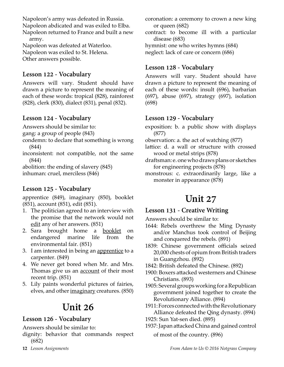Napoleon's army was defeated in Russia. Napoleon abdicated and was exiled to Elba. Napoleon returned to France and built a new army.

Napoleon was defeated at Waterloo. Napoleon was exiled to St. Helena. Other answers possible.

## **Lesson 122 - Vocabulary**

Answers will vary. Student should have drawn a picture to represent the meaning of each of these words: tropical (828), rainforest (828), clerk (830), dialect (831), penal (832).

## **Lesson 124 - Vocabulary**

Answers should be similar to:

gang: a group of people (843)

- condemn: to declare that something is wrong (844)
- inconsistent: not compatible, not the same (844)

abolition: the ending of slavery (845) inhuman: cruel, merciless (846)

## **Lesson 125 - Vocabulary**

apprentice (849), imaginary (850), booklet (851), account (851), edit (851).

- 1. The politician agreed to an interview with the promise that the network would not edit any of her answers. (851)
- 2. Sara brought home a <u>booklet</u> on endangered marine life from the environmental fair. (851)
- 3. I am interested in being an apprentice to a carpenter. (849)
- 4. We never get bored when Mr. and Mrs. Thomas give us an **account** of their most recent trip. (851)
- 5. Lily paints wonderful pictures of fairies, elves, and other imaginary creatures. (850)

## **Unit 26**

## **Lesson 126 - Vocabulary**

Answers should be similar to:

dignity: behavior that commands respect (682)

- coronation: a ceremony to crown a new king or queen (682)
- contract: to become ill with a particular disease (683)

hymnist: one who writes hymns (684)

neglect: lack of care or concern (686)

## **Lesson 128 - Vocabulary**

Answers will vary. Student should have drawn a picture to represent the meaning of each of these words: insult (696), barbarian (697), abuse (697), strategy (697), isolation (698)

## **Lesson 129 - Vocabulary**

exposition: b. a public show with displays (877)

- observation: a. the act of watching (877)
- lattice: d. a wall or structure with crossed wood or metal strips (878)
- draftsman: e. one who draws plans or sketches for engineering projects (878)
- monstrous: c. extraordinarily large, like a monster in appearance (878)

## **Unit 27**

## **Lesson 131 - Creative Writing**

Answers should be similar to:

- 1644: Rebels overthrew the Ming Dynasty and/or Manchus took control of Beijing and conquered the rebels. (891)
- 1839: Chinese government officials seized 20,000 chests of opium from British traders in Guangzhou. (892)
- 1842: British defeated the Chinese. (892)
- 1900: Boxers attacked westerners and Chinese Christians. (893)
- 1905: Several groups working for a Republican government joined together to create the Revolutionary Alliance. (894)

1911: Forces connected with the Revolutionary Alliance defeated the Qing dynasty. (894)

- 1925: Sun Yat-sen died. (895)
- 1937: Japan attacked China and gained control

of most of the country. (896)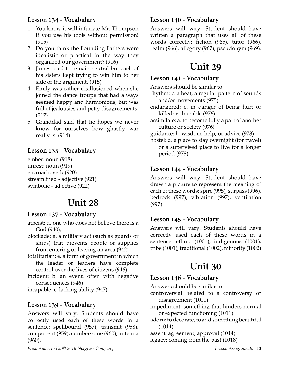## **Lesson 134 - Vocabulary**

- 1. You know it will infuriate Mr. Thompson if you use his tools without permission! (915)
- 2. Do you think the Founding Fathers were idealistic or practical in the way they organized our government? (916)
- 3. James tried to remain neutral but each of his sisters kept trying to win him to her side of the argument. (915)
- 4. Emily was rather disillusioned when she joined the dance troupe that had always seemed happy and harmonious, but was full of jealousies and petty disagreements. (917)
- 5. Granddad said that he hopes we never know for ourselves how ghastly war really is. (914)

## **Lesson 135 - Vocabulary**

ember: noun (918) unrest: noun (919) encroach: verb (920) streamlined - adjective (921) symbolic - adjective (922)

## **Unit 28**

## **Lesson 137 - Vocabulary**

atheist: d. one who does not believe there is a God (940),

- blockade: a. a military act (such as guards or ships) that prevents people or supplies from entering or leaving an area (942)
- totalitarian: e. a form of government in which the leader or leaders have complete control over the lives of citizens (946)
- incident: b. an event, often with negative consequences (946)
- incapable: c. lacking ability (947)

## **Lesson 139 - Vocabulary**

Answers will vary. Students should have correctly used each of these words in a sentence: spellbound (957), transmit (958), component (959), cumbersome (960), antenna (960).

## **Lesson 140 - Vocabulary**

Answers will vary. Student should have written a paragraph that uses all of these words correctly: fiction (965), tutor (966), realm (966), allegory (967), pseudonym (969).

## **Unit 29**

## **Lesson 141 - Vocabulary**

Answers should be similar to:

rhythm: c. a beat, a regular pattern of sounds and/or movements (975)

- endangered: e. in danger of being hurt or killed; vulnerable (976)
- assimilate: a. to become fully a part of another culture or society (976)

guidance: b. wisdom, help, or advice (978)

hostel: d. a place to stay overnight (for travel) or a supervised place to live for a longer period (978)

## **Lesson 144 - Vocabulary**

Answers will vary. Student should have drawn a picture to represent the meaning of each of these words: spire (995), surpass (996), bedrock (997), vibration (997), ventilation (997).

## **Lesson 145 - Vocabulary**

Answers will vary. Students should have correctly used each of these words in a sentence: ethnic (1001), indigenous (1001), tribe (1001), traditional (1002), minority (1002)

## **Unit 30**

## **Lesson 146 - Vocabulary**

Answers should be similar to:

- controversial: related to a controversy or disagreement (1011)
- impediment: something that hinders normal or expected functioning (1011)
- adorn: to decorate, to add something beautiful (1014)

assent: agreement; approval (1014)

legacy: coming from the past (1018)

*From Adam to Us © 2016 Notgrass Company**Lesson Assignments* **13**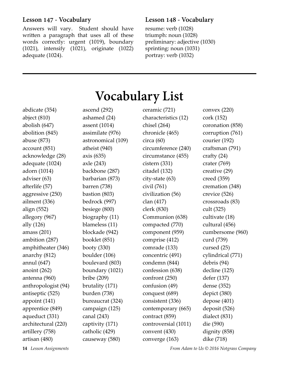### **Lesson 147 - Vocabulary**

Answers will vary. Student should have written a paragraph that uses all of these words correctly: urgent (1019), boundary (1021), intensify (1021), originate (1022) adequate (1024).

### **Lesson 148 - Vocabulary**

resume: verb (1028) triumph: noun (1028) preliminary: adjective (1030) sprinting: noun (1031) portray: verb (1032)

|                     |                    | vocabulai y List           |                   |
|---------------------|--------------------|----------------------------|-------------------|
| abdicate (354)      | ascend $(292)$     | ceramic (721)              | convex $(220)$    |
| abject (810)        | ashamed (24)       | characteristics (12)       | cork (152)        |
| abolish (647)       | assent (1014)      | chisel (264)               | coronation (858)  |
| abolition (845)     | assimilate (976)   | chronicle (465)            | corruption (761)  |
| abuse (873)         | astronomical (109) | circa $(60)$               | courier (192)     |
| account (851)       | atheist (940)      | circumference (240)        | craftsman (791)   |
| acknowledge (28)    | axis $(635)$       | circumstance (455)         | crafty (24)       |
| adequate (1024)     | axle (243)         | cistern(331)               | crater $(769)$    |
| adorn (1014)        | backbone (287)     | citadel (132)              | creative (29)     |
| adviser (63)        | barbarian (873)    | city-state (63)            | creed (359)       |
| afterlife (57)      | barren (738)       | $\dot{\text{civil}}$ (761) | cremation (348)   |
| aggressive (250)    | bastion $(803)$    | civilization (56)          | crevice (526)     |
| ailment (336)       | bedrock (997)      | clan (417)                 | crossroads (83)   |
| align (552)         | besiege (800)      | clerk (830)                | cult (325)        |
| allegory (967)      | biography (11)     | Communion (638)            | cultivate (18)    |
| ally (126)          | blameless (11)     | compacted (770)            | cultural (456)    |
| amass (201)         | blockade (942)     | component (959)            | cumbersome (960)  |
| ambition (287)      | booklet (851)      | comprise (412)             | curd (739)        |
| amphitheater (346)  | booty (330)        | comrade (133)              | cursed (25)       |
| anarchy (812)       | boulder (106)      | concentric (491)           | cylindrical (771) |
| annul (647)         | boulevard (803)    | condemn (844)              | debris (94)       |
| anoint (262)        | boundary (1021)    | confession (638)           | decline (125)     |
| antenna (960)       | bribe $(209)$      | confront (250)             | defer (137)       |
| anthropologist (94) | brutality (171)    | confusion (49)             | dense (352)       |
| antiseptic (525)    | burden (738)       | conquest (689)             | depict (380)      |
| appoint (141)       | bureaucrat (324)   | consistent (336)           | depose (401)      |
| apprentice (849)    | campaign (125)     | contemporary (665)         | deposit (526)     |
| aqueduct (331)      | canal (243)        | contract (859)             | dialect (831)     |
| architectural (220) | captivity (171)    | controversial (1011)       | die (590)         |
| artillery (758)     | catholic (429)     | convent (430)              | dignity (858)     |
| artisan (480)       | causeway (580)     | converge (163)             | dike (718)        |

# **Vocabulary List**

**14** *Lesson Assignments From Adam to Us © 2016 Notgrass Company*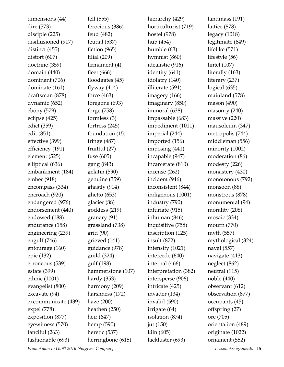dimensions (44) dire (573) disciple (225) disillusioned (917) distinct (455) distort (607) doctrine (359) domain (440) dominant (706) dominate (161) draftsman (878) dynamic (652) ebony (579) eclipse (425) edict (359) edit (851) effective (399) efficiency (191) element (525) elliptical (636) embankment (184) ember (918) encompass (334) encroach (920) endangered (976) endorsement (440) endowed (188) endurance (158) engineering (239) engulf (746) entourage (160) epic (132) erroneous (539) estate (399) ethnic (1001) evangelist (800) excavate (94) excommunicate (439) expel (778) exposition (877) eyewitness (570) fanciful (263) fashionable (693)

fell (555) ferocious (386) feud (482) feudal (537) fiction (965) filial (209) firmament (4) fleet (666) floodgates (45) flyway  $(414)$ force (463) foregone (693) forge (758) formless (3) fortress (245) foundation (15) fringe (487) fruitful (27) fuse (605) gang (843) gelatin (590) genuine (359) ghastly (914) ghetto (653) glacier (88) goddess (219) granary (91) grassland (738) grid (90) grieved (141) guidance (978) guild (324) gulf (198) hammerstone (107) hardy (353) harmony (209) harshness (172) haze (200) heathen (250) heir (647) hemp (590) heretic (537) herringbone (615)

hierarchy (429) horticulturist (719) hostel (978) hub (454) humble (63) hymnist (860) idealistic (916) identity (641) idolatry (140) illiterate (591) imagery (166) imaginary (850) immoral (638) impassable (683) impediment (1011) imperial (244) imported (156) imposing (441) incapable (947) incarcerate (810) incense (262) incident (946) inconsistent (844) indigenous (1001) industry (790) infuriate (915) inhuman (846) inquisitive (758) inscription (125) insult (872) intensify (1021) intercede (640) internal (466) interpretation (382) intersperse (906) intricate (425) invader (134) invalid (590) irrigate (64) isolation (874) jut (150) kiln (605) lackluster (693)

landmass (191) lattice (878) legacy (1018) legitimate (649) lifelike (571) lifestyle (56) lintel (107) literally (163) literary (237) logical (635) mainland (578) mason (490) masonry (240) massive (220) mausoleum (347) metropolis (744) middleman (556) minority (1002) moderation (86) modesty (226) monastery (430) monotonous (792) monsoon (88) monstrous (878) monumental (94) morality (208) mosaic (334) mourn (770) myth (557) mythological (324) naval (557) navigate (413) neglect (862) neutral (915) noble (440) observant (612) observation (877) occupants (45) offspring (27) ore (705) orientation (489) originate (1022) ornament (552)

*From Adam to Us © 2016 Notgrass Company**Lesson Assignments* **15**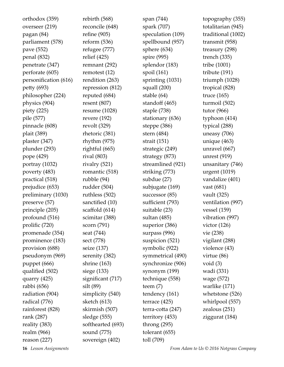| orthodox (359)        |
|-----------------------|
| overseer (219)        |
| pagan (84)            |
| parliament (578)      |
| pave (552)            |
| penal (832)           |
| penetrate (347)       |
| perforate (605)       |
| personification (616) |
| petty (693)           |
| philosopher (224)     |
| physics (904)         |
| piety $(225)$         |
| pile (577)            |
| pinnacle (608)        |
| plait (389)           |
| plaster (347)         |
| plunder (293)         |
| pope (429)            |
| portray (1032)        |
| poverty (483)         |
| practical (518)       |
| prejudice (653)       |
| preliminary (1030)    |
| preserve (57)         |
| principle (205)       |
| profound (516)        |
| prolific (720)        |
| promenade (354)       |
| prominence (183)      |
| provision (688)       |
| pseudonym (969)       |
| puppet (666)          |
| qualified (502)       |
| quarry (425)          |
| rabbi (656)           |
| radiation (904)       |
| radical (776)         |
| rainforest (828)      |
| rank (287)            |
| reality (383)         |
| realm (966)           |
| reason $(227)$        |

rebirth (568) reconcile (648) refine (905) reform (536) refugee (777) relief (425) remnant (292) remotest (12) rendition (263) repression (812) reputed (684) resent (807) resume (1028) revere (192) revolt (329) rhetoric (381) rhythm (975) rightful (665) rival (803) rivalry (521) romantic (518) rubble (94) rudder (504) ruthless (502) sanctified (10) scaffold (614) scimitar (388) scorn (791) seat (744) sect (778) seize (137) serenity (382) shrine (163) siege (133) significant (717) silt (89) simplicity (540) sketch (613) skirmish (507) sledge (555) softhearted (693) sound (775) sovereign (402)

span (744) spark (707) speculation (109) spellbound (957) sphere (634) spire (995) splendor (183) spoil (161) sprinting (1031) squall (200) stable (64) standoff (465) staple (738) stationary (636) steppe (386) stern (484) strait (151) strategic (249) strategy (873) streamlined (921) striking (773) subdue (27) subjugate (169) successor (85) sufficient (793) suitable (23) sultan (485) superior (386) surpass (996) suspicion (521) symbolic (922) symmetrical (490) synchronize (906) synonym (199) technique (558) teem (7) tendency (161) terrace (425) terra-cotta (247) territory (453) throng (295) tolerant (655) toll (709)

topography (355) totalitarian (945) traditional (1002) transmit (958) treasury (298) trench (335) tribe (1001) tribute (191) triumph (1028) tropical (828) truce (165) turmoil (502) tutor (966) typhoon (414) typical (288) uneasy (706) unique (463) unravel (667) unrest (919) unsanitary (746) urgent (1019) vandalize (401) vast (681) vault (325) ventilation (997) vessel (159) vibration (997) victor (126) vie (238) vigilant (288) violence (43) virtue (86) void (3) wadi (331) wage (572) warlike (171) whetstone (526) whirlpool (557) zealous (251) ziggurat (184)

**16** *Lesson Assignments From Adam to Us © 2016 Notgrass Company*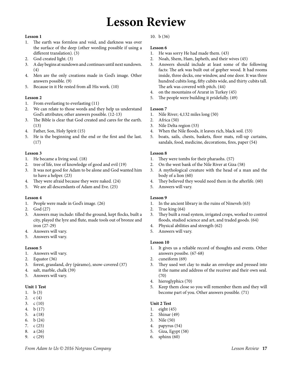## **Lesson Review**

#### **Lesson 1**

- 1. The earth was formless and void, and darkness was over the surface of the deep (other wording possible if using a different translation). (3)
- 2. God created light. (3)
- 3. A day begins at sundown and continues until next sundown. (4)
- 4. Men are the only creations made in God's image. Other answers possible. (9)
- 5. Because in it He rested from all His work. (10)

#### **Lesson 2**

- 1. From everlasting to everlasting (11)
- 2. We can relate to those words and they help us understand God's attributes; other answers possible. (12-13)
- 3. The Bible is clear that God created and cares for the earth. (13)
- 4. Father, Son, Holy Spirit (15)
- 5. He is the beginning and the end or the first and the last. (17)

#### **Lesson 3**

- 1. He became a living soul. (18)
- 2. tree of life, tree of knowledge of good and evil (19)
- 3. It was not good for Adam to be alone and God wanted him to have a helper. (23)
- 4. They were afraid because they were naked. (24)
- 5. We are all descendants of Adam and Eve. (25)

#### **Lesson 4**

- 1. People were made in God's image. (26)
- 2. God (27)
- 3. Answers may include: tilled the ground, kept flocks, built a city, played the lyre and flute, made tools out of bronze and iron (27-29)
- 4. Answers will vary.
- 5. Answers will vary.

#### **Lesson 5**

- 1. Answers will vary.
- 2. Equator (36)
- 3. forest, grassland, dry (páramo), snow-covered (37)
- 4. salt, marble, chalk (39)
- 5. Answers will vary.

#### **Unit 1 Test**

- 1. b (3)
- 2. c (4)
- 3. c (10)
- 4. b (17)
- 5. a (18)
- 6. b (24) 7. c (25)
- 8. a (26)
- 9. c (29)

#### 10. b (36)

#### **Lesson 6**

- 1. He was sorry He had made them. (43)
- 2. Noah, Shem, Ham, Japheth, and their wives (45)
- 3. Answers should include at least some of the following facts: The ark was built out of gopher wood. It had rooms inside, three decks, one window, and one door. It was three hundred cubits long, fifty cubits wide, and thirty cubits tall. The ark was covered with pitch. (44)
- 4. on the mountains of Ararat in Turkey (45)
- 5. The people were building it pridefully. (49)

#### **Lesson 7**

- 1. Nile River; 4,132 miles long (50)
- 2. Africa (50)
- 3. Nile Delta region (53)
- 4. When the Nile floods, it leaves rich, black soil. (53)
- 5. boats, sails, chests, baskets, floor mats, roll-up curtains, sandals, food, medicine, decorations, fires, paper (54)

#### **Lesson 8**

- 1. They were tombs for their pharaohs. (57)
- 2. On the west bank of the Nile River at Giza (58)
- 3. A mythological creature with the head of a man and the body of a lion (60)
- 4. They believed they would need them in the afterlife. (60)
- 5. Answers will vary.

#### **Lesson 9**

- 1. In the ancient library in the ruins of Nineveh (63)
- 2. True king (64)
- 3. They built a road system, irrigated crops, worked to control floods, studied science and art, and traded goods. (64)
- 4. Physical abilities and strength (62)
- 5. Answers will vary.

#### **Lesson 10**

- 1. It gives us a reliable record of thoughts and events. Other answers possibe. (67-68)
- 2. cuneiform (69)
- 3. They used wet clay to make an envelope and pressed into it the name and address of the receiver and their own seal. (70)
- 4. hieroglyphics (70)
- 5. Keep them close so you will remember them and they will become part of you. Other answers possible. (71)

#### **Unit 2 Test**

- 1. eight (45)
- 2. Shinar (49)
- 3. Nile (50)
- 4. papyrus (54)
- 5. Giza, Egypt (58)
- 6. sphinx (60)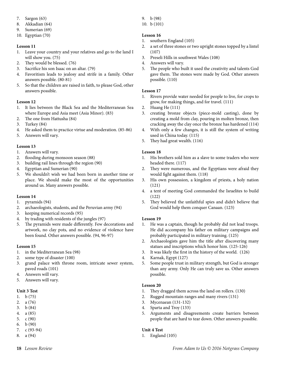- 7. Sargon (63)
- 8. Akkadian (64)
- 9. Sumerian (69)
- 10. Egyptian (70)

- 1. Leave your country and your relatives and go to the land I will show you. (75)
- 2. They would be blessed. (76)
- 3. Sacrifice his son Isaac on an altar. (79)
- 4. Favoritism leads to jealosy and strife in a family. Other answers possible. (80-81)
- 5. So that the children are raised in faith, to please God, other answers possible.

#### **Lesson 12**

- 1. It lies between the Black Sea and the Mediterranean Sea where Europe and Asia meet (Asia Minor). (83)
- 2. The one from Hattusha (84)
- 3. Turkey (84)
- 4. He asked them to practice virtue and moderation. (85-86)
- 5. Answers will vary.

#### **Lesson 13**

- 1. Answers will vary.
- 2. flooding during monsoon season (88)
- 3. building rail lines through the region (90)
- 4. Egyptian and Sumerian (90)
- 5. We shouldn't wish we had been born in another time or place. We should make the most of the opportunities around us. Many answers possible.

#### **Lesson 14**

- 1. pyramids (94)
- 2. archaeologists, students, and the Peruvian army (94)
- 3. keeping numerical records (95)
- 4. by trading with residents of the jungles (97)
- 5. The pyramids were made differently. Few decorations and artwork, no clay pots, and no evidence of violence have been found. Other answers possible. (94, 96-97)

#### **Lesson 15**

- 1. in the Mediterranean Sea (98)
- 2. some type of disaster (100)
- 3. grand palace with throne room, intricate sewer system, paved roads (101)
- 4. Answers will vary.
- 5. Answers will vary.

#### **Unit 3 Test**

- 1. b (75)
- 2. a (76)
- 3. b (84)
- 4. a (85)
- 5. c (90)
- 6. b (90)
- 7. c (93-94)
- 8. a (94)
- 9. b (98)
- 10. b (101)

#### **Lesson 16**

- 1. southern England (105)
- 2. a set of three stones or two upright stones topped by a lintel (107)
- 3. Preseli Hills in southwest Wales (108)
- 4. Answers will vary.
- 5. The people who built it used the creativity and talents God gave them. The stones were made by God. Other answers possible. (110)

#### **Lesson 17**

- 1. Rivers provide water needed for people to live, for crops to grow, for making things, and for travel. (111)
- 2. Huang He (111)
- 3. creating bronze objects (piece-mold casting), done by creating a mold from clay, pouring in molten bronze, then cracking away the clay once the bronze has hardened (114)
- 4. With only a few changes, it is still the system of writing used in China today. (115)
- 5. They had great wealth. (116)

#### **Lesson 18**

- 1. His brothers sold him as a slave to some traders who were headed there. (117)
- 2. They were numerous, and the Egyptians were afraid they would fight against them. (118)
- 3. His own possession, a kingdom of priests, a holy nation (121)
- 4. a tent of meeting God commanded the Israelites to build (122)
- 5. They believed the unfaithful spies and didn't believe that God would help them conquer Canaan. (123)

#### **Lesson 19**

- 1. He was a captain, though he probably did not lead troops. He did accompany his father on military campaigns and probably participated in military training. (125)
- 2. Archaeologists gave him the title after discovering many statues and inscriptions which honor him. (125-126)
- 3. It was likely the first in the history of the world. (126)
- 4. Karnak, Egypt (127)
- 5. Some people trust in military strength, but God is stronger than any army. Only He can truly save us. Other answers possible.

#### **Lesson 20**

- 1. They dragged them across the land on rollers. (130)
- 2. Rugged mountain ranges and many rivers (131)
- 3. Mycenaean (131-132)
- 4. Sparta and Troy (133)
- 5. Arguments and disagreements create barriers between people that are hard to tear down. Other answers possible.

#### **Unit 4 Test**

1. England (105)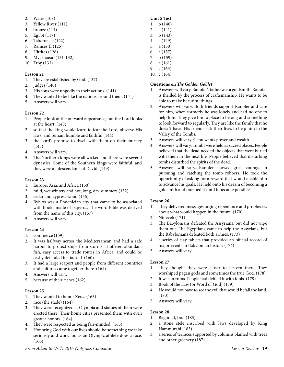- 2. Wales (108)
- 3. Yellow River (111)
- 4. bronze (114)
- 5. Egypt (117)
- 6. Tabernacle (122)
- 7. Ramses II (125)
- 8. Hittites (126)
- 9. Mycenaean (131-132)
- 10. Troy (133)

- 1. They are established by God. (137)
- 2. judges (140)
- 3. His sons were ungodly in their actions. (141)
- 4. They wanted to be like the nations around them. (141)
- 5. Answers will vary.

#### **Lesson 22**

- 1. People look at the outward appearance, but the Lord looks at the heart. (143)
- 2. so that the king would learn to fear the Lord, observe His laws, and remain humble and faithful (144)
- 3. the Lord's promise to dwell with them on their journey (145)
- 4. Answers will vary.
- 5. The Northern kings were all wicked and there were several dynasties. Some of the Southern kings were faithful, and they were all descendants of David. (149)

#### **Lesson 23**

- 1. Europe, Asia, and Africa (150)
- 2. mild, wet winters and hot, long, dry summers (152)
- 3. cedar and cypress wood (156)
- 4. Byblos was a Phoenician city that came to be associated with books made of papyrus. The word Bible was derived from the name of this city. (157)
- 5. Answers will vary.

#### **Lesson 24**

- 1. commerce (159)
- 2. It was halfway across the Mediterranean and had a safe harbor to protect ships from storms. It offered abundant fish, easy access to trade routes in Africa, and could be easily defended if attacked. (160)
- 3. It had a large seaport and people from different countries and cultures came together there. (161)
- 4. Answers will vary.
- 5. because of their riches (162)

#### **Lesson 25**

- 1. They wanted to honor Zeus. (163)
- 2. race (the stade) (164)
- 3. They were recognized at Olympia and statues of them were erected there. Their home cities presented them with even greater honors. (164)
- 4. They were respected as being fair-minded. (165)
- 5. Honoring God with our lives should be something we take seriously and work for, as an Olympic athlete does a race. (166)

#### **Unit 5 Test**

- 1. b (140)
- 2. a (141)
- 3. b (143) 4. c (149)
- 5. a (150)
- 6. a (157)
- 7. b (159)
- 8. a (161)
- 9. c (163)
- 10. c (164)

#### **Questions on** *The Golden Goblet*

- 1. Answers will vary. Ranofer's father was a goldsmith. Ranofer is thrilled by the process of craftsmanship. He wants to be able to make beautiful things.
- 2. Answers will vary. Both friends support Ranofer and care for him, when formerly he was lonely and had no one to help him. They give him a place to belong and something to look forward to regularly. They are like the family that he doesn't have. His friends risk their lives to help him in the Valley of the Tombs.
- 3. Answers will vary. Gebu wants power and wealth.
- 4. Answers will vary. Tombs were held as sacred places. People believed that the dead needed the objects that were buried with them in the next life. People believed that disturbing tombs disturbed the spirits of the dead.
- 5. Answers will vary. Ranofer showed great courage in pursuing and catching the tomb robbers. He took the opportunity of asking for a reward that would enable him to advance his goals. He held onto his dream of becoming a goldsmith and pursued it until it became possible.

#### **Lesson 26**

- 1. They delivered messages urging repentance and prophecies about what would happen in the future. (170)
- 2. Nineveh (171)
- 3. The Babylonians defeated the Assyrians, but did not wipe them out. The Egyptians came to help the Assyrians, but the Babylonians defeated both armies. (173)
- 4. a series of clay tablets that provided an official record of major events in Babylonian history (174)
- 5. Answers will vary.

#### **Lesson 27**

- 1. They thought they were closer to heaven there. They worshiped pagan gods and sometimes the true God. (178)
- 2. It was in ruins. People had defiled it with idols. (179)
- 3. Book of the Law (or Word of God) (179)
- 4. He would not have to see the evil that would befall the land. (180)
- 5. Answers will vary.

- 1. Baghdad, Iraq (183)
- 2. a stone stele inscribed with laws developed by King Hammurabi (183)
- 3. a series of terraces supported by columns planted with trees and other greenery (187)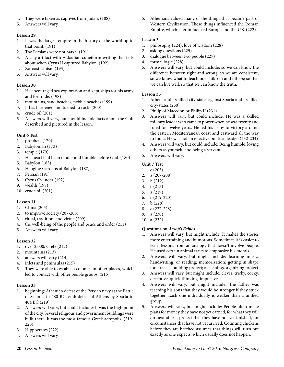- 4. They were taken as captives from Judah. (188)
- 5. Answers will vary.

- 1. It was the largest empire in the history of the world up to that point. (191)
- 2. The Persians were not harsh. (191)
- 3. A clay artifact with Akkadian cuneiform writing that tells about when Cyrus II captured Babylon. (192)
- 4. Zoroastrianism (193)
- 5. Answers will vary.

#### **Lesson 30**

- 1. He encouraged sea exploration and kept ships for his army and for trade. (198)
- 2. mountains, sand beaches, pebble beaches (199)
- 3. It has hardened and turned to rock. (200)
- 4. crude oil (201)
- 5. Answers will vary, but should include facts about the Gulf described and pictured in the lesson.

#### **Unit 6 Test**

- 1. prophets (170)
- 2. Babylonian (173)
- 3. temple (179)
- 4. His heart had been tender and humble before God. (180)
- 5. Babylon (183)
- 6. Hanging Gardens of Babylon (187)
- 7. Persian (191)
- 8. Cyrus Cylinder (192)
- 9. wealth (198)
- 10. crude oil (201)

#### **Lesson 31**

- 1. China (205)
- 2. to improve society (207-208)
- 3. ritual, tradition, and virtue (209)
- 4. the well-being of the people and peace and order (211)
- 5. Answers will vary.

#### **Lesson 32**

- 1. over 2,000; Crete (212)
- 2. mountains (213)
- 3. answers will vary (214)
- 4. inlets and peninsulas (215)
- 5. They were able to establish colonies in other places, which led to contact with other people groups. (215)

#### **Lesson 33**

- 1. beginning: Athenian defeat of the Persian navy at the Battle of Salamis in 480 BC; end: defeat of Athens by Sparta in 404 BC (219)
- 2. Answers will vary, but could include: It was the high point of the city. Several religious and government buildings were built there. It was the most famous Greek acropolis. (219- 220)
- 3. Hippocrates (222)
- 4. Answers will vary.

5. Athenians valued many of the things that became part of Western Civilization. These things influenced the Roman Empire, which later influenced Europe and the U.S. (222)

#### **Lesson 34**

- 1. philosophy (224); love of wisdom (228)
- 2. asking questions (225)
- 3. dialogue between two people (227)
- 4. formal logic (228)
- 5. Answers will vary, but could include: so we can know the difference between right and wrong; so we are consistent; so we know what to teach our children and others; so that we can live well; so that we can know the truth.

#### **Lesson 35**

- 1. Athens and its allied city-states against Sparta and its allied city-states (230)
- 2. Philip of Macedon or Philip II (231)
- 3. Answers will vary, but could include: He was a skilled military leader who came to power when he was twenty and ruled for twelve years. He led his army to victory around the eastern Mediterranean coast and eastward all the way to India. He was not an effective political leader. (232-234)
- 4. Answers will vary, but could include: Being humble, loving others as yourself, and being a servant.
- 5. Answers will vary.

#### **Unit 7 Test**

- 1. c (205)
- 2. a (207-208)
- 3. b (212)
- 4. c (213)
- 5. a (219)
- 6. c (219-220)
- 7. b (228)
- 8. c (227-228)
- 9. a (230) 10. a (232)
- **Questions on** *Aesop's Fables*
- 1. Answers will vary, but might include: It makes the stories more entertaining and humorous. Sometimes it is easier to learn lessons from an analogy that doesn't involve people. He used certain animal traits to emphasize his morals.
- 2. Answers will vary, but might include: learning music, handwriting, or reading; memorization; getting in shape for a race; a building project; a cleaning/organizing project
- 3. Answers will vary, but might include: clever, tricky, cocky, deceptive, quick-thinking, impulsive
- 4. Answers will vary, but might include: The father was teaching his sons that they would be stronger if they stuck together. Each one individually is weaker than a unified group.
- 5. Answers will vary, but might include: People often make plans for money they have not yet earned, for what they will do next after a project that they have not yet finished, for circumstances that have not yet arrived. Counting chickens before they are hatched assumes that things will turn out exactly as one expects, which usually does not happen.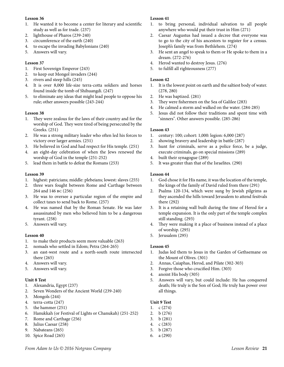- 1. He wanted it to become a center for literary and scientific study as well as for trade. (237)
- 2. lighthouse of Pharos (239-240)
- 3. circumference of the earth (240)
- 4. to escape the invading Babylonians (240)
- 5. Answers will vary.

#### **Lesson 37**

- 1. First Sovereign Emperor (243)
- 2. to keep out Mongol invaders (244)
- 3. rivers and steep hills (245)
- 4. It is over 8,000 life-size terra-cotta soldiers and horses found inside the tomb of Shihuangdi. (247)
- 5. to eliminate any ideas that might lead people to oppose his rule; other answers possible (243-244)

#### **Lesson 38**

- 1. They were zealous for the laws of their country and for the worship of God. They were tired of being persecuted by the Greeks. (251)
- 2. He was a strong military leader who often led his forces to victory over larger armies. (251)
- 3. He believed in God and had respect for His temple. (251)
- 4. an eight-day celebration of when the Jews renewed the worship of God in the temple (251-252)
- 5. lead them in battle to defeat the Romans (253)

#### **Lesson 39**

- 1. highest: patricians; middle: plebeians; lowest: slaves (255)
- 2. three wars fought between Rome and Carthage between 264 and 146 bc (256)
- 3. He was to oversee a particular region of the empire and collect taxes to send back to Rome. (257)
- 4. He was named that by the Roman Senate. He was later assassinated by men who believed him to be a dangerous tyrant. (258)
- 5. Answers will vary.

#### **Lesson 40**

- 1. to make their products seem more valuable (263)
- 2. nomads who settled in Edom; Petra (264-265)
- 3. an east-west route and a north-south route intersected there (265)
- 4. Answers will vary.
- 5. Answers will vary.

#### **Unit 8 Test**

- 1. Alexandria, Egypt (237)
- 2. Seven Wonders of the Ancient World (239-240)
- 3. Mongols (244)
- 4. terra-cotta (247)
- 5. the hammer (251)
- 6. Hanukkah (or Festival of Lights or Chanukah) (251-252)
- 7. Rome and Carthage (256)
- 8. Julius Caesar (258)
- 9. Nabateans (265)
- 10. Spice Road (265)

#### **Lesson 41**

- 1. to bring personal, individual salvation to all people anywhere who would put their trust in Him (271)
- 2. Caesar Augustus had issued a decree that everyone was to go to the city of his ancestors to register for a census. Joseph's family was from Bethlehem. (274)
- 3. He sent an angel to speak to them or He spoke to them in a dream. (272-276)
- 4. Herod wanted to destroy Jesus. (276)
- 5. to fulfill all righteousness (277)

#### **Lesson 42**

- 1. It is the lowest point on earth and the saltiest body of water. (278, 280)
- 2. He was baptized. (281)
- 3. They were fishermen on the Sea of Galilee (283)
- 4. He calmed a storm and walked on the water. (284-285)
- 5. Jesus did not follow their traditions and spent time with "sinners". Other answers possible. (285-286)

#### **Lesson 43**

- 1. century: 100; cohort: 1,000: legion: 6,000 (287)
- 2. showing bravery and leadership in battle (287)
- 3. hunt for criminals, serve as a police force, be a judge, execute criminals, go on special missions (289)
- 4. built their synagogue (289)
- 5. It was greater than that of the Israelites. (290)

#### **Lesson 44**

- 1. God chose it for His name, it was the location of the temple, the kings of the family of David ruled from there (291)
- 2. Psalms 120-134, which were sung by Jewish pilgrims as they ascended the hills toward Jerusalem to attend fesitvals there (292)
- 3. It is a retaining wall built during the time of Herod for a temple expansion. It is the only part of the temple complex still standing. (293)
- 4. They were making it a place of business instead of a place of worship. (295)
- 5. Jerusalem (295)

#### **Lesson 45**

- 1. Judas led them to Jesus in the Garden of Gethsemane on the Mount of Olives. (301)
- 2. Annas, Caiaphas, Herod, and Pilate (302-303)
- 3. Forgive those who crucified Him. (303)
- 4. anoint His body (305)
- 5. Answers will vary, but could include: He has conquered death; He truly is the Son of God; He truly has power over all things.

#### **Unit 9 Test**

- 1. c (274)
- 2. b (276)
- 3. b (281)
- 4. c (283)
- 5. b (287)
- 6. a (290)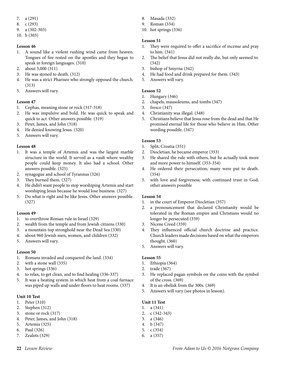- 7. a (291)
- 8. c (293)
- 9. a (302-303)
- 10. b (303)

- 1. A sound like a violent rushing wind came from heaven. Tongues of fire rested on the apostles and they began to speak in foreign languages. (310)
- 2. about 3,000 (311)
- 3. He was stoned to death. (312)
- 4. He was a strict Pharisee who strongly opposed the church. (313)
- 5. Answers will vary.

#### **Lesson 47**

- 1. Cephas, meaning stone or rock (317-318)
- 2. He was impulsive and bold. He was quick to speak and quick to act. Other answers possible. (319)
- 3. Peter, James, and John (318)
- 4. He denied knowing Jesus. (320)
- 5. Answers will vary.

#### **Lesson 48**

- 1. It was a temple of Artemis and was the largest marble structure in the world. It served as a vault where wealthy people could keep money. It also had a school. Other answers possible. (325)
- 2. synagogue and school of Tyrannus (326)
- 3. They burned them. (327)
- 4. He didn't want people to stop worshiping Artemis and start worshiping Jesus because he would lose business. (327)
- 5. Do what is right and be like Jesus. Other answers possible. (327)

#### **Lesson 49**

- 1. to overthrow Roman rule in Israel (329)
- 2. wealth from the temple and from Jewish citizens (330)
- 3. a mountain-top stronghold near the Dead Sea (330)
- 4. about 960 Jewish men, women, and children (332)
- 5. Answers will vary.

#### **Lesson 50**

- 1. Romans invaded and conquered the land. (334)
- 2. with a stone wall (335)
- 3. hot springs (336)
- 4. to relax, to get clean, and to find healing (336-337)
- 5. It was a heating system in which heat from a coal furnace was piped up walls and under floors to heat rooms. (337)

#### **Unit 10 Test**

- 1. Peter (310)
- 2. Stephen (312)
- 3. stone or rock (317)
- 4. Peter, James, and John (318)
- 5. Artemis (325)
- 6. Paul (326)
- 7. Zealots (329)
- 8. Masada (332)
- 9. Roman (334)
- 10. hot springs (336)

#### **Lesson 51**

- 1. They were required to offer a sacrifice of incense and pray to him. (341)
- 2. The belief that Jesus did not really die, but only seemed to. (342)
- 3. bishop of Smyrna (342)
- 4. He had food and drink prepared for them. (343)
- 5. Answers will vary.

#### **Lesson 52**

- 1. Hungary (346)
- 2. chapels, mausoleums, and tombs (347)
- 3. fresco (347)
- 4. Christianity was illegal. (348)
- 5. Christians believe that Jesus rose from the dead and that He promised eternal life for those who believe in Him. Other wording possible. (347)

#### **Lesson 53**

- 1. Split, Croatia (351)
- 2. Diocletian; he became emperor (353)
- 3. He shared the rule with others, but he actually took more and more power to himself. (353-354)
- 4. He ordered their persecution; many were put to death. (354)
- 5. with love and forgiveness; with continued trust in God; other answers possible

#### **Lesson 54**

- 1. in the court of Emperor Diocletian (357)
- 2. a pronouncement that declared Christianity would be tolerated in the Roman empire and Christians would no longer be persecuted (359)
- 3. Nicene Creed (359)
- 4. They influenced official church doctrine and practice. Church leaders made decisions based on what the emperors thought. (360)
- 5. Answers will vary.

#### **Lesson 55**

- 1. Ethiopia (364)
- 2. trade (367)
- 3. He replaced pagan symbols on the coins with the symbol of the cross. (369)
- 4. It is an obelisk from the 300s. (369)
- 5. Answers will vary (see photos in lesson).

#### **Unit 11 Test**

- 1. a (341)
- 2. c (342-343)
- 3. a (346)
- 4. b (347)
- 5. c (354)
- 6. a (357)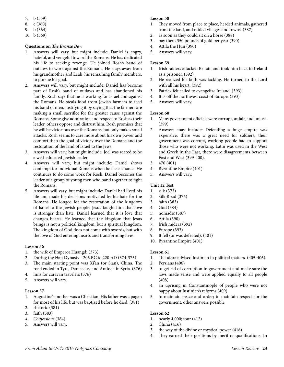- 7. b (359)
- 8. c (360)
- 9. b (364)
- 10. b (369)

#### **Questions on** *The Bronze Bow*

- 1. Answers will vary, but might include: Daniel is angry, hateful, and vengeful toward the Romans. He has dedicated his life to seeking revenge. He joined Rosh's band of outlaws to work against the Romans. He stays away from his grandmother and Leah, his remaining family members, to pursue his goal.
- 2. Answers will vary, but might include: Daniel has become part of Rosh's band of outlaws and has abandoned his family. Rosh says that he is working for Israel and against the Romans. He steals food from Jewish farmers to feed his band of men, justifying it by saying that the farmers are making a small sacrifice for the greater cause against the Romans. Some give admiration and respect to Rosh as their leader, others oppose and distrust him. Rosh promises that he will be victorious over the Romans, but only makes small attacks. Rosh seems to care more about his own power and comfort than the goal of victory over the Romans and the restoration of the land of Israel to the Jews.
- 3. Answers will vary, but might include: Joel was reared to be a well-educated Jewish leader.
- 4. Answers will vary, but might include: Daniel shows contempt for individual Romans when he has a chance. He continues to do some work for Rosh. Daniel becomes the leader of a group of young men who band together to fight the Romans.
- 5. Answers will vary, but might include: Daniel had lived his life and made his decisions motivated by his hate for the Romans. He longed for the restoration of the kingdom of Israel to the Jewish people. Jesus taught him that love is stronger than hate. Daniel learned that it is love that changes hearts. He learned that the kingdom that Jesus brings is not a political kingdom, but a spiritual kingdom. The kingdom of God does not come with swords, but with the love of God entering hearts and transforming lives.

#### **Lesson 56**

- 1. the wife of Emperor Huangdi (373)
- 2. During the Han Dynasty 206 BC to 220 AD (374-375)
- 3. The main starting point was Xi'an (or Sian), China. The road ended in Tyre, Damascus, and Antioch in Syria. (376)
- 4. inns for caravan travelers (376)
- 5. Answers will vary.

#### **Lesson 57**

- 1. Augustine's mother was a Christian. His father was a pagan for most of his life, but was baptized before he died. (381)
- 2. rhetoric (381)
- 3. faith (383)
- *4. Confessions* (384)
- 5. Answers will vary.

#### **Lesson 58**

- 1. They moved from place to place, herded animals, gathered from the land, and raided villages and towns. (387)
- 2. as soon as they could sit on a horse (388)
- 3. pay them 350 pounds of gold per year (390)
- 4. Attila the Hun (390)
- 5. Answers will vary.

#### **Lesson 59**

- 1. Irish raiders attacked Britain and took him back to Ireland as a prisoner. (392)
- 2. He realized his faith was lacking. He turned to the Lord with all his heart. (392)
- 3. Patrick felt called to evangelize Ireland. (393)
- 4. It is off the northwest coast of Europe. (393)
- 5. Answers will vary.

#### **Lesson 60**

- 1. Many government officials were corrupt, unfair, and unjust. (399)
- 2. Answers may include: Defending a huge empire was expensive, there was a great need for soldiers, their government was corrupt, working people had to support those who were not working, Latin was used in the West and Greek in the East, there were disagreements between East and West (399-400).
- 3. 476 (401)
- 4. Byzantine Empire (401)
- 5. Answers will vary.

#### **Unit 12 Test**

- 1. silk (373)
- 2. Silk Road (376)
- 3. faith (383)
- 4. God (384)
- 5. nomadic (387)
- 6. Attila (390)
- 7. Irish raiders (392)
- 8. Europe (393)
- 9. It fell (or was defeated). (401)
- 10. Byzantine Empire (401)

#### **Lesson 61**

- 1. Theodora advised Justinian in political matters. (405-406)
- 2. Persians (406)
- 3. to get rid of corruption in government and make sure the laws made sense and were applied equally to all people (408)
- 4. an uprising in Constantinople of people who were not happy about Justinian's reforms (409)
- 5. to maintain peace and order; to maintain respect for the government; other answers possible

- 1. nearly 4,000; four (412)
- 2. China (416)
- 3. the way of the divine or mystical power (416)
- 4. They earned their positions by merit or qualifications. In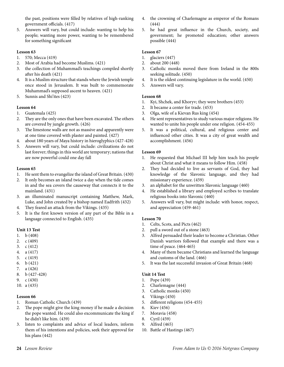the past, positions were filled by relatives of high-ranking government officials. (417)

5. Answers will vary, but could include: wanting to help his people; wanting more power, wanting to be remembered for something significant

#### **Lesson 63**

- 1. 570; Mecca (419)
- 2. Most of Arabia had become Muslims. (421)
- 3. the collection of Muhammad's teachings compiled shortly after his death (421)
- 4. It is a Muslim structure that stands where the Jewish temple once stood in Jerusalem. It was built to commemorate Muhammad's supposed ascent to heaven. (421)
- 5. Sunnis and Shi'ites (423)

#### **Lesson 64**

- 1. Guatemala (425)
- 2. They are the only ones that have been excavated. The others are covered by jungle growth. (426)
- 3. The limestone walls are not as massive and apparently were at one time covered with plaster and painted. (427)
- 4. about 180 years of Maya history in hieroglyphics (427-428)
- 5. Answers will vary, but could include: civilizations do not last forever; things in this world are temporary; nations that are now powerful could one day fall

#### **Lesson 65**

- 1. He sent them to evangelize the island of Great Britain. (430)
- 2. It only becomes an island twice a day when the tide comes in and the sea covers the causeway that connects it to the mainland. (431)
- 3. an illuminated manuscript containing Matthew, Mark, Luke, and John created by a bishop named Eadfrith (432)
- 4. They feared an attack from the Vikings. (435)
- 5. It is the first known version of any part of the Bible in a language connected to English. (435)

#### **Unit 13 Test**

- 1. b (408)
- 2. c (409)
- 3. c (412)
- 4. a (417)
- 5. c (419)
- 6. b (421)
- 7. a (426)
- 8. b (427-428)
- 9. c (430)
- 10. a (435)

#### **Lesson 66**

- 1. Roman Catholic Church (439)
- 2. The pope might give the king money if he made a decision the pope wanted. He could also excommunicate the king if he didn't like him. (439)
- 3. listen to complaints and advice of local leaders, inform them of his intentions and policies, seek their approval for his plans (442)
- 4. the crowning of Charlemagne as emperor of the Romans (444)
- 5. he had great influence in the Church, society, and government; he promoted education; other answers possible (444)

#### **Lesson 67**

- 1. glaciers (447)
- 2. about 200 (448)
- 3. Catholic monks moved there from Ireland in the 800s seeking solitude. (450)
- 4. It is the oldest continuing legislature in the world. (450)
- 5. Answers will vary.

#### **Lesson 68**

- 1. Kyi, Shchek, and Khoryv; they were brothers (453)
- 2. It became a center for trade. (453)
- 3. Olga, wife of a Kievan Rus king (454)
- 4. He sent representatives to study various major religions. He wanted to unite his people under one religion. (454-455)
- 5. It was a political, cultural, and religious center and influenced other cities. It was a city of great wealth and accomplishment. (456)

#### **Lesson 69**

- 1. He requested that Michael III help him teach his people about Christ and what it means to follow Him. (458)
- 2. They had decided to live as servants of God, they had knowledge of the Slavonic language, and they had missionary experience. (459)
- 3. an alphabet for the unwritten Slavonic language (460)
- 4. He established a library and employed scribes to translate religious books into Slavonic (460)
- 5. Answers will vary, but might include: with honor, respect, and appreciation (459-461)

#### **Lesson 70**

- 1. Celts, Scots, and Picts (462)
- 2. pull a sword out of a stone (463)
- 3. Alfred persuaded their leader to become a Christian. Other Danish warriors followed that example and there was a time of peace. (464-465)
- 4. Many of them became Christians and learned the language and customs of the land. (466)
- 5. It was the last successful invasion of Great Britain (468)

#### **Unit 14 Test**

- 1. Pope (439)
- 2. Charlemagne (444)
- 3. Catholic monks (450)
- 4. Vikings (450)
- 5. different religions (454-455)
- 6. Kiev (456)
- 7. Moravia (458)
- 8. Cyril (459)
- 9. Alfred (465)
- 10. Battle of Hastings (467)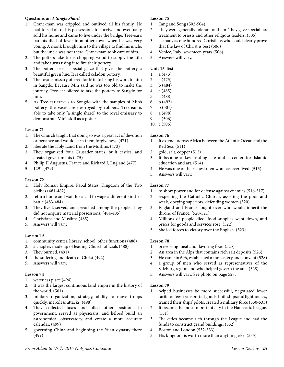#### **Questions on** *A Single Shard*

- 1. Crane-man was crippled and outlived all his family. He had to sell all of his possessions to survive and eventually sold his home and came to live under the bridge. Tree-ear's parents died of fever in another town when he was very young. A monk brought him to the village to find his uncle, but the uncle was not there. Crane-man took care of him.
- 2. The potters take turns chopping wood to supply the kiln and take turns using it to fire their pottery.
- 3. The potters use a special glaze that gives the pottery a beautiful green hue. It is called celadon pottery.
- 4. The royal emissary offered for Min to bring his work to him in Sangdo. Because Min said he was too old to make the journey, Tree-ear offered to take the pottery to Sangdo for him.
- 5. As Tree-ear travels to Songdo with the samples of Min's pottery, the vases are destroyed by robbers. Tree-ear is able to take only "a single shard" to the royal emissary to demonstrate Min's skill as a potter.

#### **Lesson 71**

- 1. The Church taught that doing so was a great act of devotion or penance and would earn them forgiveness. (471)
- 2. liberate the Holy Land from the Muslims (473)
- 3. They organized four Crusader states, built castles, and created governments (475)
- 4. Philip II Augustus, France and Richard I, England (477)
- 5. 1291 (479)

#### **Lesson 72**

- 1. Holy Roman Empire, Papal States, Kingdom of the Two Sicilies (481-482)
- 2. return home and wait for a call to wage a different kind of battle (483-484)
- 3. They lived, served, and preached among the people. They did not acquire material possessions. (484-485)
- 4. Christians and Muslims (485)
- 5. Answers will vary.

#### **Lesson 73**

- 1. community center, library, school, other functions (488)
- 2. a chapter, made up of leading Church officials (488)
- 3. They burned. (491)
- 4. the suffering and death of Christ (492)
- 5. Answers will vary.

#### **Lesson 74**

- 1. waterless place (494)
- 2. It was the largest continuous land empire in the history of the world. (501)
- 3. military organization, strategy, ability to move troops quickly, merciless attacks (498)
- 4. They collected taxes and filled other positions in government, served as physicians, and helped build an astronomical observatory and create a more accurate calendar. (499)
- 5. governing China and beginning the Yuan dynasty there (499)

#### **Lesson 75**

- 1. Tang and Song (502-504)
- 2. They were generally tolerant of them. They gave special tax treatment to priests and other religious leaders. (505)
- 3. as many as one hundred Christians who could clearly prove that the law of Christ is best (506)
- 4. Venice, Italy; seventeen years (506)
- 5. Answers will vary.

#### **Unit 15 Test**

- 1. a (473)
- 2. a (475)
- 3. b (484)
- 4. c (485)
- 5. a (488)
- 6. b (492) 7. b (501)
- 8. a (498)
- 9. a (506)
- 10. c (506)

#### **Lesson 76**

- 1. It extends across Africa between the Atlantic Ocean and the Red Sea. (511)
- 2. gold, salt, copper (512)
- 3. It became a key trading site and a center for Islamic education and art. (514)
- 4. He was one of the richest men who has ever lived. (515)
- 5. Answers will vary.

#### **Lesson 77**

- 1. to show power and for defense against enemies (516-517)
- 2. respecting the Catholic Church, assisting the poor and weak, obeying superiors, defending women (520)
- 3. England and France fought over who would inherit the throne of France. (520-521)
- 4. Millions of people died, food supplies went down, and prices for goods and services rose. (522)
- 5. She led forces to victory over the English. (523)

#### **Lesson 78**

- 1. preserving meat and flavoring food (525)
- 2. An area in the Alps that contains rich salt deposits (526)
- 3. He came in 696, established a monastery and convent (528)
- 4. a group of men who served as representatives of the Salzburg region and who helped govern the area (528)
- 5. Answers will vary. See photo on page 527.

- 1. helped businesses be more successful, negotiated lower tariffs or fees, transported goods, built ships and lighthouses, trained their ships' pilots, created a military force (530-533)
- 2. It became the most important city in the Hanseatic League. (531)
- 3. The cities became rich through the League and had the funds to construct grand buildings. (532)
- 4. Boston and London (532-533)
- 5. His kingdom is worth more than anything else. (535)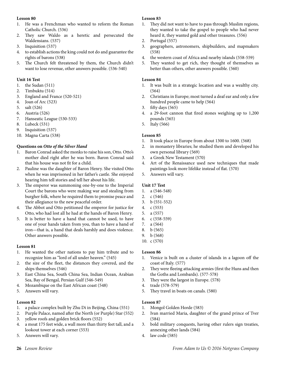- 1. He was a Frenchman who wanted to reform the Roman Catholic Church. (536)
- 2. They saw Waldo as a heretic and persecuted the Waldensians. (537)
- 3. Inquisition (537)
- 4. to establish actions the king could not do and guarantee the rights of barons (538)
- 5. The Church felt threatened by them, the Church didn't want to lose revenue, other answers possible. (536-540)

#### **Unit 16 Test**

- 1. the Sudan (511)
- 2. Timbuktu (514)
- 3. England and France (520-521)
- 4. Joan of Arc (523)
- 5. salt (526)
- 6. Austria (526)
- 7. Hanseatic League (530-533)
- 8. Lubeck (531)
- 9. Inquisition (537)
- 10. Magna Carta (538)

#### **Questions on** *Otto of the Silver Hand*

- 1. Baron Conrad asked the monks to raise his son, Otto. Otto's mother died right after he was born. Baron Conrad said that his house was not fit for a child.
- 2. Pauline was the daughter of Baron Henry. She visited Otto when he was imprisoned in her father's castle. She enjoyed hearing him tell stories and tell her about his life.
- 3. The emperor was summoning one-by-one to the Imperial Court the barons who were making war and stealing from burgher folk, where he required them to promise peace and their allegiance to the new peaceful order.
- 4. The Abbot and Otto petitioned the emperor for justice for Otto, who had lost all he had at the hands of Baron Henry.
- 5. It is better to have a hand that cannot be used, to have one of your hands taken from you, than to have a hand of iron—that is, a hand that deals harshly and does violence. Other answers possible.

#### **Lesson 81**

- 1. He wanted the other nations to pay him tribute and to recognize him as "lord of all under heaven." (545)
- 2. the size of the fleet, the distances they covered, and the ships themselves (546)
- 3. East China Sea, South China Sea, Indian Ocean, Arabian Sea, Bay of Bengal, Persian Gulf (546-549)
- 4. Mozambique on the East African coast (548)
- 5. Answers will vary.

#### **Lesson 82**

- 1. a palace complex built by Zhu Di in Beijing, China (551)
- 2. Purple Palace, named after the North (or Purple) Star (552)
- 3. yellow roofs and golden brick floors (552)
- 4. a moat 175 feet wide, a wall more than thirty feet tall, and a lookout tower at each corner (553)
- 5. Answers will vary.

#### **Lesson 83**

- 1. They did not want to have to pass through Muslim regions, they wanted to take the gospel to people who had never heard it, they wanted gold and other treasures. (556)
- 2. Portugal (557)
- 3. geographers, astronomers, shipbuilders, and mapmakers (558)
- 4. the western coast of Africa and nearby islands (558-559)
- 5. They wanted to get rich, they thought of themselves as better than others, other answers possible. (560)

#### **Lesson 84**

- 1. It was built in a strategic location and was a wealthy city. (564)
- 2. Christians in Europe; most turned a deaf ear and only a few hundred people came to help (564)
- 3. fifty days (565)
- 4. a 29-foot cannon that fired stones weighing up to 1,200 pounds (565)
- 5. Italy (566)

#### **Lesson 85**

- 1. It took place in Europe from about 1300 to 1600. (568)
- 2. in monastery libraries; he studied them and developed his own personal library (569)
- 3. a Greek New Testament (570)
- 4. Art of the Renaissance used new techniques that made paintings look more lifelike instead of flat. (570)
- 5. Answers will vary.

#### **Unit 17 Test**

- 1. a (546-548)
- 2. c (546)
- 3. b (551-552)
- 4. c (553)
- 5. a (557)
- 6. c (558-559)
- 7. a (564)
- 8. b (565)
- 9. b (568)
- 10. c (570)

#### **Lesson 86**

- 1. Venice is built on a cluster of islands in a lagoon off the coast of Italy. (577)
- 2. They were fleeing attacking armies (first the Huns and then the Goths and Lombards). (577-578)
- 3. They were the largest in Europe. (578)
- 4. trade (578-579)
- 5. They travel in boats on canals. (580)

- 1. Mongol Golden Horde (583)
- 2. Ivan married Maria, daughter of the grand prince of Tver (584)
- 3. bold military conquests, having other rulers sign treaties, annexing other lands (584)
- 4. law code (585)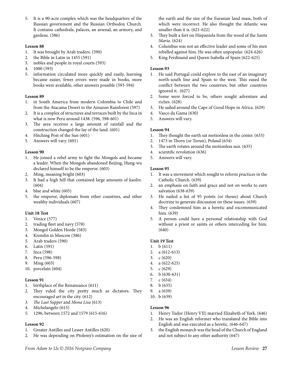5. It is a 90-acre complex which was the headquarters of the Russian government and the Russian Orthodox Church. It contains cathedrals, palaces, an arsenal, an armory, and gardens. (586)

#### **Lesson 88**

- 1. It was brought by Arab traders. (590)
- 2. the Bible in Latin in 1455 (591)
- 3. nobles and people in royal courts (593)
- 4. 1000 (593)
- 5. information circulated more quickly and easily, learning became easier, fewer errors were made in books, more books were available, other answers possible (593-594)

#### **Lesson 89**

- 1. in South America from modern Colombia to Chile and from the Atacama Desert to the Amazon Rainforest (597)
- 2. It is a complex of structures and terraces built by the Inca in what is now Peru around 1438. (596, 598-601)
- 3. The area receives a large amount of rainfall and the construction changed the lay of the land. (601)
- 4. Hitching Post of the Sun (601)
- 5. Answers will vary. (601)

#### **Lesson 90**

- 1. He joined a rebel army to fight the Mongols and became a leader. When the Mongols abandoned Beijing, Hung-wu declared himself to be the emperor. (603)
- 2. Ming, meaning bright (603)
- 3. It had a high hill that contained large amounts of kaolin. (604)
- 4. blue and white (605)
- 5. the emperor, diplomats from other countries, and other wealthy individuals (607)

#### **Unit 18 Test**

- 1. Venice (577)
- 2. trading fleet and navy (578)
- 3. Mongol Golden Horde (583)
- 4. Kremlin in Moscow (586)
- 5. Arab traders (590)
- 6. Latin (591)
- 7. Inca (598)
- 8. Peru (596-598)
- 9. Ming (603)
- 10. porcelain (604)

#### **Lesson 91**

- 1. birthplace of the Renaissance (611)
- 2. They ruled the city pretty much as dictators. They encouraged art in the city. (612)
- *3. The Last Supper* and *Mona Lisa* (613)
- 4. Michelangelo (613)
- 5. 1296, between 1572 and 1579 (615-616)

#### **Lesson 92**

- 1. Greater Antilles and Lesser Antilles (620)
- 2. He was depending on Ptolemy's estimation on the size of

the earth and the size of the Eurasian land mass, both of which were incorrect. He also thought the Atlantic was smaller than it is. (621-622)

- 3. They built a fort on Hispaniola from the wood of the *Santa Maria*. (624)
- 4. Columbus was not an effective leader and some of his men rebelled against him. He was often unpopular. (624-626)
- 5. King Ferdinand and Queen Isabella of Spain (622-625)

#### **Lesson 93**

- 1. He said Portugal could explore to the east of an imaginary north-south line and Spain to the west. This eased the conflict between the two countries, but other countries ignored it. (627)
- 2. Some were forced to be, others sought adventure and riches. (628)
- 3. He sailed around the Cape of Good Hope in Africa. (629)
- 4. Vasco da Gama (630)
- 5. Answers will vary.

#### **Lesson 94**

- 1. They thought the earth sat motionless in the center. (633)
- 2. 1473 in Thorn (or Torun), Poland (634)
- 3. The earth rotates around the motionless sun. (635)
- 4. scientific revolution (636)
- 5. Answers will vary.

#### **Lesson 95**

- 1. It was a movement which sought to reform practices in the Catholic Church. (639)
- 2. an emphasis on faith and grace and not on works to earn salvation (638-639)
- 3. He nailed a list of 95 points (or theses) about Church doctrine to generate discussion on these issues. (639)
- 4. They condemned him as a heretic and excommunicated him. (639)
- 5. A person could have a personal relationship with God without a priest or saints or others interceding for him. (640)

#### **Unit 19 Test**

- 1. b (611)
- 2. a (612-613)
- 3. c (620)
- 4. a (622-625)
- 5. c (629)
- 6. b (630-631)
- 7. c (634)
- 8. b (635)
- 9. a (639)
- 10. b (639)

- 1. Henry Tudor (Henry VII) married Elizabeth of York. (646)
- 2. He was an English reformer who translated the Bible into English and was executed as a heretic. (646-647)
- 3. the English monarch was the head of the Church of England and not subject to any other authority (647)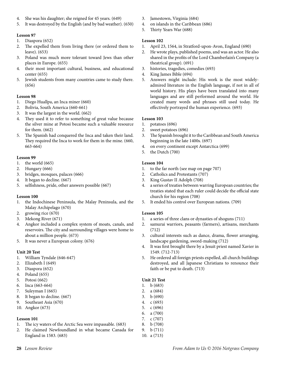- 4. She was his daughter; she reigned for 45 years. (649)
- 5. It was destroyed by the English (and by bad weather). (650)

- 1. Diaspora (652)
- 2. The expelled them from living there (or ordered them to leave). (653)
- 3. Poland was much more tolerant toward Jews than other places in Europe. (655)
- 4. their most important cultural, business, and educational center (655)
- 5. Jewish students from many countries came to study there. (656)

#### **Lesson 98**

- 1. Diego Huallpa, an Inca miner (660)
- 2. Bolivia, South America (660-661)
- 3. It was the largest in the world. (662)
- 4. They used it to refer to something of great value because the silver mine at Potosi became such a valuable resource for them. (662)
- 5. The Spanish had conquered the Inca and taken their land. They required the Inca to work for them in the mine. (660, 663-664)

#### **Lesson 99**

- 1. the world (665)
- 2. Hungary (666)
- 3. bridges, mosques, palaces (666)
- 4. It began to decline. (667)
- 5. selfishness, pride, other answers possible (667)

#### **Lesson 100**

- 1. the Indochinese Peninsula, the Malay Peninsula, and the Malay Archipelago (670)
- 2. growing rice (670)
- 3. Mekong River (671)
- 4. Angkor included a complex system of moats, canals, and reservoirs. The city and surrounding villages were home to about a million people. (673)
- 5. It was never a European colony. (676)

#### **Unit 20 Test**

- 1. William Tyndale (646-647)
- 2. Elizabeth I (649)
- 3. Diaspora (652)
- 4. Poland (655)
- 5. Potosi (662)
- 6. Inca (663-664)
- 7. Suleyman I (665)
- 8. It began to decline. (667)
- 9. Southeast Asia (670)
- 10. Angkor (673)

#### **Lesson 101**

- 1. The icy waters of the Arctic Sea were impassable. (683)
- 2. He claimed Newfoundland in what became Canada for England in 1583. (683)
- 3. Jamestown, Virginia (684)
- 4. on islands in the Caribbean (686)
- 5. Thirty Years War (688)

#### **Lesson 102**

- 1. April 23, 1564, in Stratford-upon-Avon, England (690)
- 2. He wrote plays, published poems, and was an actor. He also shared in the profits of the Lord Chamberlain's Company (a theatrical group). (691)
- 3. histories, tragedies, comedies (693)
- 4. King James Bible (694)
- 5. Answers might include: His work is the most widelyadmired literature in the English language, if not in all of world history. His plays have been translated into many languages and are still performed around the world. He created many words and phrases still used today. He effectively portrayed the human experience. (693)

#### **Lesson 103**

- 1. potatoes (696)
- 2. sweet potatoes (696)
- 3. The Spanish brought it to the Caribbean and South America beginning in the late 1400s. (697)
- 4. on every continent except Antarctica (699)
- 5. the Dutch (700)

#### **Lesson 104**

- 1. to the far north (see map on page 707)
- 2. Catholics and Protestants (707)
- 3. King Gustav II Adolph (708)
- 4. a series of treaties between warring European countries; the treaties stated that each ruler could decide the official state church for his region (708)
- 5. It ended his control over European nations. (709)

#### **Lesson 105**

- 1. a series of three clans or dynasties of shoguns (711)
- 2. samurai warriors, peasants (farmers), artisans, merchants (712)
- 3. cultural interests such as dance, drama, flower arranging, landscape gardening, sword-making (712)
- 4. It was first brought there by a Jesuit priest named Xavier in 1549. (712-713)
- 5. He ordered all foreign priests expelled, all church buildings destroyed, and all Japanese Christians to renounce their faith or be put to death. (713)

#### **Unit 21 Test**

- 1. b (683)
- 2. a (684)
- 3. b (690)
- 4. c (693)
- 5. c (696)
- 6. a (700)
- 7. c (707)
- 8. b (708)
- 9. b (711) 10. a (713)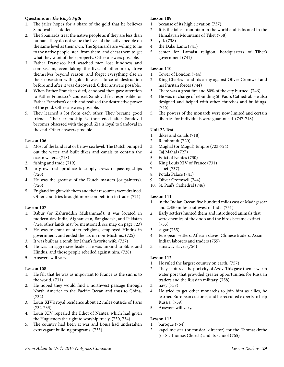#### **Questions on** *The King's Fifth*

- 1. The jailer hopes for a share of the gold that he believes Sandoval has hidden.
- 2. The Spaniards treat the native people as if they are less than human. They do not value the lives of the native people on the same level as their own. The Spaniards are willing to lie to the native people, steal from them, and cheat them to get what they want of their property. Other answers possible.
- 3. Father Francisco had watched men lose kindness and compassion, even taking the lives of other men, drive themselves beyond reason, and forget everything else in their obsession with gold. It was a force of destruction before and after it was discovered. Other answers possible.
- 4. When Father Francisco died, Sandoval then gave attention to Father Francisco's counsel. Sandoval felt responsible for Father Francisco's death and realized the destructive power of the gold. Other answers possible.
- 5. They learned a lot from each other. They became good friends. Their friendship is threatened after Sandoval becomes obsessed with the gold. Zia is loyal to Sandoval in the end. Other answers possible.

#### **Lesson 106**

- 1. Most of the land is at or below sea level. The Dutch pumped out the water and built dikes and canals to contain the ocean waters. (718)
- 2. fishing and trade (719)
- 3. to grow fresh produce to supply crews of passing ships (720)
- 4. He was the greatest of the Dutch masters (or painters). (720)
- 5. England fought with them and their resources were drained. Other countries brought more competition in trade. (721)

#### **Lesson 107**

- 1. Babur (or Zahiruddin Muhammad); it was located in modern-day India, Afghanistan, Bangladesh, and Pakistan (724; other lands may be mentioned, see map on page 723)
- 2. He was tolerant of other religions, employed Hindus in government, and ended the tax on non-Muslims. (725)
- 3. It was built as a tomb for Jahan's favorite wife. (727)
- 4. He was an aggressive leader. He was unkind to Sikhs and Hindus, and those people rebelled against him. (728)
- 5. Answers will vary.

#### **Lesson 108**

- 1. He felt that he was as important to France as the sun is to the world. (731)
- 2. He hoped they would find a northwest passage through North America to the Pacific Ocean and thus to China. (732)
- 3. Louis XIV's royal residence about 12 miles outside of Paris (732-733)
- 4. Louis XIV repealed the Edict of Nantes, which had given the Huguenots the right to worship freely. (730, 734)
- 5. The country had been at war and Louis had undertaken extravagant building programs. (735)

#### **Lesson 109**

- 1. because of its high elevation (737)
- 2. It is the tallest mountain in the world and is located in the Himalayan Mountains of Tibet (738)
- 3. yak (738)
- 4. the Dalai Lama (741)
- 5. center for Lamaist religion, headquarters of Tibet's government (741)

#### **Lesson 110**

- 1. Tower of London (744)
- 2. King Charles I and his army against Oliver Cromwell and his Puritan forces (744)
- 3. There was a great fire and 80% of the city burned. (746)
- 4. He was in charge of rebuilding St. Paul's Cathedral. He also designed and helped with other churches and buildings. (746)
- 5. The powers of the monarch were now limited and certain liberties for individuals were guaranteed. (747-748)

#### **Unit 22 Test**

- 1. dikes and canals (718)
- 2. Rembrandt (720)
- 3. Mughal (or Mogul) Empire (723-724)
- 4. Taj Mahal (727)
- 5. Edict of Nantes (730)
- 6. King Louis XIV of France (731)
- 7. Tibet (737)
- 8. Potala Palace (741)
- 9. Oliver Cromwell (744)
- 10. St. Paul's Cathedral (746)

#### **Lesson 111**

- 1. in the Indian Ocean five hundred miles east of Madagascar and 2,450 miles southwest of India (751)
- 2. Early settlers hunted them and introduced animals that were enemies of the dodo and the birds became extinct. (753)
- 3. sugar (755)
- 4. European settlers, African slaves, Chinese traders, Asian Indian laborers and traders (755)
- 5. runaway slaves (756)

#### **Lesson 112**

- 1. He ruled the largest country on earth. (757)
- 2. They captured the port city of Azov. This gave them a warm water port that provided greater opportunities for Russian traders and the Russian military. (758)
- 3. navy (758)
- 4. He tried to get other monarchs to join him as allies, he learned European customs, and he recruited experts to help Russia. (759)
- 5. Answers will vary.

- 1. baroque (764)
- 2. kapellmeister (or musical director) for the Thomaskirche (or St. Thomas Church) and its school (765)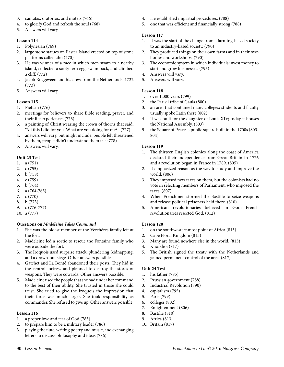- 3. cantatas, oratorios, and motets (766)
- 4. to glorify God and refresh the soul (768)
- 5. Answers will vary.

- 1. Polynesian (769)
- 2. large stone statues on Easter Island erected on top of stone platforms called ahu (770)
- 3. He was winner of a race in which men swam to a nearby island, collected a sooty tern egg, swam back, and climbed a cliff. (772)
- 4. Jacob Roggeveen and his crew from the Netherlands, 1722 (773)
- 5. Answers will vary.

#### **Lesson 115**

- 1. Pietism (776)
- 2. meetings for believers to share Bible reading, prayer, and their life experiences (776)
- 3. a painting of Christ wearing the crown of thorns that said, "All this I did for you. What are you doing for me?" (777)
- 4. answers will vary, but might include: people felt threatened by them, people didn't understand them (see 778)
- 5. Answers will vary.

#### **Unit 23 Test**

- 1. a (751)
- 2. c (755)
- 3. b (758)
- 4. c (759)
- 5. b (764)
- 6. a (764-765)
- 7. c (770) 8. b (773)
- 9. c (776-777)
- 10. a (777)

#### **Questions on** *Madeleine Takes Command*

- 1. She was the oldest member of the Verchéres family left at the fort.
- 2. Madeleine led a sortie to rescue the Fontaine family who were outside the fort.
- 3. The Iroquois used surprise attack, plundering, kidnapping, and a drawn-out siege. Other answers possible.
- 4. Gatchet and La Bonté abandoned their posts. They hid in the central fortress and planned to destroy the stores of weapons. They were cowards. Other answers possible.
- 5. Madeleine used the people that she had under her command to the best of their ability. She trusted in those she could trust. She tried to give the Iroquois the impression that their force was much larger. She took responsibility as commander. She refused to give up. Other answers possible.

#### **Lesson 116**

- 1. a proper love and fear of God (785)
- 2. to prepare him to be a military leader (786)
- 3. playing the flute, writing poetry and music, and exchanging letters to discuss philosophy and ideas (786)
- 4. He established impartial procedures. (788)
- 5. one that was efficient and financially strong (788)

#### **Lesson 117**

- 1. It was the start of the change from a farming-based society to an industry-based society. (790)
- 2. They produced things on their own farms and in their own homes and workshops. (790)
- 3. The economic system in which individuals invest money to start and grow businesses. (795)
- 4. Answers will vary.
- 5. Answers will vary.

#### **Lesson 118**

- 1. over 1,000 years (799)
- 2. the Parisii tribe of Gauls (800)
- 3. an area that contained many colleges; students and faculty usually spoke Latin there (802)
- 4. It was built for the daughter of Louis XIV; today it houses the National Assembly. (803)
- 5. the Square of Peace, a public square built in the 1700s (803- 804)

#### **Lesson 119**

- 1. The thirteen English colonies along the coast of America declared their independence from Great Britain in 1776 and a revolution began in France in 1789. (805)
- 2. It emphasized reason as the way to study and improve the world. (806)
- 3. They imposed new taxes on them, but the colonists had no vote in selecting members of Parliament, who imposed the taxes. (807)
- 4. When Frenchmen stormed the Bastille to seize weapons and release political prisoners held there. (810)
- 5. American revolutionaries believed in God; French revolutionaries rejected God. (812)

#### **Lesson 120**

- 1. on the southwesternmost point of Africa (813)
- 2. Cape Floral Kingdom (815)
- 3. Many are found nowhere else in the world. (815)
- 4. Khoikhoi (817)
- 5. The British signed the treaty with the Netherlands and gained permanent control of the area. (817)

#### **Unit 24 Test**

- 1. his father (785)
- 2. Prussian government (788)
- 3. Industrial Revolution (790)
- 4. capitalism (795)
- 5. Paris (799)
- 6. colleges (802)
- 7. Enlightenment (806)
- 8. Bastille (810)
- 9. Africa (813)
- 10. Britain (817)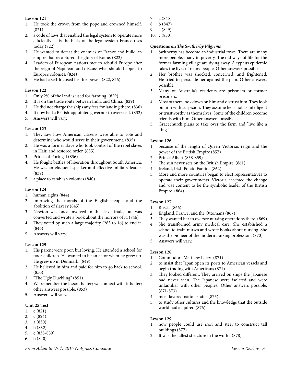- 1. He took the crown from the pope and crowned himself. (821)
- 2. a code of laws that enabled the legal system to operate more efficiently; it is the basis of the legal system France uses today (822)
- 3. He wanted to defeat the enemies of France and build an empire that recaptured the glory of Rome. (822)
- 4. Leaders of European nations met to rebuild Europe after the reign of Napoleon and discuss what should happen to Europe's colonies. (824)
- 5. He had a self-focused lust for power. (822, 826)

#### **Lesson 122**

- 1. Only 2% of the land is used for farming. (829)
- 2. It is on the trade route between India and China. (829)
- 3. He did not charge the ships any fees for landing there. (830)
- 4. It now had a British-appointed governor to oversee it. (832)
- 5. Answers will vary.

#### **Lesson 123**

- 1. They saw how American citizens were able to vote and determine who would serve in their government. (835)
- 2. He was a former slave who took control of the rebel slaves in Haiti and restored order. (835)
- 3. Prince of Portugal (836)
- 4. He fought battles of liberation throughout South America. He was an eloquent speaker and effective military leader. (839)
- 5. a place to establish colonies (840)

#### **Lesson 124**

- 1. human rights (844)
- 2. improving the morals of the English people and the abolition of slavery (845)
- 3. Newton was once involved in the slave trade, but was converted and wrote a book about the horrors of it. (846)
- 4. They voted by such a large majority (283 to 16) to end it. (846)
- 5. Answers will vary.

#### **Lesson 125**

- 1. His parent were poor, but loving. He attended a school for poor children. He wanted to be an actor when he grew up. He grew up in Denmark. (849)
- 2. He believed in him and paid for him to go back to school. (850)
- 3. "The Ugly Duckling" (851)
- 4. We remember the lesson better; we connect with it better; other answers possible. (853)
- 5. Answers will vary.

#### **Unit 25 Test**

- 1. c (821)
- 2. c (824)
- 3. a (830)
- 4. b (832)
- 5. c (838-839)
- 6. b (840)
- 7. a (845)
- 8. b (847)
- 9. a (849)
- 10. c (850)

#### **Questions on** *The Switherby Pilgrims*

- 1. Switherby has become an industrial town. There are many more people, many in poverty. The old ways of life for the former farming village are dying away. A typhus epidemic takes the lives of many people. Other answers possible.
- 2. Her brother was shocked, concerned, and frightened. He tried to persuade her against the plan. Other answers possible.
- 3. Many of Australia's residents are prisoners or former prisoners.
- 4. Most of them look down on him and distrust him. They look on him with suspicion. They assume he is not as intelligent or trustworthy as themselves. Some of the children become friends with him. Other answers possible.
- 5. Gracechurch plans to take over the farm and "live like a king."

#### **Lesson 126**

- 1. because of the length of Queen Victoria's reign and the power of the British Empire (857)
- 2. Prince Albert (858-859)
- 3. The sun never sets on the British Empire. (861)
- 4. Ireland, Irish Potato Famine (862)
- 5. More and more countries began to elect representatives to operate their governments. Victoria accepted the change and was content to be the symbolic leader of the British Empire. (864)

#### **Lesson 127**

- 1. Russia (866)
- 2. England, France, and the Ottomans (867)
- 3. They wanted her to oversee nursing operations there. (869)
- 4. She transformed army medical care. She established a school to train nurses and wrote books about nursing. She was the pioneer of the modern nursing profession. (870)
- 5. Answers will vary.

#### **Lesson 128**

- 1. Commodore Matthew Perry (871)
- 2. to insist that Japan open its ports to American vessels and begin trading with Americans (871)
- 3. They looked different. They arrived on ships the Japanese had never seen. The Japanese were isolated and were unfamiliar with other peoples. Other answers possible. (871-873)
- 4. most favored nation status (875)
- 5. to study other cultures and the knowledge that the outside world had acquired (876)

- 1. how people could use iron and steel to construct tall buildings (877)
- 2. It was the tallest structure in the world. (878)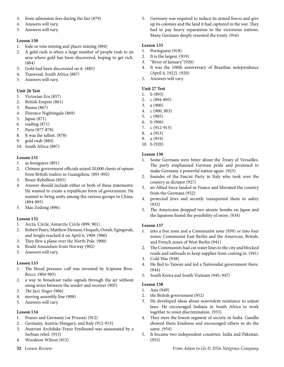- 3. from admission fees during the fair (879)
- 4. Answers will vary.
- 5. Answers will vary.

- 1. lode or vein mining and placer mining (884)
- 2. A gold rush is when a large number of people rush to an area where gold has been discovered, hoping to get rich. (884)
- 3. Gold had been discovered on it. (885)
- 4. Transvaal, South Africa (887)
- 5. Answers will vary.

#### **Unit 26 Test**

- 1. Victorian Era (857)
- 2. British Empire (861)
- 3. Russia (867)
- 4. Florence Nightingale (869)
- 5. Japan (871)
- 6. trading (871)
- 7. Paris (877-878)
- 8. It was the tallest. (878)
- 9. gold rush (884)
- 10. South Africa (887)

#### **Lesson 131**

- 1. as foreigners (891)
- 2. Chinese government officials seized 20,000 chests of opium from British traders in Guangzhou. (891-892)
- 3. Boxer Rebellion (893)
- 4. Answer should include either or both of these statements: He wanted to create a republican form of government. He wanted to bring unity among the various groups in China. (894-895)
- 5. Mao Zedong (896)

#### **Lesson 132**

- 1. Arctic Circle, Antarctic Circle (899, 901)
- 2. Robert Peary, Matthew Henson, Ooqueh, Ootah, Egingwah, and Seeglo reached it on April 6, 1909. (900)
- 3. They flew a plane over the North Pole. (900)
- 4. Roald Amundsen from Norway (902)
- 5. Answers will vary.

#### **Lesson 133**

- 1. The blood pressure cuff was invented by Scipione Riva-Rocci. (904-905)
- 2. a way to broadcast radio signals through the air without using wires between the sender and receiver (905)
- *3. The Jazz Singer* (906)
- 4. moving assembly line (908)
- 5. Answers will vary.

#### **Lesson 134**

- 1. France and Germany (or Prussia) (912)
- 2. Germany, Austria-Hungary, and Italy (912-913)
- 3. Austrian Archduke Franz Ferdinand was assasinated by a Serbian rebel. (913)
- 4. Woodrow Wilson (915)
- 

5. Germany was required to reduce its armed forces and give up its colonies and the land it had captured in the war. They had to pay heavy reparations to the victorious nations. Many Germans deeply resented the treaty. (916)

#### **Lesson 135**

- 1. Portuguese (918)
- 2. It is the largest. (919)
- 3. "River of January"(920)
- 4. It was the 100th anniversary of Brazilian independence (April 4, 1922). (920)
- 5. Answers will vary.

#### **Unit 27 Test**

- 1. b (893)
- 2. c (894-895)
- 3. a (900)
- 4. c (900, 903)
- 5. c (905)
- 6. b (906)
- 7. c (912-913)
- 8. a (913) 9. a (919)
- 10. b (920)

#### **Lesson 136**

- 1. Some Germans were bitter about the Treaty of Versailles. The party emphasized German pride and promised to make Germany a powerful nation again. (925)
- 2. founder of the Fascist Party in Italy who took over the country as dictator (927)
- 3. an Allied force landed in France and liberated the country from the Germans (932)
- 4. protected Jews and secretly transported them to safety (932)
- 5. The Americans dropped two atomic bombs on Japan and the Japanese feared the possibility of more. (934)

#### **Lesson 137**

- 1. into a free zone and a Communist zone (939) or into four zones: Communist East Berlin and the American, British, and French zones of West Berlin (941)
- 2. The Communists had cut water lines to the city and blocked roads and railroads to keep supplies from coming in. (941)
- 3. Cold War (938)
- 4. He fled to Taiwan and led a Nationalist government there. (944)
- 5. South Korea and South Vietnam (945, 947)

- 1. Asia (949)
- 2. the British government (952)
- 3. He developed ideas about nonviolent resistance to unjust laws. He encouraged Indians in South Africa to work together to resist discrimination. (953)
- 4. They were the lowest segment of society in India. Gandhi showed them kindness and encouraged others to do the same. (954)
- 5. It became two independent countries: India and Pakistan. (955)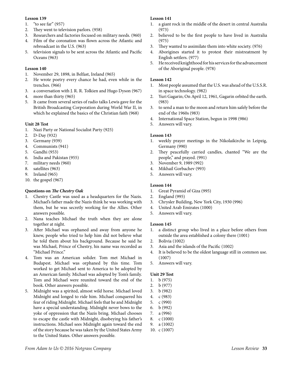- 1. "to see far" (957)
- 2. They went to television parlors. (958)
- 3. Researchers and factories focused on military needs. (960) 4. Film of the coronation was flown across the Atlantic and
- rebroadcast in the U.S. (963)
- 5. television signals to be sent across the Atlantic and Pacific Oceans (963)

#### **Lesson 140**

- 1. November 29, 1898, in Belfast, Ireland (965)
- 2. He wrote poetry every chance he had, even while in the trenches. (966)
- 3. a conversation with J. R. R. Tolkien and Hugo Dyson (967)
- 4. more than thirty (965)
- 5. It came from several series of radio talks Lewis gave for the British Broadcasting Corporation during World War II, in which he explained the basics of the Christian faith (968)

#### **Unit 28 Test**

- 1. Nazi Party or National Socialist Party (925)
- 2. D-Day (932)
- 3. Germany (939)
- 4. Communists (941)
- 5. Gandhi (953)
- 6. India and Pakistan (955)
- 7. military needs (960)
- 8. satellites (963)
- 9. Ireland (965)
- 10. the gospel (967)

#### **Questions on** *The Chestry Oak*

- 1. Chestry Castle was used as a headquarters for the Nazis. Michael's father made the Nazis think he was working with them, but he was secretly working for the Allies. Other answers possible.
- 2. Nana teaches Michael the truth when they are alone together at night.
- 3. After Michael was orphaned and away from anyone he knew, people who tried to help him did not believe what he told them about his background. Because he said he was Michael, Prince of Chestry, his name was recorded as "Michael Prince."
- 4. Tom was an American solider. Tom met Michael in Budapest. Michael was orphaned by this time. Tom worked to get Michael sent to America to be adopted by an American family. Michael was adopted by Tom's family. Tom and Michael were reunited toward the end of the book. Other answers possible.
- 5. Midnight was a spirited, almost wild horse. Michael loved Midnight and longed to ride him. Michael conquered his fear of riding Midnight. Michael feels that he and Midnight have a special understanding. Midnight never bows to the yoke of oppression that the Nazis bring. Michael chooses to escape the castle with Midnight, disobeying his father's instructions. Michael sees Midnight again toward the end of the story because he was taken by the United States Army to the United States. Other answers possible.

#### **Lesson 141**

- 1. a giant rock in the middle of the desert in central Australia (973)
- 2. believed to be the first people to have lived in Australia (975)
- 3. They wanted to assimilate them into white society. (976)
- 4. Aborigines started it to protest their mistreatment by English settlers. (977)
- 5. He received knighthood for his services for the advancement of the Aboriginal people. (978)

#### **Lesson 142**

- 1. Most people assumed that the U.S. was ahead of the U.S.S.R. in space technology. (982)
- 2. Yuri Gagarin; On April 12, 1961, Gagarin orbited the earth. (983)
- 3. to send a man to the moon and return him safely before the end of the 1960s (983)
- 4. International Space Station, begun in 1998 (986)
- 5. Answers will vary.

#### **Lesson 143**

- 1. weekly prayer meetings in the Nikolaikirche in Leipzig, Germany (990)
- 2. They peacefully carried candles, chanted "We are the people," and prayed. (991)
- 3. November 9, 1989 (992)
- 4. Mikhail Gorbachev (993)
- 5. Answers will vary.

#### **Lesson 144**

- 1. Great Pyramid of Giza (995)
- 2. England (995)
- 3. Chrysler Building, New York City, 1930 (996)
- 4. United Arab Emirates (1000)
- 5. Answers will vary.

#### **Lesson 145**

- 1. a distinct group who lived in a place before others from outside the area established a colony there (1001)
- 2. Bolivia (1002)
- 3. Asia and the islands of the Pacific (1002)
- 4. It is believed to be the oldest language still in common use. (1007)
- 5. Answers will vary.

#### **Unit 29 Test**

- 1. b (975)
- 2. b (977)
- 3. b (982)
- 4. c (983)
- 5. c (990)
- 6. b (992)
- 7. a (996)
- 8. c (1000)
- 9. a (1002) 10. c (1007)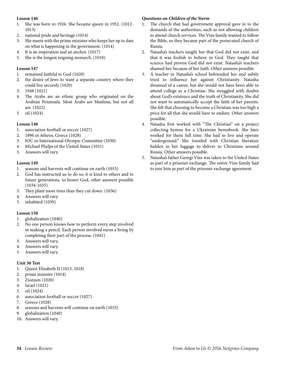- 1. She was born in 1926. She became queen in 1952. (1012- 1013)
- 2. national pride and heritage (1014)
- 3. She meets with the prime minister who keeps her up to date on what is happening in the government. (1014)
- 4. It is an inspiration and an anchor. (1017)
- 5. She is the longest reigning monarch. (1018)

#### **Lesson 147**

- 1. remained faithful to God (1020)
- 2. the desire of Jews to want a separate country where they could live securely (1020)
- 3. 1948 (1021)
- 4. The Arabs are an ethnic group who originated on the Arabian Peninsula. Most Arabs are Muslims, but not all are. (1022)
- 5. oil (1024)

#### **Lesson 148**

- 1. association football or soccer (1027)
- 2. 1896 in Athens, Greece (1028)
- 3. IOC or International Olympic Committee (1030)
- 4. Michael Phelps of the United States (1031)
- 5. Answers will vary.

#### **Lesson 149**

- 1. seasons and harvests will continue on earth (1033)
- 2. God has instructed us to do so, it is kind to others and to future generations, to honor God, other answers possible (1034-1035)
- 3. They plant more trees than they cut down. (1036)
- 4. Answers will vary.
- 5. inhabited (1039)

#### **Lesson 150**

- 1. globalization (1040)
- 2. No one person knows how to perform every step involved in making a pencil. Each person involved earns a living by completing their part of the process. (1041)
- 3. Answers will vary.
- 4. Answers will vary.
- 5. Answers will vary.

#### **Unit 30 Test**

- 1. Queen Elizabeth II (1013, 1018)
- 2. prime minister (1014)
- 3. Zionism (1020)
- 4. Israel (1021)
- 5. oil (1024)
- 6. association football or soccer (1027)
- 7. Greece (1028)
- 8. seasons and harvests will continue on earth (1033)
- 9. globalization (1040)
- 10. Answers will vary.

#### **Questions on** *Children of the Storm*

- 1. The church that had government approval gave in to the demands of the authorities, such as not allowing children to attend church services. The Vins family wanted to follow the Bible, so they became part of the persecuted church of Russia.
- 2. Natasha's teachers taught her that God did not exist, and that it was foolish to believe in God. They taught that science had proven God did not exist. Natasha's teachers shamed her because of her faith. Other answers possible.
- 3. A teacher in Natasha's school befriended her and subtly tried to influence her against Christianity. Natasha dreamed of a career, but she would not have been able to attend college as a Christian. She struggled with doubts about God's existence and the truth of Christianity. She did not want to automatically accept the faith of her parents. She felt that choosing to become a Christian was too high a price for all that she would have to endure. Other answers possible.
- 4. Natasha first worked with "The Christian" on a project collecting hymns for a Ukrainian hymnbook. She later worked for them full time. She had to live and operate "underground." She traveled with Christian literature hidden in her luggage to deliver to Christians around Russia. Other answers possible.
- 5. Natasha's father Georgi Vins was taken to the United States as part of a prisoner exchange. The entire Vins family had to join him as part of the prisoner exchange agreement.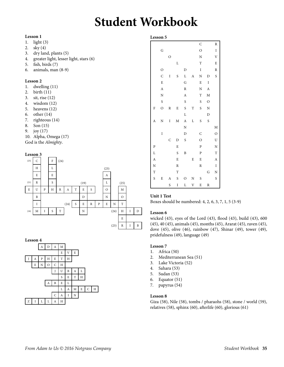# **Student Workbook**

#### **Lesson 1**

- 1. light (3)
- 2. sky (4)
- 3. dry land, plants (5)
- 4. greater light, lesser light, stars (6)
- 5. fish, birds (7)
- 6. animals, man (8-9)

#### **Lesson 2**

- 1. dwelling (11)
- 2. birth (11)
- 3. sit, rise (12)
- 4. wisdom (12)
- 5. heavens (12)
- 6. other (14)
- 7. righteous (14)
- 8. Son (15)
- 9. joy (17)
- 10. Alpha, Omega (17)

God is the *Almighty*.

#### **Lesson 3**





#### **Lesson 5**

|                    |                |                |        |                  |             | C                  |                  | R                  |
|--------------------|----------------|----------------|--------|------------------|-------------|--------------------|------------------|--------------------|
|                    | G              |                |        |                  |             | $\circ$            |                  | $\rm I$            |
|                    |                | $\overline{O}$ |        |                  |             | $\overline{\rm N}$ |                  | $\mathbf V$        |
|                    |                |                | L      |                  |             | T                  |                  | E                  |
|                    | $\circ$        |                |        | D                |             | $\rm I$            |                  | R                  |
|                    | $\mathsf{C}$   | I              | S      | L                | A           | N                  | D                | S                  |
|                    | E              |                |        | G                |             | E                  | I                |                    |
|                    | $\overline{A}$ |                |        | $\, {\bf R}$     |             | $\overline{\rm N}$ | $\boldsymbol{A}$ |                    |
|                    | N              |                |        | $\boldsymbol{A}$ |             | T                  | M                |                    |
|                    | S              |                |        | S                |             | S                  | $\mathcal{O}$    |                    |
| F                  | $\circ$        | R              | E      | S                | T           | S                  | $\mathbf N$      |                    |
|                    |                |                |        | L                |             |                    | $\mathbf D$      |                    |
| A                  | N              | I              | M      | $\boldsymbol{A}$ | L           | S                  | S                |                    |
|                    |                |                |        | N                |             |                    |                  | M                  |
|                    | I              |                |        | D                |             | C                  |                  | $\circ$            |
|                    |                | C              | D      | S                |             | $\circ$            |                  | $\mathbf U$        |
| ${\bf P}$          |                |                | E      |                  |             | ${\bf P}$          |                  | $\overline{\rm N}$ |
| L                  |                |                | S      | B                |             | ${\bf P}$          |                  | $\mathbf T$        |
| $\mathbf{A}$       |                |                | E      |                  | E           | E                  |                  | $\boldsymbol{A}$   |
| $\overline{\rm N}$ |                |                | $\,$ R |                  |             | $\, {\bf R}$       |                  | $\rm I$            |
| $\mathbf T$        |                |                | T      |                  |             |                    | G                | N                  |
| S                  | E              | A              | S      | O                | N           | S                  |                  | S                  |
|                    |                | S              | I      | Г                | $\mathbf V$ | E                  | R                |                    |

#### **Unit 1 Test**

Boxes should be numbered: 4, 2, 6, 3, 7, 1, 5 (3-9)

#### **Lesson 6**

wicked (43), eyes of the Lord (43), flood (43), build (43), 600 (45), 40 (45), animals (45), months (45), Ararat (45), raven (45), dove (45), olive (46), rainbow (47), Shinar (49), tower (49), pridefulness (49), language (49)

#### **Lesson 7**

- 1. Africa (50)<br>2. Mediterran
- Mediterranean Sea (51)
- 3. Lake Victoria (52)
- 4. Sahara (53)
- 5. Sudan (53)
- 6. Equator (51)
- 7. papyrus (54)

#### **Lesson 8**

Giza (58), Nile (58), tombs / pharaohs (58), stone / world (59), relatives (58), sphinx (60), afterlife (60), glorious (61)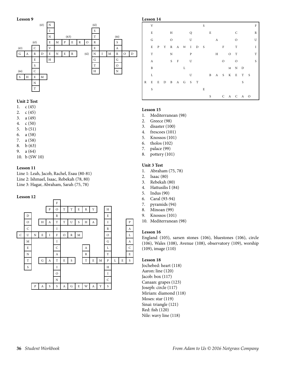

#### **Unit 2 Test**

- 1. c (45)
- 2. c (45)
- 3. a (49)
- 4. c (50)
- 5. b (51)
- 6. a (58)
- 7. a (58)
- 8. b (63)
- 9. a (64)
- 10. b (SW 10)

#### **Lesson 11**

Line 1: Leah, Jacob, Rachel, Esau (80-81) Line 2: Ishmael, Isaac, Rebekah (78, 80) Line 3: Hagar, Abraham, Sarah (75, 78)

#### **Lesson 12**



### V S F E H Q E C R G O U A O U E P Y R A M I D S F T I T N P H O T T A SF U O O S B L M N D L U B A S K E T S R E E D B A G S T S S E S C A C A O

#### **Lesson 15**

**Lesson 14**

- 1. Mediterranean (98)
- 2. Greece (98)
- 3. disaster (100)
- 4. frescoes (101)
- 5. Knossos (101)
- 6. tholos (102)
- 7. palace (99)
- 8. pottery (101)

#### **Unit 3 Test**

- 1. Abraham (75, 78)
- 2. Isaac (80)
- 3. Rebekah (80)
- 4. Hattusilis I (84)
- 5. Indus (90)
- 6. Caral (93-94)
- 7. pyramids (94)
- 8. Minoan (99)
- 9. Knossos (101)
- 10. Mediterranean (98)

#### **Lesson 16**

England (105), sarsen stones (106), bluestones (106), circle (106), Wales (108), Avenue (108), observatory (109), worship (109), image (110)

#### **Lesson 18**

Jochebed: heart (118) Aaron: line (120) Jacob: box (117) Canaan: grapes (123) Joseph: circle (117) Miriam: diamond (118) Moses: star (119) Sinai: triangle (121) Red: fish (120) Nile: wavy line (118)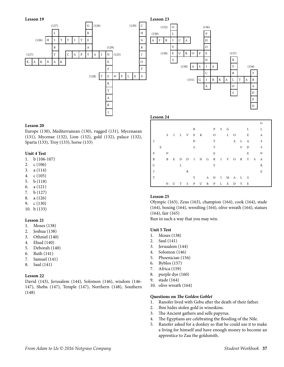

**Lesson 23**  $(152)$  O (156) (150) L P A F R I C A H V O (150) E U R O P E (157)  $S$  N B (150) A S I A Y (156)  $\begin{array}{ccc} C & & B & T \end{array}$ (151) G I B R A L T A R A O A  $S$  D E D

#### **Lesson 24**

#### **Lesson 20**

Europe (130), Mediterranean (130), rugged (131), Mycenaean (131), Mycenae (132), Lion (132), gold (132), palace (132), Sparta (133), Troy (133), horse (133)

#### **Unit 4 Test**

- 1. b (106-107)
- 2. c (106)
- 3. a (114)
- 4. c (105)
- 5. b (118)
- 6. a (121)
- 7. b (127)
- 8. a (126)
- 9. c (130)
- 10. b (133)

#### **Lesson 21**

- 1. Moses (138)
- 2. Joshua (138)
- 3. Othniel (140)
- 4. Ehud (140)
- 5. Deborah (140)
- 6. Ruth (141)
- 7. Samuel (141)
- 8. Saul (141)

#### **Lesson 22**

David (143), Jerusalem (144), Solomon (146), wisdom (146- 147), Sheba (147), Temple (147), Northern (148), Southern (148)

|             |   |    |   |           |   |  |                           |                |              |         |   |   | G |  |
|-------------|---|----|---|-----------|---|--|---------------------------|----------------|--------------|---------|---|---|---|--|
|             |   |    |   |           | B |  |                           | P S G          |              |         |   | L | L |  |
|             |   | S. |   | I L V E R |   |  |                           | $\overline{O}$ | $\mathbf{L}$ | $\circ$ |   | E | A |  |
| J           |   |    |   |           | D |  | T                         |                |              | A L     |   | A | S |  |
|             | E |    |   |           | S |  | T                         |                |              |         | V | D | S |  |
| F           |   | W  |   |           |   |  | E                         |                |              |         |   | E | W |  |
| R           |   | B  |   |           |   |  | E D D I N G R I V O R Y S |                |              |         |   |   | A |  |
| U           |   |    | L |           |   |  | Y                         |                |              |         |   |   | R |  |
| $\mathbf I$ |   |    |   | R         |   |  |                           |                |              |         |   |   | E |  |
| T           |   |    |   |           | Y |  | A N I M A L S             |                |              |         |   |   |   |  |
|             |   | N  |   |           |   |  | UT S P U R P L E D Y E    |                |              |         |   |   |   |  |
|             |   |    |   |           |   |  |                           |                |              |         |   |   |   |  |

#### **Lesson 25**

Olympic (163), Zeus (163), champion (164), cook (164), stade (164), boxing (164), wrestling (164), olive wreath (164), statues (164), fair (165)

Run in such a way that you may win.

#### **Unit 5 Test**

- 1. Moses (138)
- 2. Saul (141)
- 3. Jerusalem (144)
- 4. Solomon (146)
- 5. Phoenician (156)
- 6. Byblos (157)
- 7. Africa (159)
- 8. purple dye (160)
- 9. stade (164)
- 10. olive wreath (164)

#### **Questions on** *The Golden Goblet*

- 1. Ranofer lived with Gebu after the death of their father.
- 2. Ibni hides stolen gold in wineskins.
- 3. The Ancient gathers and sells papyrus.
- 4. The Egyptians are celebrating the flooding of the Nile.
- 5. Ranofer asked for a donkey so that he could use it to make a living for himself and have enough money to become an apprentice to Zau the goldsmith.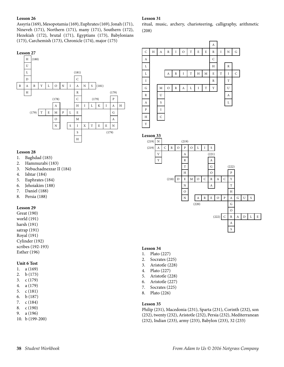Assyria (169), Mesopotamia (169), Euphrates (169), Jonah (171), Nineveh (171), Northern (171), many (171), Southern (172), Hezekiah (172), brutal (171), Egyptians (173), Babylonians (173), Carchemish (173), Chronicle (174), major (175)

#### **Lesson 27**



#### **Lesson 28**

- 1. Baghdad (183)
- 2. Hammurabi (183)
- 3. Nebuchadnezzar II (184)
- 4. Ishtar (184)
- 5. Euphrates (184)
- 6. Jehoiakim (188)
- 7. Daniel (188)
- 8. Persia (188)

#### **Lesson 29**

Great (190) world (191) harsh (191) satrap (191) Royal (191) Cylinder (192) scribes (192-193) Esther (196)

#### **Unit 6 Test**

- 1. a (169) 2. b (173)
- 3. c (179)
- 4. a (179) 5. c (181)
- 6. b (187)
- 7. c (184)
- 8. c (190)
- 9. a (196)
- 10. b (199-200)

#### **Lesson 31**

ritual, music, archery, charioteering, calligraphy, arithmetic (208)





#### **Lesson 34**

- 1. Plato (227)
- 2. Socrates (225)
- 3. Aristotle (228)
- 4. Plato (227)
- 5. Aristotle (228)
- 6. Aristotle (227)
- 7. Socrates (225)
- 8. Plato (226)

#### **Lesson 35**

Philip (231), Macedonia (231), Sparta (231), Corinth (232), son (232), twenty (232), Aristotle (232), Persia (232), Mediterranean (232), Indian (233), army (233), Babylon (233), 32 (233)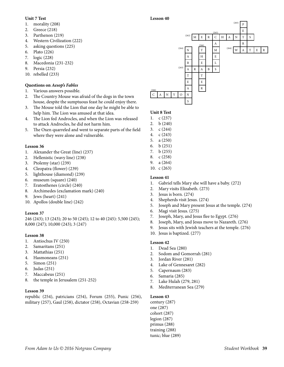#### **Unit 7 Test**

#### 1. morality (208)

- 2. Greece (218)
- 3. Parthenon (219)
- 4. Western Civilization (222)
- 5. asking questions (225)
- 6. Plato (226)
- 7. logic (228)
- 8. Macedonia (231-232)
- 9. Persia (232)
- 10. rebelled (233)

#### **Questions on** *Aesop's Fables*

- 1. Various answers possible.
- 2. The Country Mouse was afraid of the dogs in the town house, despite the sumptuous feast he could enjoy there.
- 3. The Mouse told the Lion that one day he might be able to help him. The Lion was amused at that idea.
- 4. The Lion fed Androcles, and when the Lion was released to attack Androcles, he did not harm him.
- 5. The Oxen quarreled and went to separate parts of the field where they were alone and vulnerable.

#### **Lesson 36**

- 1. Alexander the Great (line) (237)
- 2. Hellenistic (wavy line) (238)
- 3. Ptolemy (star) (239)
- 4. Cleopatra (flower) (239)
- 5. lighthouse (diamond) (239)
- 6. museum (square) (240)
- 7. Eratosthenes (circle) (240)
- 8. Archimedes (exclamation mark) (240)
- 9. Jews (heart) (241)
- 10. Apollos (double line) (242)

#### **Lesson 37**

246 (243); 13 (243); 20 to 50 (245); 12 to 40 (245): 5,500 (245); 8,000 (247); 10,000 (243); 3 (247)

#### **Lesson 38**

- 1. Antiochus IV (250)
- 2. Samaritans (251)
- 3. Mattathias (251)
- 4. Hasmoneans (251)
- 5. Simon (251)
- 6. Judas (251)
- 7. Maccabeus (251)
- 8. the temple in Jerusalem (251-252)

#### **Lesson 39**

republic (254), patricians (254), Forum (255), Punic (256), military (257), Gaul (258), dictator (258), Octavian (258-259)

#### $(265)$  P  $(263)$  E (262) M E R C H A N T S (266) A R  $(X^{(264)}\mid N \mid T \mid M \mid Y^{(264)}\mid W \mid A \mid T \mid E \mid R$  $A$   $H$   $E$  $B$   $E$   $L$ (263) A R A B S T T E E  $(266)$  A R  $C$  A N Y O N S

#### **Unit 8 Test**

**Lesson 40**

- 1. c (237)
- 2. b (240)
- 3. c (244)
- 4. c (243)
- 5. a (250)
- 6. b (251) 7. b (255)
- 8. c (258)
- 9. a (264)
- 10. c (263)

#### **Lesson 41**

- 1. Gabriel tells Mary she will have a baby. (272)
- 2. Mary visits Elizabeth. (273)
- 3. Jesus is born. (274)
- 4. Shepherds visit Jesus. (274)
- 5. Joseph and Mary present Jesus at the temple. (274)
- 6. Magi visit Jesus. (275)
- 7. Joseph, Mary, and Jesus flee to Egypt. (276)
- 8. Joseph, Mary, and Jesus move to Nazareth. (276)
- 9. Jesus sits with Jewish teachers at the temple. (276)
- 10. Jesus is baptized. (277)

#### **Lesson 42**

- 1. Dead Sea (280)
- 2. Sodom and Gomorrah (281)
- 3. Jordan River (281)
- 4. Lake of Gennesaret (282)
- 5. Capernaum (283)
- 6. Samaria (285)
- 7. Lake Hulah (279, 281)
- 8. Mediterranean Sea (279)

#### **Lesson 43**

century (287) one (287) cohort (287) legion (287) primus (288) training (288) tunic; blue (289)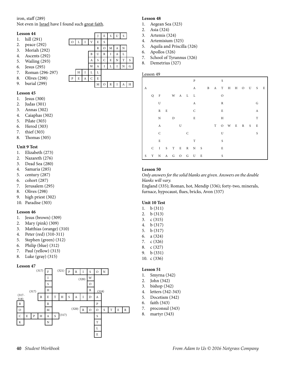#### iron, staff (289)

Not even in **Israel** have I found such great faith.

#### **Lesson 44**

- 1. hill (291)
- 2. peace (292)
- 3. Moriah (292)
- 4. Ascents (292)
- 5. Wailing (293)
- 6. Jesus (295)
- 7. Roman (296-297)
- 8. Olives (298)
- 9. burial (299)

#### **Lesson 45**

- 1. Jesus (300)
- 2. Judas (301)
- 3. Annas (302)
- 4. Caiaphas (302)
- 5. Pilate (303)
- 6. Herod (303)
- 7. thief (303)
- 8. Thomas (305)

#### **Unit 9 Test**

- 1. Elizabeth (273)
- 2. Nazareth (276)
- 3. Dead Sea (280)
- 4. Samaria (285)
- 5. century (287)
- 6. cohort (287)
- 7. Jerusalem (295)
- 8. Olives (298)
- 9. high priest (302)
- 10. Paradise (303)

#### **Lesson 46**

- 1. Jesus (brown) (309)
- 2. Mary (pink) (309)
- 3. Matthias (orange) (310)
- 4. Peter (red) (310-311)
- 5. Stephen (green) (312)
- 6. Philip (blue) (312)
- 7. Paul (yellow) (313)
- 8. Luke (gray) (315)



#### **Lesson 48**

 $E \mid S \mid U \mid S$ 

 $M$  O R I A H

 $R$  O  $M$   $A$  N  $B$  U R I A L  $A$  S C E N T S W  $A$  I  $L$  I  $N$  G

 $O$   $L$   $I$   $V$   $E$   $S$ 

 $H$   $I$   $L$   $L$  $P$  E A C E

- 1. Aegean Sea (323)
- 2. Asia (324)
- 3. Artemis (324)
- 4. Artemisium (325)
- 5. Aquila and Priscilla (326)
- 6. Apollos (326)
- 7. School of Tyrannus (326)
- 8. Demetrius (327)

#### Lesson 49

|   |              |                  |   |           |   |   | P             |   |     | S            |               |   |   |             |  |
|---|--------------|------------------|---|-----------|---|---|---------------|---|-----|--------------|---------------|---|---|-------------|--|
| A |              |                  |   |           |   |   | A             |   | B A |              | T H H O U S E |   |   |             |  |
|   | Q            | $\overline{F}$   |   | W A L L   |   |   |               |   |     | $\circ$      |               |   |   |             |  |
|   |              | U                |   |           |   |   | A             |   |     | $\, {\bf R}$ |               |   |   | G           |  |
|   |              | R                | E |           |   |   | C             |   |     | $\mathbf E$  |               |   |   | A           |  |
|   |              | N                |   | D         |   |   | E             |   |     | Η            |               |   |   | T           |  |
|   |              | $\boldsymbol{A}$ |   |           | U |   |               |   | T   |              | $O$ W E       | R | S | $\mathbf E$ |  |
|   |              | $\mathsf{C}$     |   |           |   | C |               |   |     | U            |               |   |   | S           |  |
|   |              | $\mathbf E$      |   |           |   |   | T             |   |     | S            |               |   |   |             |  |
|   | $\mathsf{C}$ |                  |   |           |   |   | I S T E R N S |   |     | E            |               |   |   |             |  |
| S | Y N          |                  |   | A G O G U |   |   |               | E |     | S            |               |   |   |             |  |

#### **Lesson 50**

*Only answers for the solid blanks are given. Answers on the double blanks will vary.*

England (335); Roman, hot, Mendip (336); forty-two, minerals, furnace, hypocaust, flues, bricks, Avon (337)

#### **Unit 10 Test**

- 1. b (311)
- 2. b (313)
- 3. c (315)
- 4. b (317)
- 5. b (317)
- 6. a (324)
- 7. c (326)
- 8. c (327)
- 9. b (331)
- 10. c (336)

- 1. Smyrna (342)
- 2. John (342)
- 3. bishop (342)
- 4. letters (342-343)
- 5. Docetism (342)
- 6. faith (343)
- 7. proconsul (343)
- 8. martyr (343)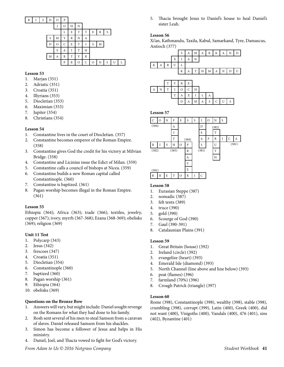| B | I | S | Η | О | P   |   |   |   |   |   |   |   |  |
|---|---|---|---|---|-----|---|---|---|---|---|---|---|--|
|   |   |   |   |   | ( ) | Н | N |   |   |   |   |   |  |
|   |   |   |   |   |     | E | T | T | E | R | S |   |  |
|   |   |   | S | M | Y   | R | N | А |   |   |   |   |  |
|   |   |   | D |   | С   | E | T | I | S | M |   |   |  |
|   |   |   |   | F | А   |   | T | Н |   |   |   |   |  |
|   |   |   | M | Α | R   | T | Y | R |   |   |   |   |  |
|   |   |   |   |   | P   | R | О | С | O | N | S | U |  |

ſ

- 1. Marjan (351)
- 2. Adriatic (351)
- 3. Croatia (351)
- 4. Illyrians (353)
- 5. Diocletian (353)
- 6. Maximian (353)
- 7. Jupiter (354)
- 8. Christians (354)

#### **Lesson 54**

- 1. Constantine lives in the court of Diocletian. (357)
- 2. Constantine becomes emperor of the Roman Empire. (358)
- 3. Constantine gives God the credit for his victory at Milvian Bridge. (358)
- 4. Constantine and Licinius issue the Edict of Milan. (359)
- 5. Constantine calls a council of bishops at Nicea. (359) 6. Constantine builds a new Roman capital called
- Constantinople. (360) 7. Constantine is baptized. (361)
- 8. Pagan worship becomes illegal in the Roman Empire. (361)

#### **Lesson 55**

Ethiopia (364); Africa (363); trade (366); textiles, jewelry, copper (367); ivory, myrrh (367-368); Ezana (368-369); obelisks (369); religion (369)

#### **Unit 11 Test**

- 1. Polycarp (343)
- 2. Jesus (342)
- 3. frescoes (347)
- 4. Croatia (351)
- 5. Diocletian (354)
- 6. Constantinople (360)
- 7. baptized (360)
- 8. Pagan worship (361)
- 9. Ethiopia (364)
- 10. obelisks (369)

#### **Questions on the Bronze Bow**

- 1. Answers will vary, but might include: Daniel sought revenge on the Romans for what they had done to his family.
- 2. Rosh sent several of his men to steal Samson from a caravan of slaves. Daniel released Samson from his shackles.
- 3. Simon has become a follower of Jesus and helps in His ministry.
- 4. Daniel, Joel, and Thacia vowed to fight for God's victory.

5. Thacia brought Jesus to Daniel's house to heal Daniel's sister Leah.

#### **Lesson 56**

Xi'an, Kathmandu, Taxila, Kabul, Samarkand, Tyre, Damascus, Antioch (377)





#### **Lesson 57**



#### **Lesson 58**

- 1. Eurasian Steppe (387)
- 2. nomadic (387)
- 3. felt tents (389)
- 4. truce (390)
- 5. gold (390)
- 6. Scourge of God (390)
- 7. Gaul (390-391)
- 8. Catalaunian Plains (391)

#### **Lesson 59**

- 1. Great Britain (house) (392)
- 2. Ireland (circle) (392)
- 3. evangelize (heart) (393)
- 4. Emerald Isle (diamond) (393)
- 5. North Channel (line above and line below) (393)
- 6. peat (flames) (396)
- 7. farmland (70%) (396)
- 8. Croagh Patrick (triangle) (397)

#### **Lesson 60**

Rome (398), Constantinople (398), wealthy (398), stable (398), crumbling (398), corrupt (399), Latin (400), Greek (400), did not want (400), Visigoths (400), Vandals (400), 476 (401), sins (402), Byzantine (401)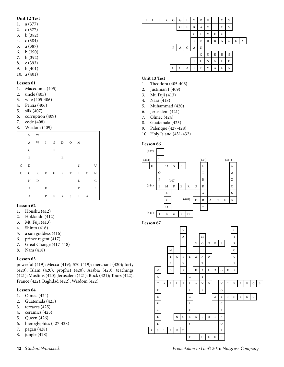#### **Unit 12 Test**

- 1. a (377)
- 2. c (377)
- 3. b (382)
- 4. c (384)
- 5. a (387)
- 6. b (390)
- 7. b (392)
- 8. c (393)
- 9. b (401)
- 10. a (401)

#### **Lesson 61**

- 1. Macedonia (405)
- 2. uncle (405)
- 3. wife (405-406)
- 4. Persia (406)
- 5. silk (407)
- 6. corruption (409)
- 7. code (408)
- 8. Wisdom (409)

|              |              | $M$ W          |             |         |   |       |              |         |              |
|--------------|--------------|----------------|-------------|---------|---|-------|--------------|---------|--------------|
|              |              | A W I S D O M  |             |         |   |       |              |         |              |
|              | $\mathsf{C}$ |                |             | $\rm F$ |   |       |              |         |              |
|              | $\mathbf E$  |                |             |         | E |       |              |         |              |
| $\mathsf{C}$ | $\mathbb{D}$ |                |             |         |   |       | S            |         | U            |
| $\mathsf{C}$ |              | ORRUPTI        |             |         |   |       |              | $\circ$ | $\rm N$      |
|              | $\rm N$      | $\overline{D}$ |             |         |   |       | L            |         | $\mathsf{C}$ |
|              | $\rm I$      |                | $\mathbf E$ |         |   |       | K            |         | $\mathbf L$  |
|              | А            |                | P           | E       |   | $R$ S | $\mathbf{I}$ | A       | E            |

#### **Lesson 62**

- 1. Honshu (412)
- 2. Hokkaido (412)
- 3. Mt. Fuji (413)
- 4. Shinto (416)
- 5. a sun goddess (416)
- 6. prince regent (417)
- 7. Great Change (417-418)
- 8. Nara (418)

#### **Lesson 63**

powerful (419); Mecca (419); 570 (419); merchant (420); forty (420); Islam (420); prophet (420); Arabia (420); teachings (421); Muslims (420); Jerusalem (421); Rock (421); Tours (422); France (422); Baghdad (422); Wisdom (422)

#### **Lesson 64**

- 1. Olmec (424)
- 2. Guatemala (425)
- 3. terraces (425)
- 4. ceramics (425)
- 5. Queen (426)
- 6. hieroglyphics (427-428)
- 7. pagan (428)
- 8. jungle (428)



#### **Unit 13 Test**

- 1. Theodora (405-406)
- 2. Justinian I (409)
- 3. Mt. Fuji (413)
- 4. Nara (418)
- 5. Muhammad (420)
- 6. Jerusalem (421)
- 7. Olmec (424)
- 8. Guatemala (425)
- 9. Palenque (427-428)
- 10. Holy Island (431-432)

#### **Lesson 66**



**42** *Student Workbook From Adam to Us © 2016 Notgrass Company*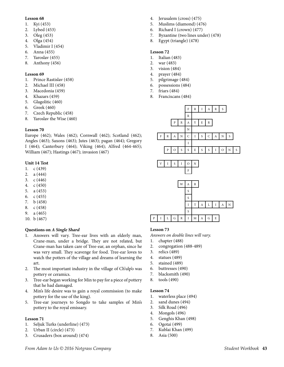- 1. Kyi (453)
- 2. Lybed (453)
- 3. Oleg (453)
- 4. Olga (454)
- 5. Vladimir I (454)
- 6. Anna (455)
- 7. Yaroslav (455)
- 8. Anthony (456)

#### **Lesson 69**

- 1. Prince Rastislav (458)
- 2. Michael III (458)
- 3. Macedonia (459)
- 4. Khazars (459)
- 5. Glagolitic (460)
- 6. Greek (460)
- 7. Czech Republic (458)
- 8. Yaroslav the Wise (460)

#### **Lesson 70**

Europe (462); Wales (462); Cornwall (462); Scotland (462); Angles (463); Saxons (463); Jutes (463); pagan (464); Gregory I (464); Canterbury (464); Viking (464); Alfred (464-465); William (467); Hastings (467); invasion (467)

#### **Unit 14 Test**

- 1. c (439)
- 2. a (444)
- 3. c (446)
- 4. c (450)
- 5. a (453)
- 6. c (455)
- 7. b (458)
- 8. c (458) 9. a (465)
- 10. b (467)

#### **Questions on** *A Single Shard*

- 1. Answers will vary. Tree-ear lives with an elderly man, Crane-man, under a bridge. They are not related, but Crane-man has taken care of Tree-ear, an orphan, since he was very small. They scavenge for food. Tree-ear loves to watch the potters of the village and dreams of learning the art.
- 2. The most important industry in the village of Ch'ulp'o was pottery or ceramics.
- 3. Tree-ear began working for Min to pay for a piece of pottery that he had damaged.
- 4. Min's life desire was to gain a royal commission (to make pottery for the use of the king).
- 5. Tree-ear journeys to Songdo to take samples of Min's pottery to the royal emissary.

#### **Lesson 71**

- 1. Seljuk Turks (underline) (473)
- 2. Urban II (circle) (473)
- 3. Crusaders (box around) (474)
- 4. Jerusalem (cross) (475)
- 5. Muslims (diamond) (476)
- 6. Richard I (crown) (477)
- 7. Byzantine (two lines under) (478)
- 8. Egypt (triangle) (478)

#### **Lesson 72**

- 1. Italian (483)
- 2. war (483)
- 3. vision (484)
- 4. prayer (484)
- 5. pilgrimage (484)
- 6. possessions (484)
- 7. friars (484)
- 8. Franciscans (484)



#### **Lesson 73**

*Answers on double lines will vary.*

- 1. chapter (488)
- 2. congregation (488-489)
- 3. relics (489)
- 4. statues (489)
- 5. stained (489)
- 6. buttresses (490)
- 7. blacksmith (490)
- 8. tools (490)

- 1. waterless place (494)
- 2. sand dunes (494)
- 3. Silk Road (496)
- 4. Mongols (496)
- 5. Genghis Khan (498)
- 6. Ogotai (499)
- 7. Kublai Khan (499)
- 8. Asia (500)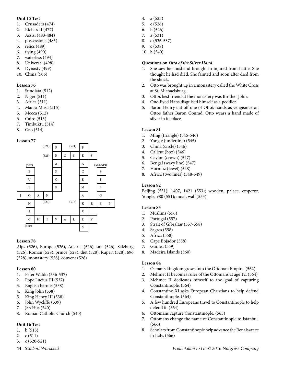#### **Unit 15 Test**

- 1. Crusaders (474)
- 2. Richard I (477)
- 3. Assisi (483-484)
- 4. possessions (485)
- 5. relics (489)
- 6. flying (490)
- 7. waterless (494)
- 8. Universal (498)
- 9. Dynasty (499) 10. China (506)

#### **Lesson 76**

- 1. Sundiata (512)
- 2. Niger (511)
- 3. Africa (511)
- 4. Mansa Musa (515)
- 5. Mecca (512)
- 6. Cairo (513)
- 7. Timbuktu (514)
- 8. Gao (514)

#### **Lesson 77**



#### **Lesson 78**

Alps (526), Europe (526), Austria (526), salt (526), Salzburg (526), Roman (528), prince (528), diet (528), Rupert (528), 696 (528), monastery (528), convent (528)

#### **Lesson 80**

- 1. Peter Waldo (536-537)
- 2. Pope Lucius III (537)
- 3. English barons (538)
- 4. King John (538)
- 5. King Henry III (538)
- 6. John Wycliffe (539)
- 7. Jan Hus (540)
- 8. Roman Catholic Church (540)

#### **Unit 16 Test**

- 1. b (515)
- 2. c (511)
- 3. c (520-521)
- 
- 4. a (523)
- 5. c (526)
- 6. b (526)
- 7. a (531)
- 8. c (536-537)
- 9. c (538)
- 10. b (540)

#### **Questions on** *Otto of the Silver Hand*

- 1. She saw her husband brought in injured from battle. She thought he had died. She fainted and soon after died from the shock.
- 2. Otto was brought up in a monastery called the White Cross at St. Michaelsburg.
- 3. Otto's best friend at the monastery was Brother John.
- 4. One-Eyed Hans disguised himself as a peddler.
- 5. Baron Henry cut off one of Otto's hands as vengeance on Otto's father Baron Conrad. Otto wears a hand made of silver in its place.

#### **Lesson 81**

- 1. Ming (triangle) (545-546)
- 2. Yongle (underline) (545)
- 3. China (circle) (546)
- 4. Calicut (box) (546)
- 5. Ceylon (crown) (547)
- 6. Bengal (wavy line) (547)
- 7. Hormuz (jewel) (548)
- 8. Africa (two lines) (548-549)

#### **Lesson 82**

Beijing (551); 1407, 1421 (553); wooden, palace, emperor, Yongle, 980 (551); moat, wall (553)

#### **Lesson 83**

- 1. Muslims (556)
- 2. Portugal (557)
- 3. Strait of Gibraltar (557-558)
- 4. Sagres (558)
- 5. Africa (558)
- 6. Cape Bojador (558)
- 7. Guinea (559)
- 8. Madeira Islands (560)

- 1. Osman's kingdom grows into the Ottoman Empire. (562)
- 2. Mehmet II becomes ruler of the Ottomans at age 12. (564)
- 3. Mehmet II dedicates himself to the goal of capturing Constantinople. (564)
- 4. Constantine XI asks European Christians to help defend Constantinople. (564)
- 5. A few hundred Europeans travel to Constantinople to help defend it. (564)
- 6. Ottomans capture Constantinople. (565)
- 7. Ottomans change the name of Constantinople to Istanbul. (566)
- 8. Scholars from Constantinople help advance the Renaissance in Italy. (566)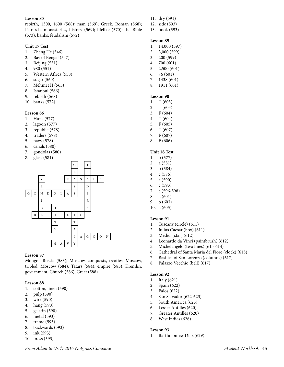rebirth, 1300, 1600 (568); man (569); Greek, Roman (568); Petrarch, monasteries, history (569); lifelike (570); the Bible (573); banks, feudalism (572)

#### **Unit 17 Test**

- 1. Zheng He (546)
- 2. Bay of Bengal (547)
- 3. Beijing (551)
- 4. 980 (551)
- 5. Western Africa (558)
- 6. sugar (560)
- 7. Mehmet II (565)
- 8. Istanbul (566)
- 9. rebirth (568)
- 10. banks (572)

#### **Lesson 86**

- 1. Huns (577)
- 2. lagoon (577)
- 3. republic (578)
- 4. traders (578)
- 5. navy (578)
- 6. canals (580)
- 7. gondolas (580)
- 8. glass (581)



#### **Lesson 87**

Mongol, Russia (583); Moscow, conquests, treaties, Moscow, tripled, Moscow (584); Tatars (584); empire (585); Kremlin, government, Church (586); Great (588)

#### **Lesson 88**

- 1. cotton, linen (590)
- 2. pulp (590)
- 3. wire (590)
- 4. hang (590)
- 5. gelatin (590)
- 6. metal (593)
- 7. frame (593)
- 8. backwards (593)
- 9. ink (593)
- 10. press (593)
- 11. dry (591)
- 12. side (593)
- 13. book (593)

#### **Lesson 89**

- 1. 14,000 (597)
- 2. 3,000 (599)
- 3. 200 (599)
- 4. 700 (601) 5. 2,500 (601)
- 6. 76 (601)
- 7. 1438 (601)
- 8. 1911 (601)

#### **Lesson 90**

- 1. T (603)
- 2. T (603)
- 3. F (604)
- 4. T (604)
- 5. F (605)
- 6. T (607) 7. F (607)
- 8. F (606)

#### **Unit 18 Test**

- 1. b (577)
- 2. a (581)
- 3. b (584)
- 4. c (586)
- 5. a (590)
- 6. c (593)
- 7. c (596-598)
- 8. a (601) 9. b (603)
- 10. a (605)

#### **Lesson 91**

- 1. Tuscany (circle) (611)
- 2. Julius Caesar (box) (611)
- 3. Medici (star) (612)
- 4. Leonardo da Vinci (paintbrush) (612)
- 5. Michelangelo (two lines) (613-614)
- 6. Cathedral of Santa Maria del Fiore (clock) (615)
- 7. Basilica of San Lorenzo (columns) (617)
- 8. Palazzo Vecchio (bell) (617)

#### **Lesson 92**

- 1. Italy (621)
- 2. Spain (622)
- 3. Palos (622)
- 4. San Salvador (622-623)
- 5. South America (623)
- 6. Lesser Antilles (620)
- 7. Greater Antilles (620)
- 8. West Indies (626)

#### **Lesson 93**

1. Bartholomew Diaz (629)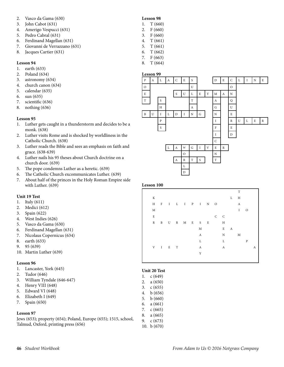- 2. Vasco da Gama (630)
- 3. John Cabot (631)
- 4. Amerigo Vespucci (631)
- 5. Pedro Cabral (631)
- 6. Ferdinand Magellan (631)
- 7. Giovanni de Verrazzano (631)
- 8. Jacques Cartier (631)

- 1. earth (633)
- 2. Poland (634)
- 3. astronomy (634)
- 4. church canon (634)
- 5. calendar (635)
- 6. sun (635)
- 7. scientific (636)
- 8. nothing (636)

#### **Lesson 95**

- 1. Luther gets caught in a thunderstorm and decides to be a monk. (638)
- 2. Luther visits Rome and is shocked by worldliness in the Catholic Church. (638)
- 3. Luther reads the Bible and sees an emphasis on faith and grace. (638-639)
- 4. Luther nails his 95 theses about Church doctrine on a church door. (639)
- 5. The pope condemns Luther as a heretic. (639)
- 6. The Catholic Church excommunicates Luther. (639)
- 7. About half of the princes in the Holy Roman Empire side with Luther. (639)

#### **Unit 19 Test**

- 1. Italy (611)
- 2. Medici (612)
- 3. Spain (622)
- 4. West Indies (626)
- 5. Vasco da Gama (630)
- 6. Ferdinand Magellan (631)
- 7. Nicolaus Copernicus (634)
- 8. earth (633)
- 9. 95 (639)
- 10. Martin Luther (639)

#### **Lesson 96**

- 1. Lancaster, York (645)
- 2. Tudor (646)
- 3. William Tyndale (646-647)
- 4. Henry VIII (648)
- 5. Edward VI (648)
- 6. Elizabeth I (649)
- 7. Spain (650)

#### **Lesson 97**

Jews (653); property (654); Poland, Europe (655); 1515, school, Talmud, Oxford, printing press (656)

|                             | <b>Lesson 98</b> |
|-----------------------------|------------------|
| 1.                          | T(660)           |
| $\mathfrak{D}_{\cdot\cdot}$ | F(660)           |
| 3.                          | F(660)           |
| 4.                          | T(661)           |
| 5.                          | T(661)           |
| 6.                          | T(662)           |
| 7.                          | F(663)           |

8. T (664)



#### **Lesson 100**

|              |              |                 |               |             |              |                |                  | T           |              |   |
|--------------|--------------|-----------------|---------------|-------------|--------------|----------------|------------------|-------------|--------------|---|
| $\rm K$      |              |                 |               |             |              |                | L                | Η           |              |   |
| $\rm H$      | $\mathbf{F}$ |                 | I L I P I N O |             |              |                |                  | A           |              |   |
| $\mathbf M$  |              |                 |               |             |              |                |                  | $\mathbf I$ | $\circ$      |   |
| $\mathbf E$  |              |                 |               |             | $\mathsf{C}$ | $\overline{C}$ |                  |             |              |   |
| $\, {\bf R}$ |              |                 | B U R M E S E |             |              | H              |                  |             |              |   |
|              |              |                 |               | $\mathbf M$ |              | E              | $\boldsymbol{A}$ |             |              |   |
|              |              |                 |               | A           |              | N              |                  | M           |              |   |
|              |              |                 |               | L           |              | L              |                  |             | $\mathbf{P}$ |   |
|              |              | $V$ $I$ $E$ $T$ |               | A           |              | A              |                  |             |              | А |
|              |              |                 |               | Y           |              |                |                  |             |              |   |
|              |              |                 |               |             |              |                |                  |             |              |   |

#### **Unit 20 Test**

| IL ZV TESL |
|------------|
| c(649)     |
| a(650)     |
| c(655)     |
| b(656)     |
| b(660)     |
| a(661)     |
| c(665)     |
| a(665)     |
|            |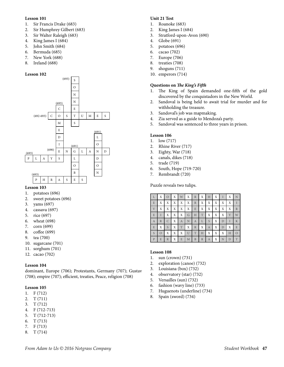- 1. Sir Francis Drake (683)
- 2. Sir Humphrey Gilbert (683)
- 3. Sir Walter Raleigh (683)
- 4. King James I (684)
- 5. John Smith (684)
- 6. Bermuda (685)
- 7. New York (688)
- 8. Ireland (688)

#### **Lesson 102**



#### **Lesson 103**

- 1. potatoes (696)
- 2. sweet potatoes (696)
- 3. yams (697)
- 4. cassava (697)
- 5. rice (697)
- 6. wheat (698)
- 7. corn (699)
- 8. coffee (699)
- 9. tea (700)
- 10. sugarcane (701)
- 11. sorghum (701)
- 12. cacao (702)

#### **Lesson 104**

dominant, Europe (706); Protestants, Germany (707); Gustav (708); empire (707); efficient, treaties, Peace, religion (708)

#### **Lesson 105**

- 1. F (712)
- 2. T (711)
- 3. T (712)
- 4. F (712-713)
- 5. T (712-713)
- 6. T (713)
- 7. F (713)
- 8. T (714)

#### **Unit 21 Test**

- 1. Roanoke (683)
- 2. King James I (684)
- 3. Stratford-upon-Avon (690)
- 4. Globe (691)
- 5. potatoes (696)
- 6. cacao (702)
- 7. Europe (706)
- 8. treaties (708)
- 9. shoguns (711)
- 10. emperors (714)

#### **Questions on** *The King's Fifth*

- 1. The King of Spain demanded one-fifth of the gold discovered by the conquistadors in the New World.
- 2. Sandoval is being held to await trial for murder and for withholding the treasure.
- 3. Sandoval's job was mapmaking.
- 4. Zia served as a guide to Mendoza's party.
- 5. Sandoval was sentenced to three years in prison.

#### **Lesson 106**

- 1. low (717)
- 2. Rhine River (717)
- 3. Eighty, War (718)
- 4. canals, dikes (718)
- 5. trade (719)
- 6. South, Hope (719-720)
- 7. Rembrandt (720)

Puzzle reveals two tulips.

| L            | X            |   | X | W | Χ | R            | X              | H | X |   | X | N         |
|--------------|--------------|---|---|---|---|--------------|----------------|---|---|---|---|-----------|
| E            | X            | X | X | X | X | R            | X              | X | Χ | X | X | T         |
| V            | X            | X | X | X | X | E            | Χ              | X | X | X | X | R         |
| E            | T            | X | X | X | G | H            | Τ              | X | X | X | Y | W         |
| A            | $\mathbb{R}$ | C | X | A | N | Α            | L              | S | X | D |   | K         |
| E            | X            | S | X | T | X | $\mathbb{R}$ | X              | Α | Χ | D | Χ | E         |
| S            | $\Omega$     | X | X | X |   | T            | H              | X | Χ | X | H | $\bigcap$ |
| $\mathbf{P}$ | E            | R | X | E | M | B            | $\overline{R}$ | A | X | N | D | T         |

- 1. sun (crown) (731)
- 2. exploration (canoe) (732)
- 3. Louisiana (box) (732)
- 4. observatory (star) (732)
- 5. Versailles (sun) (732)
- 6. fashion (wavy line) (733)
- 7. Huguenots (underline) (734)
- 8. Spain (sword) (734)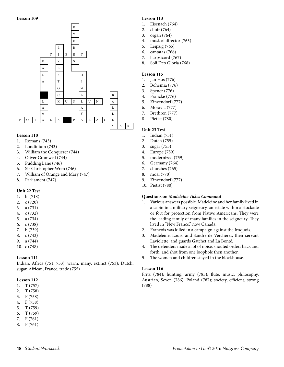

#### **Lesson 110**

- 1. Romans (743)
- 2. Londinium (743)
- 3. William the Conquerer (744)
- 4. Oliver Cromwell (744)
- 5. Pudding Lane (746)
- 6. Sir Christopher Wren (746)
- 7. William of Orange and Mary (747)
- 8. Parliament (747)

#### **Unit 22 Test**

- 1. b (718)
- 2. c (720)
- 3. a (731)
- 4. c (732)
- 5. a (734)
- 6. c (738) 7. b (739)
- 8. c (743)
- 9. a (744)
- 10. c (748)

#### **Lesson 111**

Indian, Africa (751, 753); warm, many, extinct (753); Dutch, sugar, African, France, trade (755)

#### **Lesson 112**

- 1. T (757)
- 2. T (758)
- 3. F (758)
- 4. F (758)
- 5. T (759)
- 6. T (759)
- 7. F (761)
- 8. F (761)

#### **Lesson 113**

- 1. Eisenach (764)
- 2. choir (764)
- 3. organ (764)
- 4. musical director (765)
- 5. Leipzig (765)
- 6. cantatas (766)
- 7. harpsicord (767)
- 8. Soli Deo Gloria (768)

#### **Lesson 115**

- 1. Jan Hus (776)
- 2. Bohemia (776)
- 3. Spener (776)
- 4. Francke (776)
- 5. Zinzendorf (777)
- 6. Moravia (777)
- 7. Brethren (777)
- 8. Pietist (780)

#### **Unit 23 Test**

- 1. Indian (751)
- 2. Dutch (755)
- 3. sugar (755)
- 4. Europe (759)
- 5. modernized (759)
- 6. Germany (764)
- 7. churches (765)
- 8. moai (770)
- 9. Zinzendorf (777)
- 10. Pietist (780)

#### **Questions on** *Madeleine Takes Command*

- 1. Various answers possible. Madeleine and her family lived in a cabin in a military seigneury, an estate within a stockade or fort for protection from Native Americans. They were the leading family of many families in the seigneury. They lived in "New France," now Canada.
- 2. François was killed in a campaign against the Iroquois.
- 3. Madeleine, Louis, and Sandre de Verchéres, their servant Laviolette, and guards Gatchet and La Bonté.
- 4. The defenders made a lot of noise, shouted orders back and forth, and shot from one loophole then another.
- 5. The women and children stayed in the blockhouse.

#### **Lesson 116**

Fritz (784); hunting, army (785); flute, music, philosophy, Austrian, Seven (786); Poland (787); society, efficient, strong (788)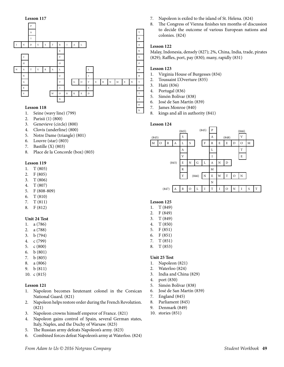

- 1. Seine (wavy line) (799)
- 2. Parisii (1) (800)
- 3. Genevieve (circle) (800)
- 4. Clovis (underline) (800)
- 5. Notre Dame (triangle) (801)
- 6. Louvre (star) (803)
- 7. Bastille (X) (803)
- 8. Place de la Concorde (box) (803)

#### **Lesson 119**

- 1. T (805)
- 2. F (805)
- 3. T (806)
- 4. T (807)
- 5. F (808-809)
- 6. T (810)
- 7. T (811)
- 8. F (812)

#### **Unit 24 Test**

- 1. a (786)
- 2. a (788)
- 3. b (794)
- 4. c (799)
- 5. c (800) 6. b (801)
- 
- 7. b (805) 8. a (806)
- 9. b (811)
- 10. c (815)

#### **Lesson 121**

- 1. Napoleon becomes lieutenant colonel in the Corsican National Guard. (821)
- 2. Napoleon helps restore order during the French Revolution. (821)
- 3. Napoleon crowns himself emperor of France. (821)
- 4. Napoleon gains control of Spain, several German states, Italy, Naples, and the Duchy of Warsaw. (823)
- 5. The Russian army defeats Napoleon's army. (823)
- 6. Combined forces defeat Napoleon's army at Waterloo. (824)
- 7. Napoleon is exiled to the island of St. Helena. (824)
- 8. The Congress of Vienna finishes ten months of discussion to decide the outcome of various European nations and colonies. (824)

#### **Lesson 122**

Malay, Indonesia, densely (827); 2%, China, India, trade, pirates (829); Raffles, port, pay (830); many, rapidly (831)

#### **Lesson 123**

- 1. Virginia House of Burgesses (834)
- 2. Toussaint L'Overture (835)
- 3. Haiti (836)
- 4. Portugal (836)
- 5. Simón Bolívar (838)
- 6. José de San Martín (839)
- 7. James Monroe (840)
- 8. kings and all in authority (841)

#### **Lesson 124**

N



#### **Lesson 125**

- 1. T (849)
- 2. F (849)
- 3. T (849)
- 4. T (850)
- 5. F (851)
- 6. F (851)
- 7. T (851)
- 8. T (853)

#### **Unit 25 Test**

- 1. Napoleon (821)
- 2. Waterloo (824)
- 3. India and China (829)
- 4. port (830)
- 5. Simón Bolívar (838)
- 6. José de San Martín (839)
- 7. England (845)
- 8. Parliament (845)
- 9. Denmark (849)
- 10. stories (851)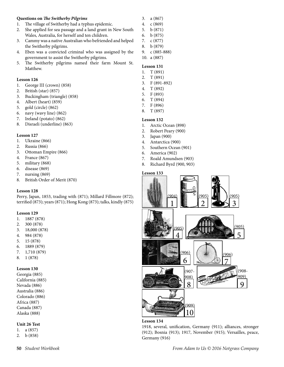#### **Questions on** *The Switherby Pilgrims*

- 1. The village of Switherby had a typhus epidemic.
- 2. She applied for sea passage and a land grant in New South Wales, Australia, for herself and ten children.
- 3. Cammy was a native Australian who befriended and helped the Switherby pilgrims.
- 4. Eben was a convicted criminal who was assigned by the government to assist the Switherby pilgrims.
- 5. The Switherby pilgrims named their farm Mount St. Matthew.

#### **Lesson 126**

- 1. George III (crown) (858)
- 2. British (star) (857)
- 3. Buckingham (triangle) (858)
- 4. Albert (heart) (859)
- 5. gold (circle) (862)
- 6. navy (wavy line) (862)
- 7. Ireland (potato) (862)
- 8. Disraeli (underline) (863)

#### **Lesson 127**

- 1. Ukraine (866)
- 2. Russia (866)
- 3. Ottoman Empire (866)
- 4. France (867)
- 5. military (868)
- 6. disease (869)
- 7. nursing (869)
- 8. British Order of Merit (870)

#### **Lesson 128**

Perry, Japan, 1853, trading with (871); Millard Fillmore (872); terrified (873); years (871); Hong Kong (873); talks, kindly (875)

#### **Lesson 129**

- 1. 1887 (878)
- 2. 300 (878)
- 3. 18,000 (878)
- 4. 984 (878)
- 5. 15 (878)
- 6. 1889 (879)
- 7. 1,710 (879)
- 8. 1 (878)

#### **Lesson 130**

Georgia (885) California (885) Nevada (886) Australia (886) Colorado (886) Africa (887) Canada (887) Alaska (888)

#### **Unit 26 Test**

1. a (857)

2. b (858)

- 3. a (867)
- 4. c (869)
- 5. b (871)
- 6. b (875)
- 7. c (877)
- 8. b (879)
- 9. c (885-888)
- 10. a (887)

#### **Lesson 131**

- 1. T (891)
- 2. T (891)
- 3. F (891-892)
- 4. T (892)
- 5. F (893)
- 6. T (894)
- 7. F (896)
- 8. T (897)

#### **Lesson 132**

- 1. Arctic Ocean (898)
- 2. Robert Peary (900)
- 3. Japan (900)
- 4. Antarctica (900)
- 5. Southern Ocean (901)
- 6. America (902)
- 7. Roald Amundsen (903)
- 8. Richard Byrd (900, 903)

#### **Lesson 133**



#### **Lesson 134**

1918, several, unification, Germany (911); alliances, stronger (912); Bosnia (913); 1917, November (915); Versailles, peace, Germany (916)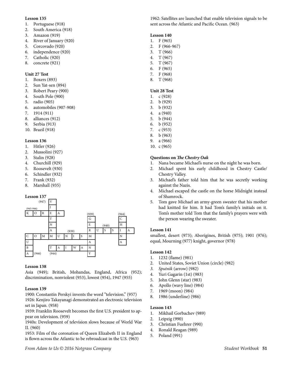- 1. Portuguese (918)
- 2. South America (918)
- 3. Amazon (919)
- 4. River of January (920)
- 5. Corcovado (920)
- 6. independence (920)
- 7. Catholic (920)
- 8. concrete (921)

#### **Unit 27 Test**

- 1. Boxers (893)
- 2. Sun Yat-sen (894)
- 3. Robert Peary (900)
- 4. South Pole (900)
- 5. radio (905)
- 6. automobiles (907-908)
- 7. 1914 (911)
- 8. alliances (912)
- 9. Serbia (913)
- 10. Brazil (918)

#### **Lesson 136**

- 1. Hitler (926)
- 2. Mussolini (927)
- 3. Stalin (928)
- 4. Churchill (929)
- 5. Roosevelt (930)
- 6. Schindler (932)
- 7. Frank (932)
- 8. Marshall (935)

#### **Lesson 137**



#### **Lesson 138**

Asia (949); British, Mohandas, England, Africa (952); discrimination, nonviolent (953), lowest (954), 1947 (955)

#### **Lesson 139**

1900: Constantin Perskyi invents the word "television." (957) 1926: Kenjiro Takayanagi demonstrated an electronic television set in Japan. (958)

1939: Franklin Roosevelt becomes the first U.S. president to appear on television. (959)

1940s: Development of television slows because of World War II. (960)

1953: Film of the coronation of Queen Elizabeth II in England is flown across the Atlantic to be rebroadcast in the U.S. (963)

1962: Satellites are launched that enable television signals to be sent across the Atlantic and Pacific Ocean. (963)

#### **Lesson 140**

- 1. F (965)
- 2. F (966-967)
- 3. T (966)
- 4. T (967)
- 5. T (967)
- 6. F (965) 7. F (968)
- 8. T (968)

#### **Unit 28 Test**

- 1. c (928)
- 2. b (929)
- 3. b (932)
- 4. a (940)
- 5. b (944)
- 6. b (952)
- 7. c (953)
- 8. b (963)
- 9. a (966)
- 10. c (965)

#### **Questions on** *The Chestry Oak*

- 1. Nana became Michael's nurse on the night he was born.
- 2. Michael spent his early childhood in Chestry Castle/ Chestry Valley.
- 3. Michael's father told him that he was secretly working against the Nazis.
- 4. Michael escaped the castle on the horse Midnight instead of Shamrock.
- 5. Tom gave Michael an army-green sweater that his mother had knitted for him. It had Tom's family's initials on it. Tom's mother told Tom that the family's prayers were with the person wearing the sweater.

#### **Lesson 141**

smallest, desert (973); Aborigines, British (975); 1901 (976); equal, Mourning (977) knight, governor (978)

#### **Lesson 142**

- 1. 1232 (flame) (981)
- 2. United States, Soviet Union (circle) (982)
- *3. Sputnik* (arrow) (982)
- 4. Yuri Gagarin (1st) (983)
- 5. John Glenn (star) (983)
- 6. Apollo (wavy line) (984)
- 7. 1969 (moon) (984)
- 8. 1986 (underline) (986)

- 1. Mikhail Gorbachev (989)
- 2. Leipzig (990)
- 3. Christian Fuehrer (990)
- 4. Ronald Reagan (989)
- 5. Poland (991)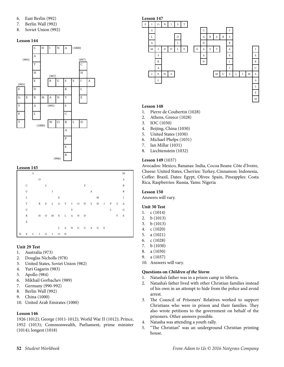- 6. East Berlin (992)
- 7. Berlin Wall (992)
- 8. Soviet Union (992)



#### **Lesson 145**

|              | S |         |              |                       |   |   |   |   |                 |       |   | M           |
|--------------|---|---------|--------------|-----------------------|---|---|---|---|-----------------|-------|---|-------------|
|              |   | $\circ$ |              |                       |   |   |   |   |                 |       |   | A           |
| $\mathsf{C}$ |   |         | $\mathsf{C}$ |                       |   |   | F |   |                 |       |   | $\mathbb R$ |
| U            |   |         |              | I                     |   |   |   | A |                 |       |   | $\mathbb R$ |
| L            |   |         |              |                       | E |   |   |   | M               |       |   | 1           |
| $\mathbf T$  |   |         |              | R E L A T I O N S H I |   |   |   |   |                 | P S A |   |             |
| U            |   |         |              |                       |   | Y |   |   |                 | L     |   | G           |
| $\mathbb R$  |   |         |              | H O M E L A N D       |   |   |   |   |                 |       | Y | E           |
| $\mathbf E$  |   |         |              |                       |   |   |   |   |                 |       |   |             |
|              |   |         |              |                       |   |   |   |   | L A N G U A G E |       |   |             |
|              |   |         |              | R E L I G I O N       |   |   |   |   |                 |       |   |             |

#### **Unit 29 Test**

- 1. Australia (973)
- 2. Douglas Nicholls (978)
- 3. United States, Soviet Union (982)
- 4. Yuri Gagarin (983)
- 5. Apollo (984)
- 6. Mikhail Gorbachev (989)
- 7. Germany (990-992)
- 8. Berlin Wall (992)
- 9. China (1000)
- 10. United Arab Emirates (1000)

#### **Lesson 146**

1926 (1012); George (1011-1012); World War II (1012); Prince, 1952 (1013); Commonwealth, Parliament, prime minister (1014); longest (1018)



#### **Lesson 148**

- 1. Pierre de Coubertin (1028)
- 2. Athens, Greece (1028)
- 3. IOC (1030)
- 4. Beijing, China (1030)
- 5. United States (1030)
- 6. Michael Phelps (1031)
- 7. Ian Millar (1031)
- 8. Liechtenstein (1032)

#### **Lesson 149** (1037)

Avocados: Mexico, Bananas: India, Cocoa Beans: Côte d'Ivoire, Cheese: United States, Cherries: Turkey, Cinnamon: Indonesia, Coffee: Brazil, Dates: Egypt, Olives: Spain, Pineapples: Costa Rica, Raspberries: Russia, Yams: Nigeria

#### **Lesson 150**

Answers will vary.

#### **Unit 30 Test**

- 1. c (1014)
- 2. b (1013)
- 3. b (1013)
- 4. c (1020)
- 5. a (1021)
- 6. c (1028)
- 7. b (1030)
- 8. a (1030)
- 9. a (1037)
- 10. Answers will vary.

#### **Questions on** *Children of the Storm*

- 1. Natasha's father was in a prison camp in Siberia.
- 2. Natasha's father lived with other Christian families instead of his own in an attempt to hide from the police and avoid arrest.
- 3. The Council of Prisoners' Relatives worked to support Christians who were in prison and their families. They also wrote petitions to the government on behalf of the prisoners. Other answers possible.
- 4. Natasha was attending a youth rally.
- 5. "The Christian" was an underground Christian printing house.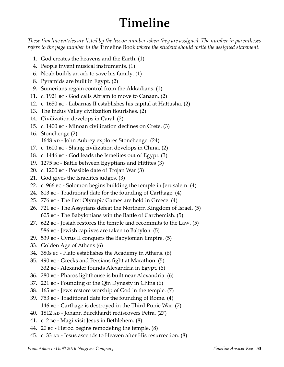# **Timeline**

*These timeline entries are listed by the lesson number when they are assigned. The number in parentheses refers to the page number in the* Timeline Book *where the student should write the assigned statement.*

- 1. God creates the heavens and the Earth. (1)
- 4. People invent musical instruments. (1)
- 6. Noah builds an ark to save his family. (1)
- 8. Pyramids are built in Egypt. (2)
- 9. Sumerians regain control from the Akkadians. (1)
- 11. c. 1921 bc God calls Abram to move to Canaan. (2)
- 12. c. 1650 bc Labarnas II establishes his capital at Hattusha. (2)
- 13. The Indus Valley civilization flourishes. (2)
- 14. Civilization develops in Caral. (2)
- 15. c. 1400 bc Minoan civilization declines on Crete. (3)
- 16. Stonehenge (2) 1648 AD - John Aubrey explores Stonehenge. (24)
- 17. c. 1600 bc Shang civilization develops in China. (2)
- 18. c. 1446 bc God leads the Israelites out of Egypt. (3)
- 19. 1275 bc Battle between Egyptians and Hittites (3)
- 20. c. 1200 bc Possible date of Trojan War (3)
- 21. God gives the Israelites judges. (3)
- 22. c. 966 bc Solomon begins building the temple in Jerusalem. (4)
- 24. 813 bc Traditional date for the founding of Carthage. (4)
- 25. 776 bc The first Olympic Games are held in Greece. (4)
- 26. 721 bc The Assyrians defeat the Northern Kingdom of Israel. (5) 605 bc - The Babylonians win the Battle of Carchemish. (5)
- 27. 622 bc Josiah restores the temple and recommits to the Law. (5) 586 bc - Jewish captives are taken to Babylon. (5)
- 29. 539 bc Cyrus II conquers the Babylonian Empire. (5)
- 33. Golden Age of Athens (6)
- 34. 380s bc Plato establishes the Academy in Athens. (6)
- 35. 490 bc Greeks and Persians fight at Marathon. (5) 332 bc - Alexander founds Alexandria in Egypt. (6)
- 36. 280 bc Pharos lighthouse is built near Alexandria. (6)
- 37. 221 bc Founding of the Qin Dynasty in China (6)
- 38. 165 bc Jews restore worship of God in the temple. (7)
- 39. 753 bc Traditional date for the founding of Rome. (4) 146 bc - Carthage is destroyed in the Third Punic War. (7)
- 40. 1812 AD Johann Burckhardt rediscovers Petra. (27)
- 41. c. 2 bc Magi visit Jesus in Bethlehem. (8)
- 44. 20 bc Herod begins remodeling the temple. (8)
- 45. c. 33 AD Jesus ascends to Heaven after His resurrection. (8)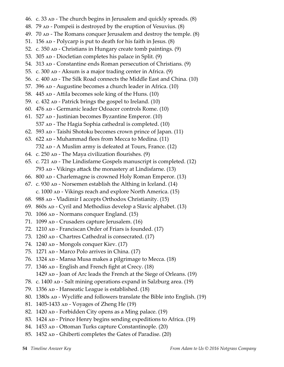- 46. c. 33 AD The church begins in Jerusalem and quickly spreads. (8)
- 48. 79 ap Pompeii is destroyed by the eruption of Vesuvius. (8)
- 49. 70 AD The Romans conquer Jerusalem and destroy the temple. (8)
- 51. 156  $AD$  Polycarp is put to death for his faith in Jesus.  $(8)$
- 52. c. 350 AD Christians in Hungary create tomb paintings. (9)
- 53. 305 AD Diocletian completes his palace in Split. (9)
- 54. 313 AD Constantine ends Roman persecution of Christians. (9)
- 55. c. 300  $AD Aksum$  is a major trading center in Africa. (9)
- 56. c. 400 ap The Silk Road connects the Middle East and China. (10)
- 57. 396 AD Augustine becomes a church leader in Africa. (10)
- 58. 445 AD Attila becomes sole king of the Huns. (10)
- 59. c. 432  $AD$  Patrick brings the gospel to Ireland. (10)
- 60. 476 AD Germanic leader Odoacer controls Rome. (10)
- 61.  $527$  AD Justinian becomes Byzantine Emperor. (10) 537 AD - The Hagia Sophia cathedral is completed. (10)
- 62. 593 AD Taishi Shotoku becomes crown prince of Japan. (11)
- 63.  $622$  AD Muhammad flees from Mecca to Medina. (11) 732 ap - A Muslim army is defeated at Tours, France. (12)
- 64. c. 250  $AD$  The Maya civilization flourishes. (9)
- 65. c. 721  $AD$  The Lindisfarne Gospels manuscript is completed. (12) 793 AD - Vikings attack the monastery at Lindisfarne. (13)
- 66. 800 AD Charlemagne is crowned Holy Roman Emperor. (13)
- 67. c. 930  $AD$  Norsemen establish the Althing in Iceland. (14) c. 1000 AD - Vikings reach and explore North America. (15)
- 68. 988 AD Vladimir I accepts Orthodox Christianity. (15)
- 69.  $860s$  AD Cyril and Methodius develop a Slavic alphabet. (13)
- 70. 1066 AD Normans conquer England. (15)
- 71. 1099 AD Crusaders capture Jerusalem. (16)
- 72. 1210 AD Franciscan Order of Friars is founded. (17)
- 73.  $1260$  AD Chartres Cathedral is consecrated.  $(17)$
- 74. 1240 ap Mongols conquer Kiev. (17)
- 75. 1271 AD Marco Polo arrives in China. (17)
- 76. 1324 AD Mansa Musa makes a pilgrimage to Mecca. (18)
- 77. 1346 AD English and French fight at Crecy. (18)
- 1429 AD Joan of Arc leads the French at the Siege of Orleans. (19)
- 78. c. 1400 ap Salt mining operations expand in Salzburg area. (19)
- 79. 1356 AD Hanseatic League is established. (18)
- 80. 1380s ap Wycliffe and followers translate the Bible into English. (19)
- 81. 1405-1433 AD Voyages of Zheng He (19)
- 82. 1420 ap Forbidden City opens as a Ming palace. (19)
- 83. 1424 ap Prince Henry begins sending expeditions to Africa. (19)
- 84. 1453 AD Ottoman Turks capture Constantinople. (20)
- 85. 1452 AD Ghiberti completes the Gates of Paradise. (20)
-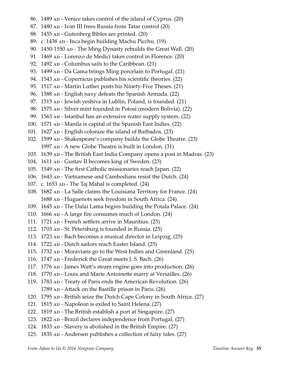- 86. 1489 AD Venice takes control of the island of Cyprus. (20)
- 87. 1480 AD Ivan III frees Russia from Tatar control (20)
- 88. 1455 AD Gutenberg Bibles are printed. (20)
- 89. c. 1438 ap Inca begin building Machu Picchu. (19)
- 90.  $1450-1550$   $AD The Ming Dynasty$  rebuilds the Great Wall. (20)
- 91. 1469 ap Lorenzo de Medici takes control in Florence. (20)
- 92.  $1492$  AD Columbus sails to the Caribbean. (21)
- 93. 1499 AD Da Gama brings Ming porcelain to Portugal. (21)
- 94. 1543 ap Copernicus publishes his scientific theories. (22)
- 95. 1517 AD Martin Luther posts his Ninety-Five Theses. (21)
- 96. 1588 ap English navy defeats the Spanish Armada. (22)
- 97. 1515 AD Jewish yeshiva in Lublin, Poland, is founded. (21)
- 98. 1575 AD Silver mint founded in Potosi (modern Bolivia). (22)
- 99. 1563 AD Istanbul has an extensive water supply system. (22)
- 100. 1571 AD Manila is capital of the Spanish East Indies. (22)
- 101. 1627 AD English colonize the island of Barbados. (23)
- 102. 1599 AD Shakespeare's company builds the Globe Theatre. (23) 1997  $AD - A$  new Globe Theatre is built in London. (31)
- 103. 1639 ap The British East India Company opens a post in Madras. (23)
- 104. 1611 AD Gustav II becomes king of Sweden. (23)
- 105. 1549 AD The first Catholic missionaries reach Japan. (22)
- 106. 1643 AD Vietnamese and Cambodians resist the Dutch. (24)
- 107. c. 1653  $AD The Taj Mahal is completed. (24)$
- 108. 1682 AD La Salle claims the Louisiana Territory for France. (24) 1688 AD - Huguenots seek freedom in South Africa. (24)
- 109. 1645 AD The Dalai Lama begins building the Potala Palace. (24)
- 110.  $1666$  AD A large fire consumes much of London.  $(24)$
- 111.  $1721$  AD French settlers arrive in Mauritius.  $(25)$
- 112. 1703 AD St. Petersburg is founded in Russia. (25)
- 113. 1723 AD Bach becomes a musical director in Leipzig. (25)
- 114. 1722 AD Dutch sailors reach Easter Island. (25)
- 115. 1732 AD Moravians go to the West Indies and Greenland. (25)
- 116.  $1747$  AD Frederick the Great meets J. S. Bach. (26)
- 117. 1776 AD James Watt's steam engine goes into production. (26)
- 118. 1770 AD Louis and Marie Antoinette marry at Versailles. (26)
- 119. 1783 AD Treaty of Paris ends the American Revolution. (26) 1789  $AD - Attack$  on the Bastille prison in Paris. (26)
- 120. 1795 ap British seize the Dutch Cape Colony in South Africa. (27)
- 121. 1815  $AD Napoleon$  is exiled to Saint Helena. (27)
- 122. 1819 AD The British establish a port at Singapore. (27)
- 123. 1822 AD Brazil declares independence from Portugal. (27)
- 124. 1833 AD Slavery is abolished in the British Empire. (27)
- 125. 1835 AD Andersen publishes a collection of fairy tales. (27)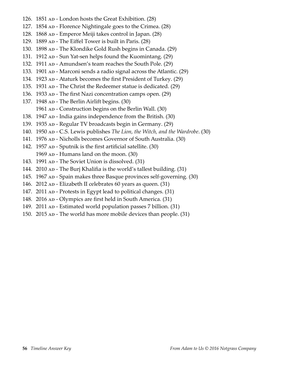- 126.  $1851$  AD London hosts the Great Exhibition. (28)
- 127. 1854 AD Florence Nightingale goes to the Crimea. (28)
- 128. 1868 ap Emperor Meiji takes control in Japan. (28)
- 129. 1889 AD The Eiffel Tower is built in Paris. (28)
- 130. 1898 AD The Klondike Gold Rush begins in Canada. (29)
- 131. 1912 AD Sun Yat-sen helps found the Kuomintang. (29)
- 132. 1911 AD Amundsen's team reaches the South Pole. (29)
- 133. 1901 AD Marconi sends a radio signal across the Atlantic. (29)
- 134. 1923 AD Ataturk becomes the first President of Turkey. (29)
- 135. 1931 AD The Christ the Redeemer statue is dedicated. (29)
- 136. 1933 AD The first Nazi concentration camps open. (29)
- 137. 1948 AD The Berlin Airlift begins. (30)
	- 1961 AD Construction begins on the Berlin Wall. (30)
- 138. 1947  $AD India$  gains independence from the British. (30)
- 139. 1935 AD Regular TV broadcasts begin in Germany. (29)
- 140. 1950 AD C.S. Lewis publishes *The Lion, the Witch, and the Wardrobe*. (30)
- 141. 1976 AD Nicholls becomes Governor of South Australia. (30)
- 142. 1957  $AD Sputnik$  is the first artificial satellite. (30) 1969 AD - Humans land on the moon. (30)
- 143. 1991 AD The Soviet Union is dissolved. (31)
- 144. 2010 AD The Burj Khalifia is the world's tallest building. (31)
- 145. 1967 AD Spain makes three Basque provinces self-governing. (30)
- 146. 2012 AD Elizabeth II celebrates 60 years as queen. (31)
- 147. 2011 AD Protests in Egypt lead to political changes. (31)
- 148. 2016 AD Olympics are first held in South America. (31)
- 149. 2011 AD Estimated world population passes 7 billion. (31)
- 150. 2015 AD The world has more mobile devices than people. (31)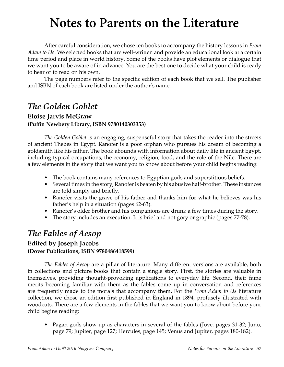# **Notes to Parents on the Literature**

After careful consideration, we chose ten books to accompany the history lessons in *From Adam to Us*. We selected books that are well-written and provide an educational look at a certain time period and place in world history. Some of the books have plot elements or dialogue that we want you to be aware of in advance. You are the best one to decide what your child is ready to hear or to read on his own.

The page numbers refer to the specific edition of each book that we sell. The publisher and ISBN of each book are listed under the author's name.

## *The Golden Goblet*

## **Eloise Jarvis McGraw (Puffin Newbery Library, ISBN 9780140303353)**

*The Golden Goblet* is an engaging, suspenseful story that takes the reader into the streets of ancient Thebes in Egypt. Ranofer is a poor orphan who pursues his dream of becoming a goldsmith like his father. The book abounds with information about daily life in ancient Egypt, including typical occupations, the economy, religion, food, and the role of the Nile. There are a few elements in the story that we want you to know about before your child begins reading:

- The book contains many references to Egyptian gods and superstitious beliefs.
- Several times in the story, Ranofer is beaten by his abusive half-brother. These instances are told simply and briefly.
- Ranofer visits the grave of his father and thanks him for what he believes was his father's help in a situation (pages 62-63).
- Ranofer's older brother and his companions are drunk a few times during the story.
- The story includes an execution. It is brief and not gory or graphic (pages 77-78).

## *The Fables of Aesop*

## **Edited by Joseph Jacobs (Dover Publications, ISBN 9780486418599)**

*The Fables of Aesop* are a pillar of literature. Many different versions are available, both in collections and picture books that contain a single story. First, the stories are valuable in themselves, providing thought-provoking applications to everyday life. Second, their fame merits becoming familiar with them as the fables come up in conversation and references are frequently made to the morals that accompany them. For the *From Adam to Us* literature collection, we chose an edition first published in England in 1894, profusely illustrated with woodcuts. There are a few elements in the fables that we want you to know about before your child begins reading:

• Pagan gods show up as characters in several of the fables (Jove, pages 31-32; Juno, page 79; Jupiter, page 127; Hercules, page 145; Venus and Jupiter, pages 180-182).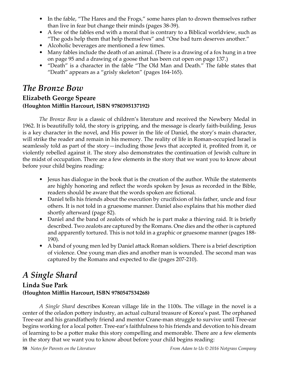- In the fable, "The Hares and the Frogs," some hares plan to drown themselves rather than live in fear but change their minds (pages 38-39).
- A few of the fables end with a moral that is contrary to a Biblical worldview, such as "The gods help them that help themselves" and "One bad turn deserves another."
- Alcoholic beverages are mentioned a few times.
- Many fables include the death of an animal. (There is a drawing of a fox hung in a tree on page 95 and a drawing of a goose that has been cut open on page 137.)
- "Death" is a character in the fable "The Old Man and Death." The fable states that "Death" appears as a "grisly skeleton" (pages 164-165).

## *The Bronze Bow*

## **Elizabeth George Speare (Houghton Mifflin Harcourt, ISBN 9780395137192)**

*The Bronze Bow* is a classic of children's literature and received the Newbery Medal in 1962. It is beautifully told, the story is gripping, and the message is clearly faith-building. Jesus is a key character in the novel, and His power in the life of Daniel, the story's main character, will strike the reader and remain in his memory. The reality of life in Roman-occupied Israel is seamlessly told as part of the story—including those Jews that accepted it, profited from it, or violently rebelled against it. The story also demonstrates the continuation of Jewish culture in the midst of occupation. There are a few elements in the story that we want you to know about before your child begins reading:

- Jesus has dialogue in the book that is the creation of the author. While the statements are highly honoring and reflect the words spoken by Jesus as recorded in the Bible, readers should be aware that the words spoken are fictional.
- Daniel tells his friends about the execution by crucifixion of his father, uncle and four others. It is not told in a gruesome manner. Daniel also explains that his mother died shortly afterward (page 82).
- Daniel and the band of zealots of which he is part make a thieving raid. It is briefly described. Two zealots are captured by the Romans. One dies and the other is captured and apparently tortured. This is not told in a graphic or gruesome manner (pages 188- 190).
- A band of young men led by Daniel attack Roman soldiers. There is a brief description of violence. One young man dies and another man is wounded. The second man was captured by the Romans and expected to die (pages 207-210).

## *A Single Shard*

## **Linda Sue Park (Houghton Mifflin Harcourt, ISBN 9780547534268)**

*A Single Shard* describes Korean village life in the 1100s. The village in the novel is a center of the celadon pottery industry, an actual cultural treasure of Korea's past. The orphaned Tree-ear and his grandfatherly friend and mentor Crane-man struggle to survive until Tree-ear begins working for a local potter. Tree-ear's faithfulness to his friends and devotion to his dream of learning to be a potter make this story compelling and memorable. There are a few elements in the story that we want you to know about before your child begins reading: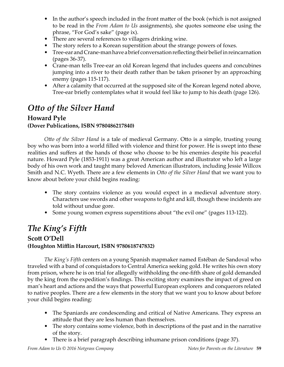- In the author's speech included in the front matter of the book (which is not assigned to be read in the *From Adam to Us* assignments), she quotes someone else using the phrase, "For God's sake" (page ix).
- There are several references to villagers drinking wine.
- The story refers to a Korean superstition about the strange powers of foxes.
- Tree-ear and Crane-man have a brief conversation reflecting their belief in reincarnation (pages 36-37).
- Crane-man tells Tree-ear an old Korean legend that includes queens and concubines jumping into a river to their death rather than be taken prisoner by an approaching enemy (pages 115-117).
- After a calamity that occurred at the supposed site of the Korean legend noted above, Tree-ear briefly contemplates what it would feel like to jump to his death (page 126).

## *Otto of the Silver Hand*

### **Howard Pyle (Dover Publications, ISBN 9780486217840)**

*Otto of the Silver Hand* is a tale of medieval Germany. Otto is a simple, trusting young boy who was born into a world filled with violence and thirst for power. He is swept into these realities and suffers at the hands of those who choose to be his enemies despite his peaceful nature. Howard Pyle (1853-1911) was a great American author and illustrator who left a large body of his own work and taught many beloved American illustrators, including Jessie Willcox Smith and N.C. Wyeth. There are a few elements in *Otto of the Silver Hand* that we want you to know about before your child begins reading:

- The story contains violence as you would expect in a medieval adventure story. Characters use swords and other weapons to fight and kill, though these incidents are told without undue gore.
- Some young women express superstitions about "the evil one" (pages 113-122).

## *The King's Fifth* **Scott O'Dell (Houghton Mifflin Harcourt, ISBN 9780618747832)**

*The King's Fifth* centers on a young Spanish mapmaker named Estéban de Sandoval who traveled with a band of conquistadors to Central America seeking gold. He writes his own story from prison, where he is on trial for allegedly withholding the one-fifth share of gold demanded by the king from the expedition's findings. This exciting story examines the impact of greed on man's heart and actions and the ways that powerful European explorers and conquerors related to native peoples. There are a few elements in the story that we want you to know about before your child begins reading:

- The Spaniards are condescending and critical of Native Americans. They express an attitude that they are less human than themselves.
- The story contains some violence, both in descriptions of the past and in the narrative of the story.
- There is a brief paragraph describing inhumane prison conditions (page 37).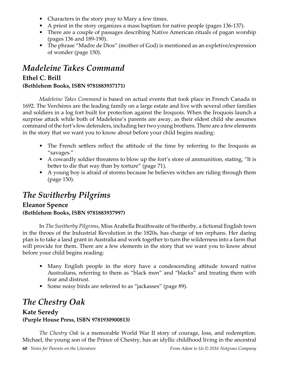- Characters in the story pray to Mary a few times.
- A priest in the story organizes a mass baptism for native people (pages 136-137).
- There are a couple of passages describing Native American rituals of pagan worship (pages 136 and 189-190).
- The phrase "Madre de Dios" (mother of God) is mentioned as an expletive/expression of wonder (page 150).

## *Madeleine Takes Command*

## **Ethel C. Brill (Bethlehem Books, ISBN 9781883937171)**

*Madeleine Takes Command* is based on actual events that took place in French Canada in 1692. The Verchères are the leading family on a large estate and live with several other families and soldiers in a log fort built for protection against the Iroquois. When the Iroquois launch a surprise attack while both of Madeleine's parents are away, as their eldest child she assumes command of the fort's few defenders, including her two young brothers. There are a few elements

in the story that we want you to know about before your child begins reading:

- The French settlers reflect the attitude of the time by referring to the Iroquois as "savages."
- A cowardly soldier threatens to blow up the fort's store of ammunition, stating, "It is better to die that way than by torture" (page 71).
- A young boy is afraid of storms because he believes witches are riding through them (page 150).

## *The Switherby Pilgrims*

## **Eleanor Spence (Bethlehem Books, ISBN 9781883937997)**

In *The Switherby Pilgrims*, Miss Arabella Braithwaite of Switherby, a fictional English town in the throes of the Industrial Revolution in the 1820s, has charge of ten orphans. Her daring plan is to take a land grant in Australia and work together to turn the wilderness into a farm that will provide for them. There are a few elements in the story that we want you to know about before your child begins reading:

- Many English people in the story have a condescending attitude toward native Australians, referring to them as "black men" and "blacks" and treating them with fear and distrust.
- Some noisy birds are referred to as "jackasses" (page 89).

## *The Chestry Oak*

### **Kate Seredy (Purple House Press, ISBN 9781930900813)**

*The Chestry Oak* is a memorable World War II story of courage, loss, and redemption. Michael, the young son of the Prince of Chestry, has an idyllic childhood living in the ancestral